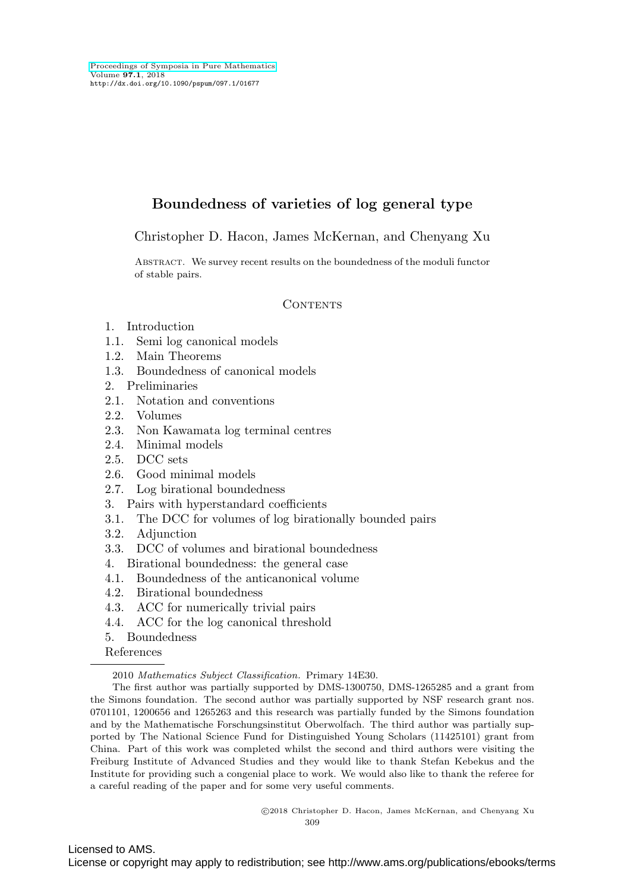# **Boundedness of varieties of log general type**

Christopher D. Hacon, James McKernan, and Chenyang Xu

Abstract. We survey recent results on the boundedness of the moduli functor of stable pairs.

### **CONTENTS**

- 1. Introduction
- 1.1. Semi log canonical models
- 1.2. Main Theorems
- 1.3. Boundedness of canonical models
- 2. Preliminaries
- 2.1. Notation and conventions
- 2.2. Volumes
- 2.3. Non Kawamata log terminal centres
- 2.4. Minimal models
- 2.5. DCC sets
- 2.6. Good minimal models
- 2.7. Log birational boundedness
- 3. Pairs with hyperstandard coefficients
- 3.1. The DCC for volumes of log birationally bounded pairs
- 3.2. Adjunction
- 3.3. DCC of volumes and birational boundedness
- 4. Birational boundedness: the general case
- 4.1. Boundedness of the anticanonical volume
- 4.2. Birational boundedness
- 4.3. ACC for numerically trivial pairs
- 4.4. ACC for the log canonical threshold
- 5. Boundedness

References

2010 Mathematics Subject Classification. Primary 14E30.

The first author was partially supported by DMS-1300750, DMS-1265285 and a grant from the Simons foundation. The second author was partially supported by NSF research grant nos. 0701101, 1200656 and 1265263 and this research was partially funded by the Simons foundation and by the Mathematische Forschungsinstitut Oberwolfach. The third author was partially supported by The National Science Fund for Distinguished Young Scholars (11425101) grant from China. Part of this work was completed whilst the second and third authors were visiting the Freiburg Institute of Advanced Studies and they would like to thank Stefan Kebekus and the Institute for providing such a congenial place to work. We would also like to thank the referee for a careful reading of the paper and for some very useful comments.

> -c 2018 Christopher D. Hacon, James McKernan, and Chenyang Xu 309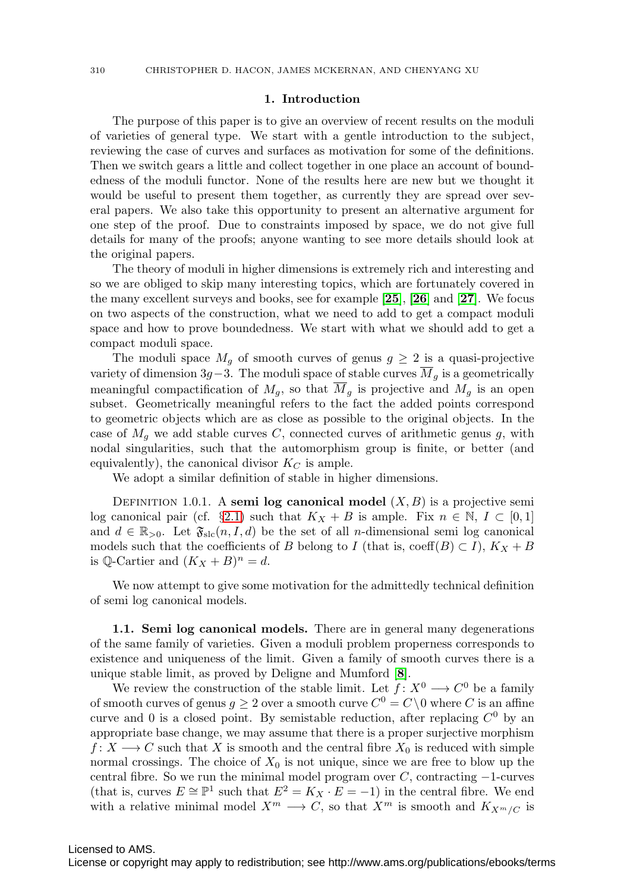#### **1. Introduction**

The purpose of this paper is to give an overview of recent results on the moduli of varieties of general type. We start with a gentle introduction to the subject, reviewing the case of curves and surfaces as motivation for some of the definitions. Then we switch gears a little and collect together in one place an account of boundedness of the moduli functor. None of the results here are new but we thought it would be useful to present them together, as currently they are spread over several papers. We also take this opportunity to present an alternative argument for one step of the proof. Due to constraints imposed by space, we do not give full details for many of the proofs; anyone wanting to see more details should look at the original papers.

The theory of moduli in higher dimensions is extremely rich and interesting and so we are obliged to skip many interesting topics, which are fortunately covered in the many excellent surveys and books, see for example [**[25](#page-38-0)**], [**[26](#page-38-1)**] and [**[27](#page-38-2)**]. We focus on two aspects of the construction, what we need to add to get a compact moduli space and how to prove boundedness. We start with what we should add to get a compact moduli space.

The moduli space  $M<sub>g</sub>$  of smooth curves of genus  $g \geq 2$  is a quasi-projective variety of dimension 3g−3. The moduli space of stable curves  $\overline{M}_g$  is a geometrically meaningful compactification of  $M_g$ , so that  $\overline{M}_g$  is projective and  $M_g$  is an open subset. Geometrically meaningful refers to the fact the added points correspond to geometric objects which are as close as possible to the original objects. In the case of  $M_q$  we add stable curves C, connected curves of arithmetic genus g, with nodal singularities, such that the automorphism group is finite, or better (and equivalently), the canonical divisor  $K_C$  is ample.

We adopt a similar definition of stable in higher dimensions.

DEFINITION 1.0.1. A **semi log canonical model**  $(X, B)$  is a projective semi log canonical pair (cf. §[2.1\)](#page-7-0) such that  $K_X + B$  is ample. Fix  $n \in \mathbb{N}, I \subset [0,1]$ and  $d \in \mathbb{R}_{>0}$ . Let  $\mathfrak{F}_{\text{slc}}(n, I, d)$  be the set of all *n*-dimensional semi log canonical models such that the coefficients of B belong to I (that is, coeff $(B) \subset I$ ),  $K_X + B$ is Q-Cartier and  $(K_X + B)^n = d$ .

We now attempt to give some motivation for the admittedly technical definition of semi log canonical models.

**1.1. Semi log canonical models.** There are in general many degenerations of the same family of varieties. Given a moduli problem properness corresponds to existence and uniqueness of the limit. Given a family of smooth curves there is a unique stable limit, as proved by Deligne and Mumford [**[8](#page-38-3)**].

We review the construction of the stable limit. Let  $f: X^0 \longrightarrow C^0$  be a family of smooth curves of genus  $g \geq 2$  over a smooth curve  $C^0 = C \setminus 0$  where C is an affine curve and 0 is a closed point. By semistable reduction, after replacing  $C^0$  by an appropriate base change, we may assume that there is a proper surjective morphism  $f: X \longrightarrow C$  such that X is smooth and the central fibre  $X_0$  is reduced with simple normal crossings. The choice of  $X_0$  is not unique, since we are free to blow up the central fibre. So we run the minimal model program over C, contracting −1-curves (that is, curves  $E \cong \mathbb{P}^1$  such that  $E^2 = K_X \cdot E = -1$ ) in the central fibre. We end with a relative minimal model  $X^m \longrightarrow C$ , so that  $X^m$  is smooth and  $K_{X^m/C}$  is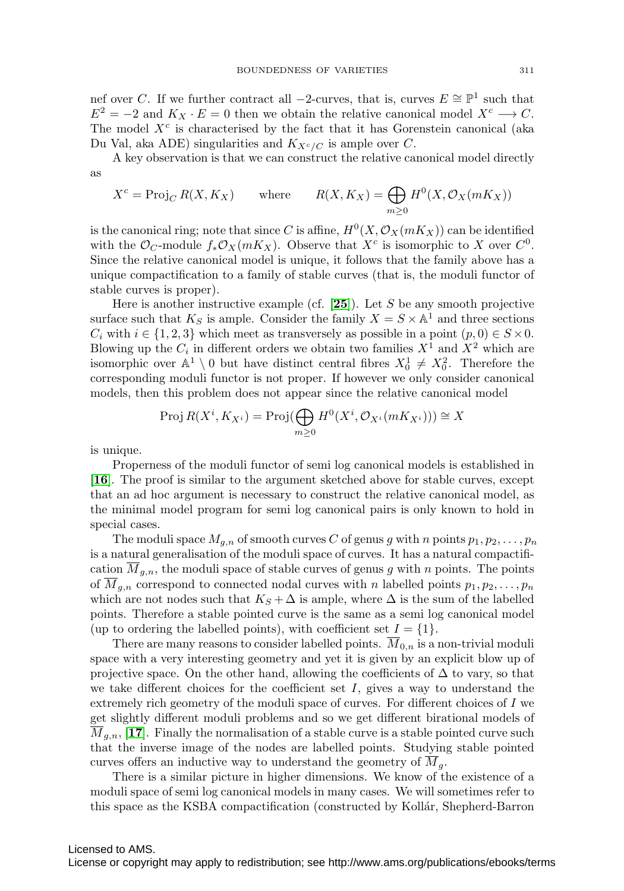nef over C. If we further contract all −2-curves, that is, curves  $E \cong \mathbb{P}^1$  such that  $E^2 = -2$  and  $K_X \cdot E = 0$  then we obtain the relative canonical model  $X^c \longrightarrow C$ . The model  $X<sup>c</sup>$  is characterised by the fact that it has Gorenstein canonical (aka Du Val, aka ADE) singularities and  $K_{X^c/C}$  is ample over C.

A key observation is that we can construct the relative canonical model directly as

$$
X^{c} = \text{Proj}_{C} R(X, K_{X}) \qquad \text{where} \qquad R(X, K_{X}) = \bigoplus_{m \ge 0} H^{0}(X, \mathcal{O}_{X}(mK_{X}))
$$

is the canonical ring; note that since C is affine,  $H^0(X, \mathcal{O}_X(mK_X))$  can be identified with the  $\mathcal{O}_C$ -module  $f_*\mathcal{O}_X(mK_X)$ . Observe that  $X^c$  is isomorphic to X over  $C^0$ . Since the relative canonical model is unique, it follows that the family above has a unique compactification to a family of stable curves (that is, the moduli functor of stable curves is proper).

Here is another instructive example (cf.  $[25]$  $[25]$  $[25]$ ). Let S be any smooth projective surface such that  $K_S$  is ample. Consider the family  $X = S \times \mathbb{A}^1$  and three sections  $C_i$  with  $i \in \{1, 2, 3\}$  which meet as transversely as possible in a point  $(p, 0) \in S \times 0$ . Blowing up the  $C_i$  in different orders we obtain two families  $X^1$  and  $X^2$  which are isomorphic over  $\mathbb{A}^1 \setminus 0$  but have distinct central fibres  $X_0^1 \neq X_0^2$ . Therefore the corresponding moduli functor is not proper. If however we only consider canonical models, then this problem does not appear since the relative canonical model

$$
\operatorname{Proj} R(X^i, K_{X^i}) = \operatorname{Proj}(\bigoplus_{m \ge 0} H^0(X^i, \mathcal{O}_{X^i}(mK_{X^i}))) \cong X
$$

is unique.

Properness of the moduli functor of semi log canonical models is established in [**[16](#page-38-4)**]. The proof is similar to the argument sketched above for stable curves, except that an ad hoc argument is necessary to construct the relative canonical model, as the minimal model program for semi log canonical pairs is only known to hold in special cases.

The moduli space  $M_{a,n}$  of smooth curves C of genus g with n points  $p_1, p_2, \ldots, p_n$ is a natural generalisation of the moduli space of curves. It has a natural compactification  $M_{g,n}$ , the moduli space of stable curves of genus g with n points. The points of  $\overline{M}_{g,n}$  correspond to connected nodal curves with n labelled points  $p_1, p_2, \ldots, p_n$ which are not nodes such that  $K_S + \Delta$  is ample, where  $\Delta$  is the sum of the labelled points. Therefore a stable pointed curve is the same as a semi log canonical model (up to ordering the labelled points), with coefficient set  $I = \{1\}.$ 

There are many reasons to consider labelled points.  $\overline{M}_{0,n}$  is a non-trivial moduli space with a very interesting geometry and yet it is given by an explicit blow up of projective space. On the other hand, allowing the coefficients of  $\Delta$  to vary, so that we take different choices for the coefficient set  $I$ , gives a way to understand the extremely rich geometry of the moduli space of curves. For different choices of I we get slightly different moduli problems and so we get different birational models of  $\overline{M}_{g,n}$ , [[17](#page-38-5)]. Finally the normalisation of a stable curve is a stable pointed curve such that the inverse image of the nodes are labelled points. Studying stable pointed curves offers an inductive way to understand the geometry of  $M_q$ .

There is a similar picture in higher dimensions. We know of the existence of a moduli space of semi log canonical models in many cases. We will sometimes refer to this space as the KSBA compactification (constructed by Kollár, Shepherd-Barron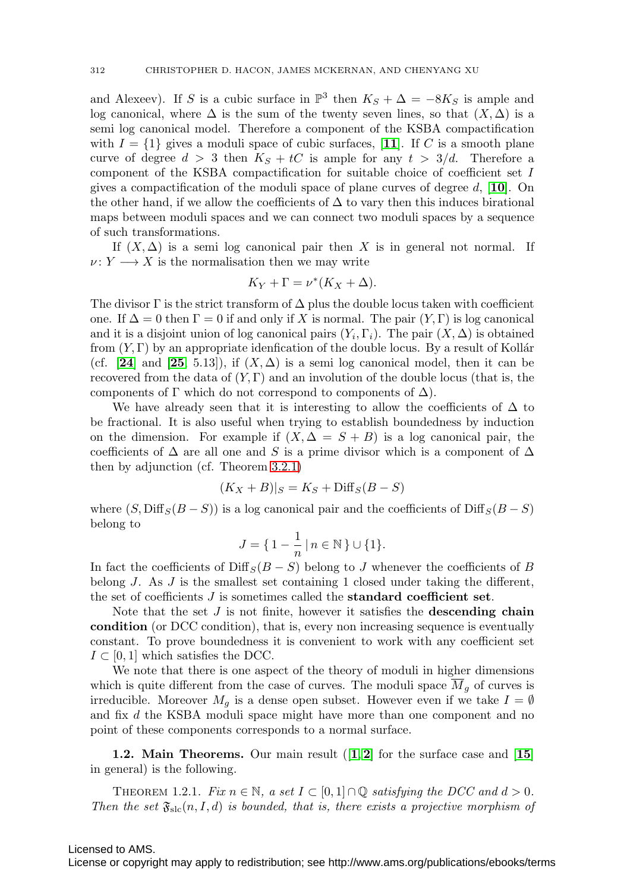and Alexeev). If S is a cubic surface in  $\mathbb{P}^3$  then  $K_S + \Delta = -8K_S$  is ample and log canonical, where  $\Delta$  is the sum of the twenty seven lines, so that  $(X, \Delta)$  is a semi log canonical model. Therefore a component of the KSBA compactification with  $I = \{1\}$  gives a moduli space of cubic surfaces, [[11](#page-38-6)]. If C is a smooth plane curve of degree  $d > 3$  then  $K_S + tC$  is ample for any  $t > 3/d$ . Therefore a component of the KSBA compactification for suitable choice of coefficient set I gives a compactification of the moduli space of plane curves of degree d, [**[10](#page-38-7)**]. On the other hand, if we allow the coefficients of  $\Delta$  to vary then this induces birational maps between moduli spaces and we can connect two moduli spaces by a sequence of such transformations.

If  $(X, \Delta)$  is a semi log canonical pair then X is in general not normal. If  $\nu: Y \longrightarrow X$  is the normalisation then we may write

$$
K_Y + \Gamma = \nu^* (K_X + \Delta).
$$

The divisor  $\Gamma$  is the strict transform of  $\Delta$  plus the double locus taken with coefficient one. If  $\Delta = 0$  then  $\Gamma = 0$  if and only if X is normal. The pair  $(Y, \Gamma)$  is log canonical and it is a disjoint union of log canonical pairs  $(Y_i, \Gamma_i)$ . The pair  $(X, \Delta)$  is obtained from  $(Y, \Gamma)$  by an appropriate idenfication of the double locus. By a result of Kollár (cf.  $[24]$  $[24]$  $[24]$  and  $[25, 5.13]$  $[25, 5.13]$  $[25, 5.13]$ ), if  $(X, \Delta)$  is a semi log canonical model, then it can be recovered from the data of  $(Y, \Gamma)$  and an involution of the double locus (that is, the components of  $\Gamma$  which do not correspond to components of  $\Delta$ ).

We have already seen that it is interesting to allow the coefficients of  $\Delta$  to be fractional. It is also useful when trying to establish boundedness by induction on the dimension. For example if  $(X, \Delta = S + B)$  is a log canonical pair, the coefficients of  $\Delta$  are all one and S is a prime divisor which is a component of  $\Delta$ then by adjunction (cf. Theorem [3.2.1\)](#page-21-0)

$$
(K_X + B)|_S = K_S + \text{Diff}_S(B - S)
$$

where  $(S, \text{Diff}_S(B - S))$  is a log canonical pair and the coefficients of Diff $_S(B - S)$ belong to

$$
J=\big\{\,1-\frac{1}{n}\,\big|\,n\in\mathbb{N}\,\big\}\cup\{1\}.
$$

In fact the coefficients of Diff<sub>S</sub> $(B - S)$  belong to J whenever the coefficients of B belong J. As J is the smallest set containing 1 closed under taking the different, the set of coefficients J is sometimes called the **standard coefficient set**.

Note that the set J is not finite, however it satisfies the **descending chain condition** (or DCC condition), that is, every non increasing sequence is eventually constant. To prove boundedness it is convenient to work with any coefficient set  $I \subset [0, 1]$  which satisfies the DCC.

We note that there is one aspect of the theory of moduli in higher dimensions which is quite different from the case of curves. The moduli space  $\overline{M}_g$  of curves is irreducible. Moreover  $M_q$  is a dense open subset. However even if we take  $I = \emptyset$ and fix d the KSBA moduli space might have more than one component and no point of these components corresponds to a normal surface.

**1.2. Main Theorems.** Our main result ([**[1](#page-37-0)**, **[2](#page-37-1)**] for the surface case and [**[15](#page-38-9)**] in general) is the following.

<span id="page-3-0"></span>THEOREM 1.2.1. Fix  $n \in \mathbb{N}$ , a set  $I \subset [0,1] \cap \mathbb{Q}$  satisfying the DCC and  $d > 0$ . Then the set  $\mathfrak{F}_{\text{slc}}(n, I, d)$  is bounded, that is, there exists a projective morphism of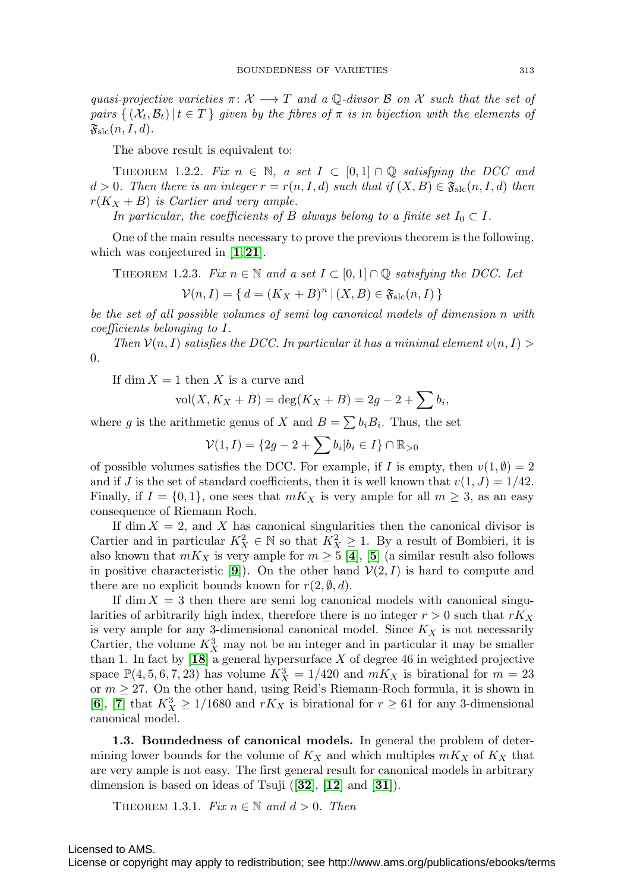quasi-projective varieties  $\pi \colon \mathcal{X} \longrightarrow T$  and a  $\mathbb{Q}$ -divsor  $\mathcal{B}$  on  $\mathcal{X}$  such that the set of pairs  $\{(\mathcal{X}_t, \mathcal{B}_t) | t \in T \}$  given by the fibres of  $\pi$  is in bijection with the elements of  $\mathfrak{F}_{\text{slc}}(n, I, d)$ .

The above result is equivalent to:

<span id="page-4-1"></span>THEOREM 1.2.2. Fix  $n \in \mathbb{N}$ , a set  $I \subset [0,1] \cap \mathbb{Q}$  satisfying the DCC and  $d > 0$ . Then there is an integer  $r = r(n, I, d)$  such that if  $(X, B) \in \mathfrak{F}_{\text{slc}}(n, I, d)$  then  $r(K_X + B)$  is Cartier and very ample.

In particular, the coefficients of B always belong to a finite set  $I_0 \subset I$ .

One of the main results necessary to prove the previous theorem is the following, which was conjectured in [**[1](#page-37-0)**,**[21](#page-38-10)**].

<span id="page-4-2"></span>THEOREM 1.2.3. Fix  $n \in \mathbb{N}$  and a set  $I \subset [0,1] \cap \mathbb{Q}$  satisfying the DCC. Let

 $V(n, I) = \{ d = (K_X + B)^n | (X, B) \in \mathfrak{F}_{\text{slc}}(n, I) \}$ 

be the set of all possible volumes of semi log canonical models of dimension n with coefficients belonging to I.

Then  $\mathcal{V}(n, I)$  satisfies the DCC. In particular it has a minimal element  $v(n, I)$ 0.

If dim  $X = 1$  then X is a curve and

$$
vol(X, K_X + B) = deg(K_X + B) = 2g - 2 + \sum b_i,
$$

where g is the arithmetic genus of X and  $B = \sum b_i B_i$ . Thus, the set

$$
\mathcal{V}(1,I) = \{2g - 2 + \sum b_i | b_i \in I\} \cap \mathbb{R}_{>0}
$$

of possible volumes satisfies the DCC. For example, if I is empty, then  $v(1, \emptyset) = 2$ and if J is the set of standard coefficients, then it is well known that  $v(1, J) = 1/42$ . Finally, if  $I = \{0, 1\}$ , one sees that  $mK_X$  is very ample for all  $m \geq 3$ , as an easy consequence of Riemann Roch.

If dim  $X = 2$ , and X has canonical singularities then the canonical divisor is Cartier and in particular  $K_X^2 \in \mathbb{N}$  so that  $K_X^2 \geq 1$ . By a result of Bombieri, it is also known that  $mK_X$  is very ample for  $m \geq 5$  $m \geq 5$  [[4](#page-37-2)], [5] (a similar result also follows in positive characteristic [[9](#page-38-11)]). On the other hand  $\mathcal{V}(2, I)$  is hard to compute and there are no explicit bounds known for  $r(2, \emptyset, d)$ .

If dim  $X = 3$  then there are semi log canonical models with canonical singularities of arbitrarily high index, therefore there is no integer  $r > 0$  such that  $rK_X$ is very ample for any 3-dimensional canonical model. Since  $K_X$  is not necessarily Cartier, the volume  $K_X^3$  may not be an integer and in particular it may be smaller than 1. In fact by  $[18]$  $[18]$  $[18]$  a general hypersurface X of degree 46 in weighted projective space  $\mathbb{P}(4, 5, 6, 7, 23)$  has volume  $K_X^3 = 1/420$  and  $mK_X$  is birational for  $m = 23$ or  $m \geq 27$ . On the other hand, using Reid's Riemann-Roch formula, it is shown in [[6](#page-37-4)], [[7](#page-37-5)] that  $K_X^3 \geq 1/1680$  and  $rK_X$  is birational for  $r \geq 61$  for any 3-dimensional canonical model.

**1.3. Boundedness of canonical models.** In general the problem of determining lower bounds for the volume of  $K_X$  and which multiples  $mK_X$  of  $K_X$  that are very ample is not easy. The first general result for canonical models in arbitrary dimension is based on ideas of Tsuji ([**[32](#page-39-0)**], [**[12](#page-38-13)**] and [**[31](#page-39-1)**]).

<span id="page-4-0"></span>THEOREM 1.3.1. Fix  $n \in \mathbb{N}$  and  $d > 0$ . Then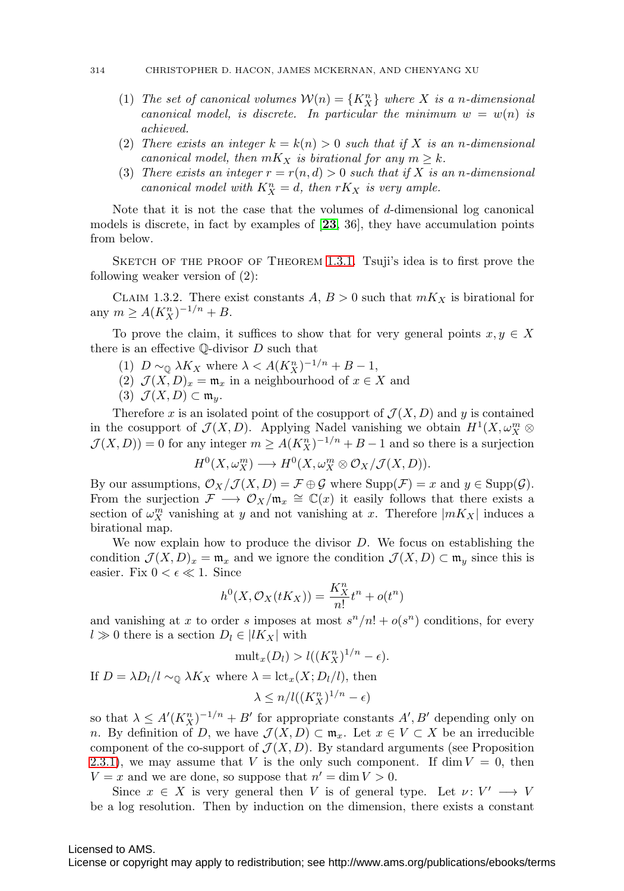- (1) The set of canonical volumes  $\mathcal{W}(n) = \{K_X^n\}$  where X is a n-dimensional canonical model, is discrete. In particular the minimum  $w = w(n)$  is achieved.
- (2) There exists an integer  $k = k(n) > 0$  such that if X is an n-dimensional canonical model, then  $mK_X$  is birational for any  $m \geq k$ .
- (3) There exists an integer  $r = r(n,d) > 0$  such that if X is an n-dimensional canonical model with  $K_X^n = d$ , then  $rK_X$  is very ample.

Note that it is not the case that the volumes of  $d$ -dimensional log canonical models is discrete, in fact by examples of [**[23](#page-38-14)**, 36], they have accumulation points from below.

SKETCH OF THE PROOF OF THEOREM [1.3.1](#page-4-0). Tsuji's idea is to first prove the following weaker version of (2):

<span id="page-5-0"></span>CLAIM 1.3.2. There exist constants  $A, B > 0$  such that  $mK_X$  is birational for any  $m \geq A(K_X^n)^{-1/n} + B$ .

To prove the claim, it suffices to show that for very general points  $x, y \in X$ there is an effective  $\mathbb Q$ -divisor  $D$  such that

- (1)  $D \sim_{\mathbb{Q}} \lambda K_X$  where  $\lambda < A(K_X^n)^{-1/n} + B 1$ ,
- (2)  $\mathcal{J}(X,D)_x = \mathfrak{m}_x$  in a neighbourhood of  $x \in X$  and
- (3)  $\mathcal{J}(X,D) \subset \mathfrak{m}_y$ .

Therefore x is an isolated point of the cosupport of  $\mathcal{J}(X, D)$  and y is contained in the cosupport of  $\mathcal{J}(X,D)$ . Applying Nadel vanishing we obtain  $H^1(X,\omega_X^m\otimes$  $\mathcal{J}(X,D)$ ) = 0 for any integer  $m \geq A(K_X^n)^{-1/n} + B - 1$  and so there is a surjection

$$
H^0(X, \omega_X^m) \longrightarrow H^0(X, \omega_X^m \otimes \mathcal{O}_X/\mathcal{J}(X, D)).
$$

By our assumptions,  $\mathcal{O}_X/\mathcal{J}(X,D) = \mathcal{F} \oplus \mathcal{G}$  where  $\text{Supp}(\mathcal{F}) = x$  and  $y \in \text{Supp}(\mathcal{G})$ . From the surjection  $\mathcal{F} \longrightarrow \mathcal{O}_X/\mathfrak{m}_x \cong \mathbb{C}(x)$  it easily follows that there exists a section of  $\omega_X^m$  vanishing at y and not vanishing at x. Therefore  $|mK_X|$  induces a birational map.

We now explain how to produce the divisor  $D$ . We focus on establishing the condition  $\mathcal{J}(X, D)_x = \mathfrak{m}_x$  and we ignore the condition  $\mathcal{J}(X, D) \subset \mathfrak{m}_y$  since this is easier. Fix  $0 < \epsilon \ll 1$ . Since

$$
h^{0}(X, \mathcal{O}_{X}(tK_{X})) = \frac{K_{X}^{n}}{n!}t^{n} + o(t^{n})
$$

and vanishing at x to order s imposes at most  $s^{n}/n! + o(s^{n})$  conditions, for every  $l \gg 0$  there is a section  $D_l \in |lK_X|$  with

$$
\mathrm{mult}_x(D_l) > l((K_X^n)^{1/n} - \epsilon).
$$

If  $D = \lambda D_l/l \sim_{\mathbb{Q}} \lambda K_X$  where  $\lambda = \text{lct}_x(X; D_l/l)$ , then

$$
\lambda \le n/l((K_X^n)^{1/n} - \epsilon)
$$

so that  $\lambda \leq A'(K_X^n)^{-1/n} + B'$  for appropriate constants  $A', B'$  depending only on n. By definition of D, we have  $\mathcal{J}(X,D) \subset \mathfrak{m}_x$ . Let  $x \in V \subset X$  be an irreducible component of the co-support of  $\mathcal{J}(X, D)$ . By standard arguments (see Proposition [2.3.1\)](#page-11-0), we may assume that V is the only such component. If dim  $V = 0$ , then  $V = x$  and we are done, so suppose that  $n' = \dim V > 0$ .

Since  $x \in X$  is very general then V is of general type. Let  $\nu: V' \longrightarrow V$ be a log resolution. Then by induction on the dimension, there exists a constant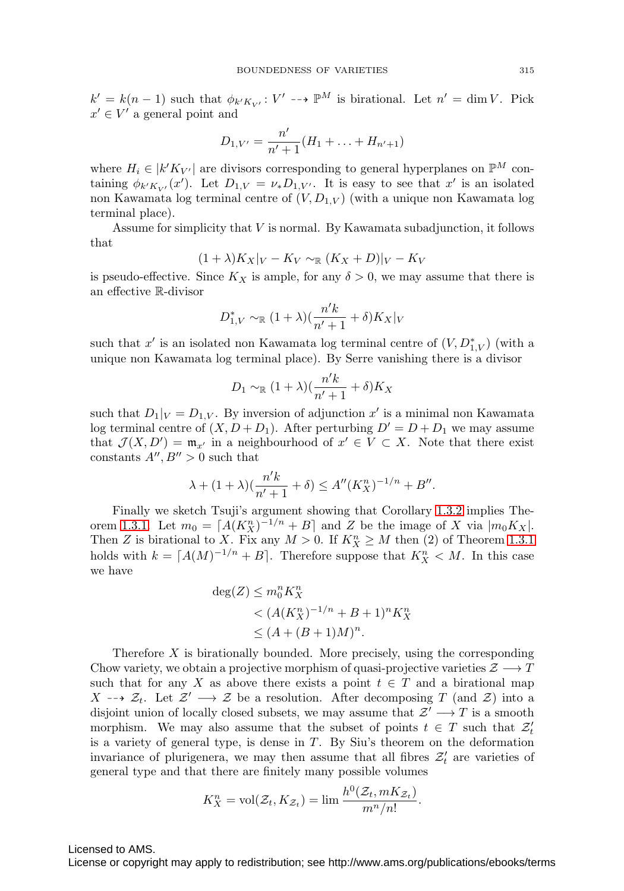$k' = k(n-1)$  such that  $\phi_{k'K_{V'}}: V' \dashrightarrow \mathbb{P}^M$  is birational. Let  $n' = \dim V$ . Pick  $x' \in V'$  a general point and

$$
D_{1,V'} = \frac{n'}{n'+1}(H_1 + \ldots + H_{n'+1})
$$

where  $H_i \in |k'K_{V'}|$  are divisors corresponding to general hyperplanes on  $\mathbb{P}^M$  containing  $\phi_{k'K_{V'}}(x')$ . Let  $D_{1,V} = \nu_* D_{1,V'}$ . It is easy to see that  $x'$  is an isolated non Kawamata log terminal centre of  $(V, D_{1,V})$  (with a unique non Kawamata log terminal place).

Assume for simplicity that  $V$  is normal. By Kawamata subadjunction, it follows that

$$
(1+\lambda)K_X|_V - K_V \sim_{\mathbb{R}} (K_X + D)|_V - K_V
$$

is pseudo-effective. Since  $K_X$  is ample, for any  $\delta > 0$ , we may assume that there is an effective R-divisor

$$
D_{1,V}^* \sim_{\mathbb{R}} (1+\lambda) \left(\frac{n'k}{n'+1} + \delta\right) K_X|_V
$$

such that  $x'$  is an isolated non Kawamata log terminal centre of  $(V, D_{1,V}^*)$  (with a unique non Kawamata log terminal place). By Serre vanishing there is a divisor

$$
D_1 \sim_{\mathbb{R}} (1+\lambda)\left(\frac{n'k}{n'+1} + \delta\right)K_X
$$

such that  $D_1|_V = D_{1,V}$ . By inversion of adjunction x' is a minimal non Kawamata log terminal centre of  $(X, D + D_1)$ . After perturbing  $D' = D + D_1$  we may assume that  $\mathcal{J}(X, D') = \mathfrak{m}_{x'}$  in a neighbourhood of  $x' \in V \subset X$ . Note that there exist constants  $A'', B'' > 0$  such that

$$
\lambda + (1 + \lambda) \left( \frac{n'k}{n' + 1} + \delta \right) \le A'' (K_X^n)^{-1/n} + B''.
$$

Finally we sketch Tsuji's argument showing that Corollary [1.3.2](#page-5-0) implies The-orem [1.3.1.](#page-4-0) Let  $m_0 = [A(K_X^n)^{-1/n} + B]$  and Z be the image of X via  $|m_0 K_X|$ . Then Z is birational to X. Fix any  $M > 0$ . If  $K_X^n \geq M$  then (2) of Theorem [1.3.1](#page-4-0) holds with  $k = [A(M)^{-1/n} + B]$ . Therefore suppose that  $K_X^n < M$ . In this case we have

$$
deg(Z) \le m_0^n K_X^n
$$
  

$$
< (A(K_X^n)^{-1/n} + B + 1)^n K_X^n
$$
  

$$
\le (A + (B+1)M)^n.
$$

Therefore  $X$  is birationally bounded. More precisely, using the corresponding Chow variety, we obtain a projective morphism of quasi-projective varieties  $\mathcal{Z} \longrightarrow T$ such that for any X as above there exists a point  $t \in T$  and a birational map X -→  $\mathcal{Z}_t$ . Let  $\mathcal{Z}' \longrightarrow \mathcal{Z}$  be a resolution. After decomposing T (and  $\mathcal{Z}$ ) into a disjoint union of locally closed subsets, we may assume that  $\mathcal{Z}' \longrightarrow T$  is a smooth morphism. We may also assume that the subset of points  $t \in T$  such that  $\mathcal{Z}'_t$ is a variety of general type, is dense in T. By Siu's theorem on the deformation invariance of plurigenera, we may then assume that all fibres  $\mathcal{Z}'_t$  are varieties of general type and that there are finitely many possible volumes

$$
K_X^n = \text{vol}(\mathcal{Z}_t, K_{\mathcal{Z}_t}) = \lim \frac{h^0(\mathcal{Z}_t, mK_{\mathcal{Z}_t})}{m^n/n!}.
$$

Licensed to AMS.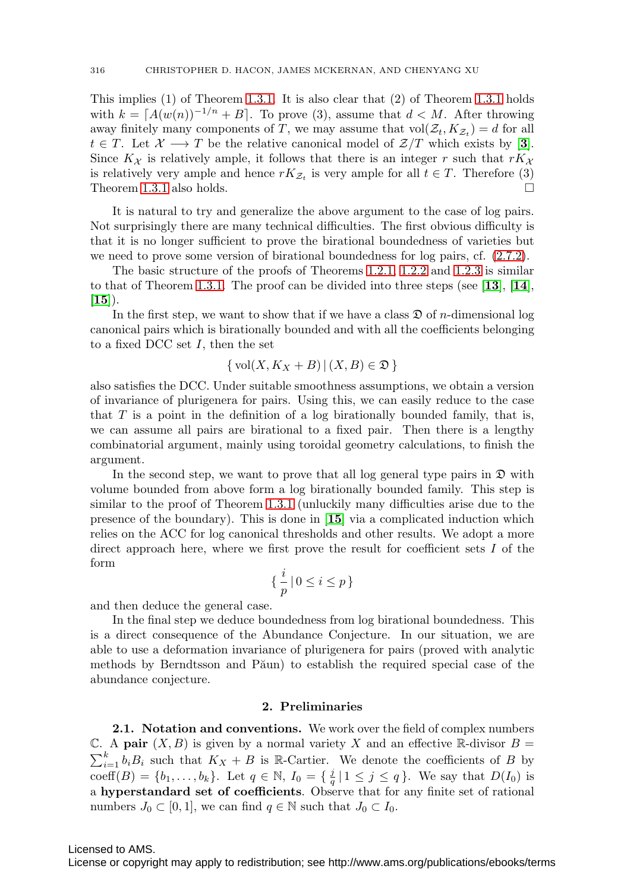This implies (1) of Theorem [1.3.1.](#page-4-0) It is also clear that (2) of Theorem [1.3.1](#page-4-0) holds with  $k = [A(w(n))^{-1/n} + B]$ . To prove (3), assume that  $d < M$ . After throwing away finitely many components of T, we may assume that  $vol(\mathcal{Z}_t, K_{\mathcal{Z}_t}) = d$  for all  $t \in T$ . Let  $\mathcal{X} \longrightarrow T$  be the relative canonical model of  $\mathcal{Z}/T$  which exists by [[3](#page-37-6)]. Since  $K_{\mathcal{X}}$  is relatively ample, it follows that there is an integer r such that  $rK_{\mathcal{X}}$ is relatively very ample and hence  $rK_{\mathcal{Z}_t}$  is very ample for all  $t \in T$ . Therefore (3) Theorem [1.3.1](#page-4-0) also holds.

It is natural to try and generalize the above argument to the case of log pairs. Not surprisingly there are many technical difficulties. The first obvious difficulty is that it is no longer sufficient to prove the birational boundedness of varieties but we need to prove some version of birational boundedness for log pairs, cf. [\(2.7.2\)](#page-14-0).

The basic structure of the proofs of Theorems [1.2.1,](#page-3-0) [1.2.2](#page-4-1) and [1.2.3](#page-4-2) is similar to that of Theorem [1.3.1.](#page-4-0) The proof can be divided into three steps (see [**[13](#page-38-15)**], [**[14](#page-38-16)**], [**[15](#page-38-9)**]).

In the first step, we want to show that if we have a class  $\mathfrak{D}$  of *n*-dimensional log canonical pairs which is birationally bounded and with all the coefficients belonging to a fixed DCC set  $I$ , then the set

$$
\{ vol(X, K_X + B) | (X, B) \in \mathfrak{D} \}
$$

also satisfies the DCC. Under suitable smoothness assumptions, we obtain a version of invariance of plurigenera for pairs. Using this, we can easily reduce to the case that  $T$  is a point in the definition of a log birationally bounded family, that is, we can assume all pairs are birational to a fixed pair. Then there is a lengthy combinatorial argument, mainly using toroidal geometry calculations, to finish the argument.

In the second step, we want to prove that all log general type pairs in  $\mathfrak D$  with volume bounded from above form a log birationally bounded family. This step is similar to the proof of Theorem [1.3.1](#page-4-0) (unluckily many difficulties arise due to the presence of the boundary). This is done in [**[15](#page-38-9)**] via a complicated induction which relies on the ACC for log canonical thresholds and other results. We adopt a more direct approach here, where we first prove the result for coefficient sets  $I$  of the form

$$
\{\,\frac{i}{p}\,|\,0\leq i\leq p\,\}
$$

and then deduce the general case.

In the final step we deduce boundedness from log birational boundedness. This is a direct consequence of the Abundance Conjecture. In our situation, we are able to use a deformation invariance of plurigenera for pairs (proved with analytic methods by Berndtsson and Păun) to establish the required special case of the abundance conjecture.

#### **2. Preliminaries**

<span id="page-7-0"></span>**2.1. Notation and conventions.** We work over the field of complex numbers C. A **pair**  $(X, B)$  is given by a normal variety X and an effective R-divisor  $B =$  $\sum_{i=1}^{k} b_i B_i$  such that  $K_X + B$  is R-Cartier. We denote the coefficients of B by coeff $(B) = \{b_1, \ldots, b_k\}$ . Let  $q \in \mathbb{N}$ ,  $I_0 = \{\frac{j}{q} | 1 \leq j \leq q\}$ . We say that  $D(I_0)$  is a **hyperstandard set of coefficients**. Observe that for any finite set of rational numbers  $J_0 \subset [0, 1]$ , we can find  $q \in \mathbb{N}$  such that  $J_0 \subset I_0$ .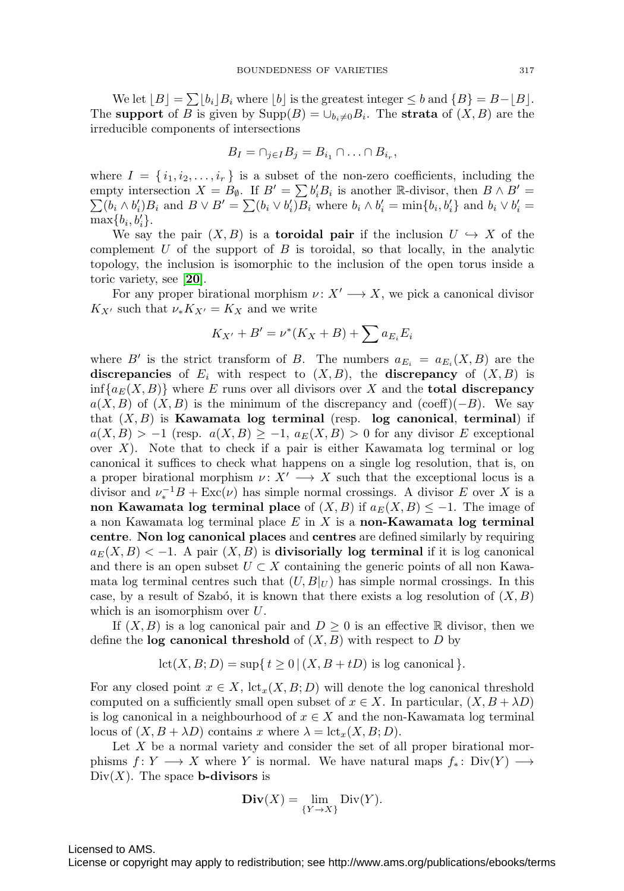We let  $[B] = \sum [b_i] B_i$  where  $[b]$  is the greatest integer  $\leq b$  and  $\{B\} = B - [B]$ . The **support** of B is given by  $\text{Supp}(B) = \bigcup_{b_i \neq 0} B_i$ . The **strata** of  $(X, B)$  are the irreducible components of intersections

$$
B_I = \cap_{j \in I} B_j = B_{i_1} \cap \ldots \cap B_{i_r},
$$

where  $I = \{i_1, i_2, \ldots, i_r\}$  is a subset of the non-zero coefficients, including the empty intersection  $X = B_{\emptyset}$ . If  $B' = \sum b_i' B_i$  is another R-divisor, then  $B \wedge B' =$  $\sum (b_i \wedge b'_i) B_i$  and  $B \vee B' = \sum (b_i \vee b'_i) B_i$  where  $b_i \wedge b'_i = \min \{b_i, b'_i\}$  and  $b_i \vee b'_i =$  $\max\{b_i, b'_i\}.$ 

We say the pair  $(X, B)$  is a **toroidal pair** if the inclusion  $U \hookrightarrow X$  of the complement  $U$  of the support of  $B$  is toroidal, so that locally, in the analytic topology, the inclusion is isomorphic to the inclusion of the open torus inside a toric variety, see [**[20](#page-38-17)**].

For any proper birational morphism  $\nu: X' \longrightarrow X$ , we pick a canonical divisor  $K_{X'}$  such that  $\nu_* K_{X'} = K_X$  and we write

$$
K_{X'} + B' = \nu^*(K_X + B) + \sum a_{E_i} E_i
$$

where B' is the strict transform of B. The numbers  $a_{E_i} = a_{E_i}(X, B)$  are the **discrepancies** of  $E_i$  with respect to  $(X, B)$ , the **discrepancy** of  $(X, B)$  is  $\inf\{a_E(X, B)\}\$  where E runs over all divisors over X and the **total discrepancy**  $a(X, B)$  of  $(X, B)$  is the minimum of the discrepancy and (coeff)(−B). We say that (X, B) is **Kawamata log terminal** (resp. **log canonical**, **terminal**) if  $a(X, B) > -1$  (resp.  $a(X, B) \ge -1$ ,  $a_E(X, B) > 0$  for any divisor E exceptional over  $X$ ). Note that to check if a pair is either Kawamata log terminal or log canonical it suffices to check what happens on a single log resolution, that is, on a proper birational morphism  $\nu: X' \longrightarrow X$  such that the exceptional locus is a divisor and  $\nu_*^{-1}B + \text{Exc}(\nu)$  has simple normal crossings. A divisor E over X is a **non Kawamata log terminal place** of  $(X, B)$  if  $a_E(X, B) \leq -1$ . The image of a non Kawamata log terminal place E in X is a **non-Kawamata log terminal centre**. **Non log canonical places** and **centres** are defined similarly by requiring  $a_E(X, B) < -1$ . A pair  $(X, B)$  is **divisorially log terminal** if it is log canonical and there is an open subset  $U \subset X$  containing the generic points of all non Kawamata log terminal centres such that  $(U, B|_U)$  has simple normal crossings. In this case, by a result of Szabó, it is known that there exists a log resolution of  $(X, B)$ which is an isomorphism over  $U$ .

If  $(X, B)$  is a log canonical pair and  $D \geq 0$  is an effective R divisor, then we define the **log canonical threshold** of  $(X, B)$  with respect to  $D$  by

$$
lct(X, B; D) = \sup\{t \ge 0 \mid (X, B + tD) \text{ is log canonical}\}.
$$

For any closed point  $x \in X$ ,  $\text{let}_x(X, B; D)$  will denote the log canonical threshold computed on a sufficiently small open subset of  $x \in X$ . In particular,  $(X, B + \lambda D)$ is log canonical in a neighbourhood of  $x \in X$  and the non-Kawamata log terminal locus of  $(X, B + \lambda D)$  contains x where  $\lambda = \text{lct}_x(X, B; D)$ .

Let  $X$  be a normal variety and consider the set of all proper birational morphisms  $f: Y \longrightarrow X$  where Y is normal. We have natural maps  $f_*: Div(Y) \longrightarrow Y$  $Div(X)$ . The space **b-divisors** is

$$
\mathbf{Div}(X) = \lim_{\{Y \to X\}} \text{Div}(Y).
$$

Licensed to AMS.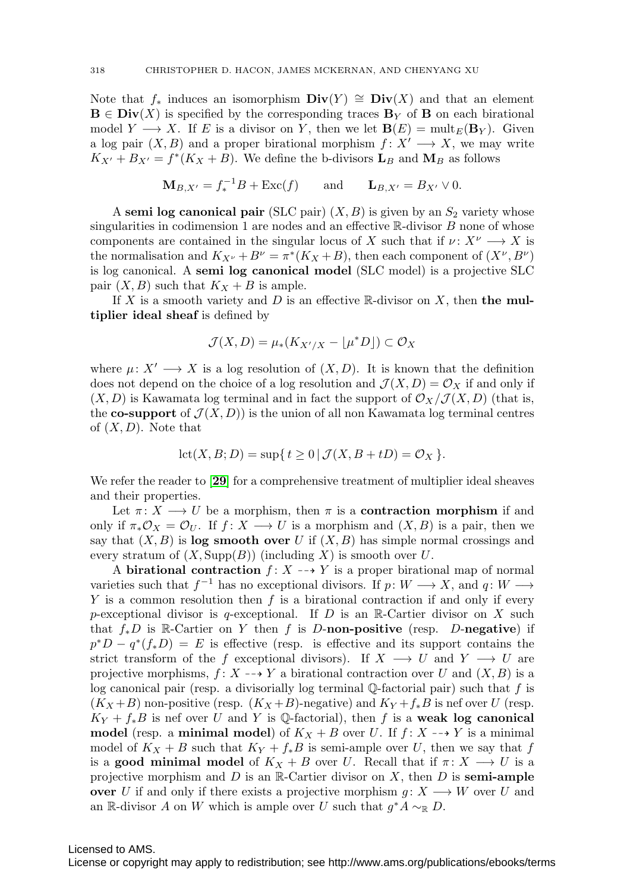Note that  $f_*$  induces an isomorphism  $\text{Div}(Y) \cong \text{Div}(X)$  and that an element  $\mathbf{B} \in \mathbf{Div}(X)$  is specified by the corresponding traces  $\mathbf{B}_Y$  of **B** on each birational model  $Y \longrightarrow X$ . If E is a divisor on Y, then we let  $\mathbf{B}(E) = \text{mult}_E(\mathbf{B}_Y)$ . Given a log pair  $(X, B)$  and a proper birational morphism  $f: X' \longrightarrow X$ , we may write  $K_{X'} + B_{X'} = f^*(K_X + B)$ . We define the b-divisors  $\mathbf{L}_B$  and  $\mathbf{M}_B$  as follows

$$
\mathbf{M}_{B,X'} = f_*^{-1}B + \text{Exc}(f) \quad \text{and} \quad \mathbf{L}_{B,X'} = B_{X'} \vee 0.
$$

A **semi log canonical pair** (SLC pair)  $(X, B)$  is given by an  $S_2$  variety whose singularities in codimension 1 are nodes and an effective  $\mathbb R$ -divisor B none of whose components are contained in the singular locus of X such that if  $\nu: X^{\nu} \longrightarrow X$  is the normalisation and  $K_{X^{\nu}} + B^{\nu} = \pi^*(K_X + B)$ , then each component of  $(X^{\nu}, B^{\nu})$ is log canonical. A **semi log canonical model** (SLC model) is a projective SLC pair  $(X, B)$  such that  $K_X + B$  is ample.

If X is a smooth variety and  $D$  is an effective  $\mathbb{R}$ -divisor on X, then **the multiplier ideal sheaf** is defined by

$$
\mathcal{J}(X,D) = \mu_*(K_{X'/X} - \lfloor \mu^* D \rfloor) \subset \mathcal{O}_X
$$

where  $\mu: X' \longrightarrow X$  is a log resolution of  $(X, D)$ . It is known that the definition does not depend on the choice of a log resolution and  $\mathcal{J}(X, D) = \mathcal{O}_X$  if and only if  $(X, D)$  is Kawamata log terminal and in fact the support of  $\mathcal{O}_X/\mathcal{J}(X, D)$  (that is, the **co-support** of  $\mathcal{J}(X, D)$  is the union of all non Kawamata log terminal centres of  $(X, D)$ . Note that

$$
lct(X, B; D) = \sup\{ t \ge 0 \mid \mathcal{J}(X, B + tD) = \mathcal{O}_X \}.
$$

We refer the reader to [**[29](#page-38-18)**] for a comprehensive treatment of multiplier ideal sheaves and their properties.

Let  $\pi: X \longrightarrow U$  be a morphism, then  $\pi$  is a **contraction morphism** if and only if  $\pi_* \mathcal{O}_X = \mathcal{O}_U$ . If  $f: X \longrightarrow U$  is a morphism and  $(X, B)$  is a pair, then we say that  $(X, B)$  is **log smooth over** U if  $(X, B)$  has simple normal crossings and every stratum of  $(X, \text{Supp}(B))$  (including X) is smooth over U.

A **birational contraction**  $f: X \dashrightarrow Y$  is a proper birational map of normal varieties such that  $f^{-1}$  has no exceptional divisors. If  $p: W \longrightarrow X$ , and  $q: W \longrightarrow$  $Y$  is a common resolution then  $f$  is a birational contraction if and only if every p-exceptional divisor is q-exceptional. If D is an R-Cartier divisor on X such that f∗D is R-Cartier on Y then f is D-**non-positive** (resp. D-**negative**) if  $p^*D - q^*(f_*D) = E$  is effective (resp. is effective and its support contains the strict transform of the f exceptional divisors). If  $X \longrightarrow U$  and  $Y \longrightarrow U$  are projective morphisms,  $f: X \dashrightarrow Y$  a birational contraction over U and  $(X, B)$  is a log canonical pair (resp. a divisorially log terminal  $\mathbb{Q}$ -factorial pair) such that f is  $(K_X+B)$  non-positive (resp.  $(K_X+B)$ -negative) and  $K_Y+f_*B$  is nef over U (resp.  $K_Y + f_*B$  is nef over U and Y is Q-factorial), then f is a **weak log canonical model** (resp. a **minimal model**) of  $K_X + B$  over U. If  $f: X \rightarrow Y$  is a minimal model of  $K_X + B$  such that  $K_Y + f_*B$  is semi-ample over U, then we say that f is a **good minimal model** of  $K_X + B$  over U. Recall that if  $\pi: X \longrightarrow U$  is a projective morphism and  $D$  is an R-Cartier divisor on  $X$ , then  $D$  is **semi-ample over** U if and only if there exists a projective morphism  $g: X \longrightarrow W$  over U and an R-divisor A on W which is ample over U such that  $g^*A \sim_{\mathbb{R}} D$ .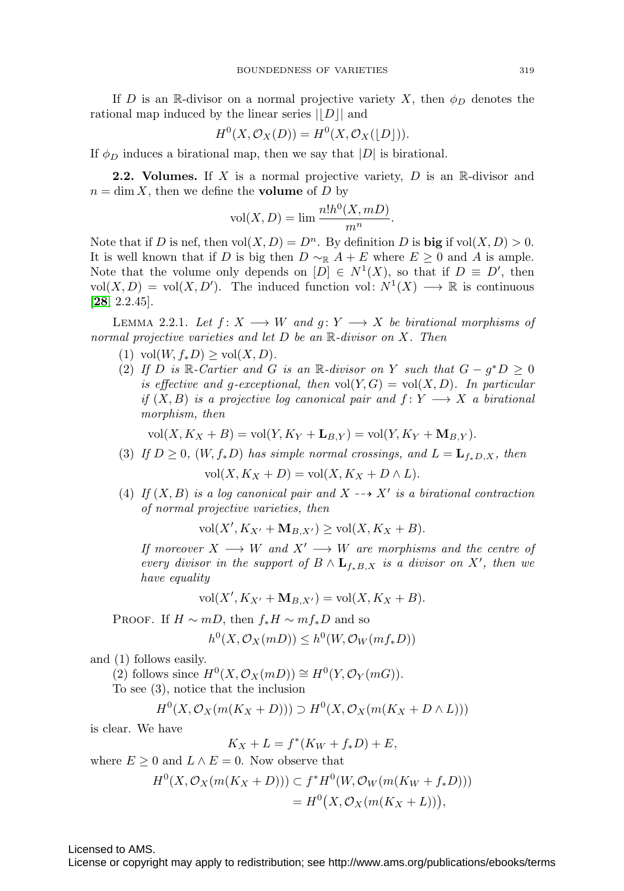If D is an R-divisor on a normal projective variety X, then  $\phi_D$  denotes the rational map induced by the linear series  $||D||$  and

$$
H^{0}(X, \mathcal{O}_{X}(D)) = H^{0}(X, \mathcal{O}_{X}(\lfloor D \rfloor)).
$$

If  $\phi_D$  induces a birational map, then we say that |D| is birational.

**2.2. Volumes.** If X is a normal projective variety,  $D$  is an R-divisor and  $n = \dim X$ , then we define the **volume** of D by

$$
vol(X, D) = \lim \frac{n! h^0(X, mD)}{m^n}.
$$

Note that if D is nef, then  $vol(X, D) = D^n$ . By definition D is **big** if  $vol(X, D) > 0$ . It is well known that if D is big then  $D \sim_R A + E$  where  $E \geq 0$  and A is ample. Note that the volume only depends on  $[D] \in N^1(X)$ , so that if  $D \equiv D'$ , then  $vol(X, D) = vol(X, D')$ . The induced function vol:  $N^1(X) \longrightarrow \mathbb{R}$  is continuous [**[28](#page-38-19)**, 2.2.45].

<span id="page-10-0"></span>LEMMA 2.2.1. Let  $f: X \longrightarrow W$  and  $g: Y \longrightarrow X$  be birational morphisms of normal projective varieties and let  $D$  be an  $\mathbb R$ -divisor on  $X$ . Then

- (1) vol $(W, f_*D) \geq \text{vol}(X, D)$ .
- (2) If D is R-Cartier and G is an R-divisor on Y such that  $G g^*D \geq 0$ is effective and g-exceptional, then  $vol(Y, G) = vol(X, D)$ . In particular if  $(X, B)$  is a projective log canonical pair and  $f: Y \longrightarrow X$  a birational morphism, then

$$
\text{vol}(X, K_X + B) = \text{vol}(Y, K_Y + \mathbf{L}_{B,Y}) = \text{vol}(Y, K_Y + \mathbf{M}_{B,Y}).
$$

(3) If  $D \geq 0$ ,  $(W, f_*D)$  has simple normal crossings, and  $L = L_{f_*D,X}$ , then

$$
vol(X, K_X + D) = vol(X, K_X + D \wedge L).
$$

(4) If  $(X, B)$  is a log canonical pair and  $X \dashrightarrow X'$  is a birational contraction of normal projective varieties, then

 $vol(X', K_{X'} + M_{B,X'}) \geq vol(X, K_X + B).$ 

If moreover  $X \longrightarrow W$  and  $X' \longrightarrow W$  are morphisms and the centre of every divisor in the support of  $B \wedge L_{f_*B,X}$  is a divisor on X', then we have equality

$$
\text{vol}(X', K_{X'} + \mathbf{M}_{B,X'}) = \text{vol}(X, K_X + B).
$$

PROOF. If  $H \sim mD$ , then  $f_*H \sim mf_*D$  and so

$$
h^0(X, \mathcal{O}_X(mD)) \le h^0(W, \mathcal{O}_W(mf_*D))
$$

and (1) follows easily.

(2) follows since  $H^0(X, \mathcal{O}_X(mD)) \cong H^0(Y, \mathcal{O}_Y(mG)).$ 

To see (3), notice that the inclusion

$$
H^{0}(X, \mathcal{O}_{X}(m(K_{X}+D))) \supset H^{0}(X, \mathcal{O}_{X}(m(K_{X}+D \wedge L)))
$$

is clear. We have

$$
K_X + L = f^*(K_W + f_*D) + E,
$$

where  $E \geq 0$  and  $L \wedge E = 0$ . Now observe that

$$
H^{0}(X, \mathcal{O}_{X}(m(K_{X}+D))) \subset f^{*}H^{0}(W, \mathcal{O}_{W}(m(K_{W}+f_{*}D)))
$$
  
=  $H^{0}(X, \mathcal{O}_{X}(m(K_{X}+L))),$ 

Licensed to AMS.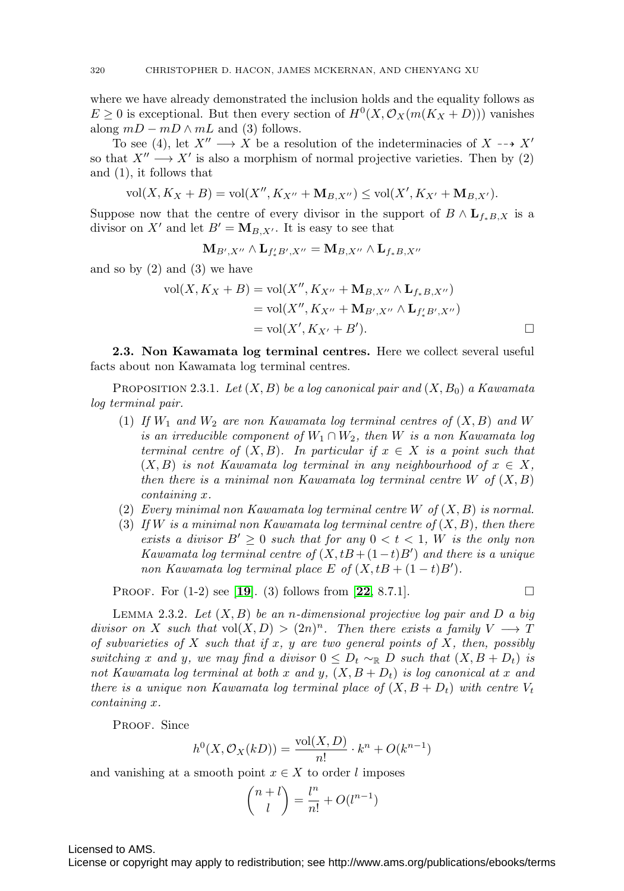where we have already demonstrated the inclusion holds and the equality follows as  $E \geq 0$  is exceptional. But then every section of  $H^0(X, \mathcal{O}_X(m(K_X + D)))$  vanishes along  $mD - mD \wedge mL$  and (3) follows.

To see (4), let  $X'' \longrightarrow X$  be a resolution of the indeterminacies of  $X \dashrightarrow X'$ so that  $X'' \longrightarrow X'$  is also a morphism of normal projective varieties. Then by (2) and (1), it follows that

$$
vol(X, K_X + B) = vol(X'', K_{X''} + M_{B,X''}) \le vol(X', K_{X'} + M_{B,X'}).
$$

Suppose now that the centre of every divisor in the support of  $B \wedge L_{f*B,X}$  is a divisor on X' and let  $B' = M_{B,X'}$ . It is easy to see that

$$
\mathbf{M}_{B',X''}\wedge \mathbf{L}_{f'_*B',X''}=\mathbf{M}_{B,X''}\wedge \mathbf{L}_{f_*B,X''}
$$

and so by  $(2)$  and  $(3)$  we have

$$
\text{vol}(X, K_X + B) = \text{vol}(X'', K_{X''} + \mathbf{M}_{B,X''} \wedge \mathbf{L}_{f_*B,X''})
$$
  
= 
$$
\text{vol}(X'', K_{X''} + \mathbf{M}_{B',X''} \wedge \mathbf{L}_{f'_*B',X''})
$$
  
= 
$$
\text{vol}(X', K_{X'} + B').
$$

**2.3. Non Kawamata log terminal centres.** Here we collect several useful facts about non Kawamata log terminal centres.

<span id="page-11-0"></span>PROPOSITION 2.3.1. Let  $(X, B)$  be a log canonical pair and  $(X, B_0)$  a Kawamata log terminal pair.

- (1) If  $W_1$  and  $W_2$  are non Kawamata log terminal centres of  $(X, B)$  and W is an irreducible component of  $W_1 \cap W_2$ , then W is a non Kawamata log terminal centre of  $(X, B)$ . In particular if  $x \in X$  is a point such that  $(X, B)$  is not Kawamata log terminal in any neighbourhood of  $x \in X$ , then there is a minimal non Kawamata log terminal centre  $W$  of  $(X, B)$ containing x.
- (2) Every minimal non Kawamata log terminal centre W of  $(X, B)$  is normal.
- (3) If W is a minimal non Kawamata log terminal centre of  $(X, B)$ , then there exists a divisor  $B' \geq 0$  such that for any  $0 < t < 1$ , W is the only non Kawamata log terminal centre of  $(X, tB + (1-t)B')$  and there is a unique non Kawamata log terminal place E of  $(X, tB + (1-t)B')$ .

Proof. For (1-2) see [**[19](#page-38-20)**]. (3) follows from [**[22](#page-38-21)**, 8.7.1].

$$
\Box
$$

<span id="page-11-1"></span>LEMMA 2.3.2. Let  $(X, B)$  be an n-dimensional projective log pair and D a big divisor on X such that  $vol(X, D) > (2n)^n$ . Then there exists a family  $V \longrightarrow T$ of subvarieties of X such that if x, y are two general points of X, then, possibly switching x and y, we may find a divisor  $0 \leq D_t \sim_{\mathbb{R}} D$  such that  $(X, B + D_t)$  is not Kawamata log terminal at both x and y,  $(X, B + D_t)$  is log canonical at x and there is a unique non Kawamata log terminal place of  $(X, B + D_t)$  with centre  $V_t$ containing x.

PROOF. Since

$$
h^{0}(X, \mathcal{O}_{X}(kD)) = \frac{\text{vol}(X, D)}{n!} \cdot k^{n} + O(k^{n-1})
$$

and vanishing at a smooth point  $x \in X$  to order l imposes

$$
\binom{n+l}{l} = \frac{l^n}{n!} + O(l^{n-1})
$$

Licensed to AMS.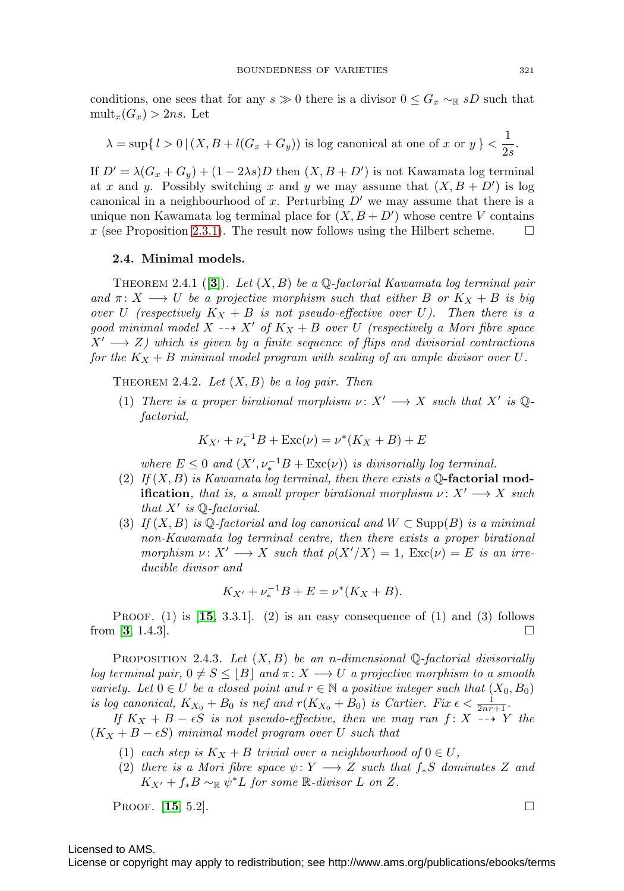conditions, one sees that for any  $s \gg 0$  there is a divisor  $0 \leq G_x \sim_R sD$  such that  $mult_x(G_x) > 2ns$ . Let

$$
\lambda = \sup\{l > 0 \mid (X, B + l(G_x + G_y)) \text{ is log canonical at one of } x \text{ or } y\} < \frac{1}{2s}.
$$

If  $D' = \lambda(G_x + G_y) + (1 - 2\lambda s)D$  then  $(X, B + D')$  is not Kawamata log terminal at x and y. Possibly switching x and y we may assume that  $(X, B + D')$  is log canonical in a neighbourhood of x. Perturbing  $D'$  we may assume that there is a unique non Kawamata log terminal place for  $(X, B + D')$  whose centre V contains x (see Proposition [2.3.1\)](#page-11-0). The result now follows using the Hilbert scheme.  $\square$ 

#### **2.4. Minimal models.**

THEOREM 2.4.1 ( $|3|$  $|3|$  $|3|$ ). Let  $(X, B)$  be a  $\mathbb{Q}$ -factorial Kawamata log terminal pair and  $\pi: X \longrightarrow U$  be a projective morphism such that either B or  $K_X + B$  is big over U (respectively  $K_X + B$  is not pseudo-effective over U). Then there is a good minimal model  $X \dashrightarrow X'$  of  $K_X + B$  over U (respectively a Mori fibre space  $X' \longrightarrow Z$ ) which is given by a finite sequence of flips and divisorial contractions for the  $K_X + B$  minimal model program with scaling of an ample divisor over U.

<span id="page-12-0"></span>THEOREM 2.4.2. Let  $(X, B)$  be a log pair. Then

(1) There is a proper birational morphism  $\nu: X' \longrightarrow X$  such that X' is Qfactorial,

$$
K_{X'} + \nu_*^{-1}B + \text{Exc}(\nu) = \nu^*(K_X + B) + E
$$

where  $E \leq 0$  and  $(X', \nu_*^{-1}B + \text{Exc}(\nu))$  is divisorially log terminal.

- (2) If (X, B) is Kawamata log terminal, then there exists a Q**-factorial modification**, that is, a small proper birational morphism  $\nu: X' \longrightarrow X$  such that  $X'$  is Q-factorial.
- (3) If  $(X, B)$  is Q-factorial and log canonical and  $W \subset \text{Supp}(B)$  is a minimal non-Kawamata log terminal centre, then there exists a proper birational morphism  $\nu: X' \longrightarrow X$  such that  $\rho(X'/X) = 1$ ,  $\text{Exc}(\nu) = E$  is an irreducible divisor and

$$
K_{X'} + \nu_*^{-1}B + E = \nu^*(K_X + B).
$$

PROOF.  $(1)$  is  $[15, 3.3.1]$  $[15, 3.3.1]$  $[15, 3.3.1]$ .  $(2)$  is an easy consequence of  $(1)$  and  $(3)$  follows from [**[3](#page-37-6)**, 1.4.3].

<span id="page-12-1"></span>PROPOSITION 2.4.3. Let  $(X, B)$  be an n-dimensional Q-factorial divisorially log terminal pair,  $0 \neq S \leq |B|$  and  $\pi: X \longrightarrow U$  a projective morphism to a smooth variety. Let  $0 \in U$  be a closed point and  $r \in \mathbb{N}$  a positive integer such that  $(X_0, B_0)$ is log canonical,  $K_{X_0} + B_0$  is nef and  $r(K_{X_0} + B_0)$  is Cartier. Fix  $\epsilon < \frac{1}{2nr+1}$ .

If  $K_X + B - \epsilon S$  is not pseudo-effective, then we may run f: X --> Y the  $(K_X + B - \epsilon S)$  minimal model program over U such that

- (1) each step is  $K_X + B$  trivial over a neighbourhood of  $0 \in U$ ,
- (2) there is a Mori fibre space  $\psi \colon Y \longrightarrow Z$  such that  $f_*S$  dominates Z and  $K_{X'} + f_*B \sim_{\mathbb{R}} \psi^*L$  for some  $\mathbb{R}$ -divisor L on Z.

**PROOF.** [[15](#page-38-9), 5.2].

Licensed to AMS.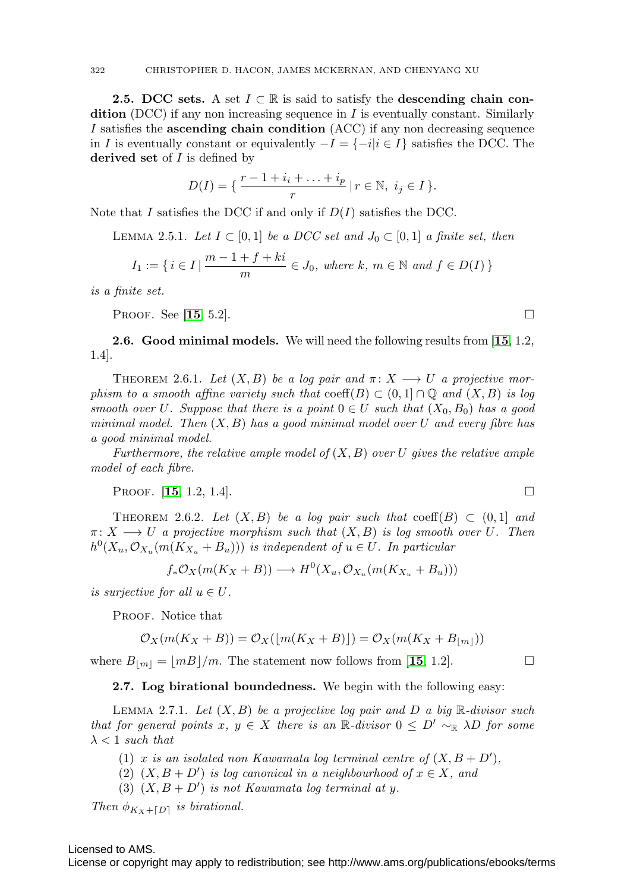**2.5. DCC sets.** A set  $I \subset \mathbb{R}$  is said to satisfy the **descending chain condition** (DCC) if any non increasing sequence in  $I$  is eventually constant. Similarly I satisfies the **ascending chain condition** (ACC) if any non decreasing sequence in I is eventually constant or equivalently  $-I = \{-i|i \in I\}$  satisfies the DCC. The **derived set** of I is defined by

$$
D(I) = \{ \frac{r-1+i_i + \ldots + i_p}{r} \mid r \in \mathbb{N}, \ i_j \in I \}.
$$

<span id="page-13-2"></span>Note that I satisfies the DCC if and only if  $D(I)$  satisfies the DCC.

LEMMA 2.5.1. Let 
$$
I \subset [0,1]
$$
 be a DCC set and  $J_0 \subset [0,1]$  a finite set, then  
\n
$$
I_1 := \{ i \in I \mid \frac{m-1+f+ki}{m} \in J_0, \text{ where } k, m \in \mathbb{N} \text{ and } f \in D(I) \}
$$

is a finite set.

**PROOF.** See [[15](#page-38-9), 5.2].

**2.6. Good minimal models.** We will need the following results from [**[15](#page-38-9)**, 1.2, 1.4].

<span id="page-13-3"></span>THEOREM 2.6.1. Let  $(X, B)$  be a log pair and  $\pi \colon X \longrightarrow U$  a projective morphism to a smooth affine variety such that  $\mathrm{coeff}(B) \subset (0,1] \cap \mathbb{Q}$  and  $(X, B)$  is log smooth over U. Suppose that there is a point  $0 \in U$  such that  $(X_0, B_0)$  has a good minimal model. Then  $(X, B)$  has a good minimal model over U and every fibre has a good minimal model.

Furthermore, the relative ample model of  $(X, B)$  over U gives the relative ample model of each fibre.

PROOF. [[15](#page-38-9), 1.2, 1.4].

<span id="page-13-0"></span>THEOREM 2.6.2. Let  $(X, B)$  be a log pair such that coeff $(B) \subset (0, 1]$  and  $\pi: X \longrightarrow U$  a projective morphism such that  $(X, B)$  is log smooth over U. Then  $h^0(X_u, \mathcal{O}_{X_u}(m(K_{X_u}+B_u)))$  is independent of  $u \in U$ . In particular

$$
f_*\mathcal{O}_X(m(K_X + B)) \longrightarrow H^0(X_u, \mathcal{O}_{X_u}(m(K_{X_u} + B_u)))
$$

is surjective for all  $u \in U$ .

PROOF. Notice that

$$
\mathcal{O}_X(m(K_X + B)) = \mathcal{O}_X(\lfloor m(K_X + B) \rfloor) = \mathcal{O}_X(m(K_X + B_{\lfloor m \rfloor}))
$$

where  $B_{\lfloor m \rfloor} = \lfloor mB \rfloor/m$ . The statement now follows from [[15](#page-38-9), 1.2].

#### **2.7. Log birational boundedness.** We begin with the following easy:

<span id="page-13-1"></span>LEMMA 2.7.1. Let  $(X, B)$  be a projective log pair and D a big R-divisor such that for general points x,  $y \in X$  there is an R-divisor  $0 \leq D' \sim_R \lambda D$  for some  $\lambda$  < 1 such that

- (1) x is an isolated non Kawamata log terminal centre of  $(X, B + D')$ ,
- (2)  $(X, B + D')$  is log canonical in a neighbourhood of  $x \in X$ , and
- (3)  $(X, B + D')$  is not Kawamata log terminal at y.

Then  $\phi_{Kx+\lceil D \rceil}$  is birational.

### Licensed to AMS.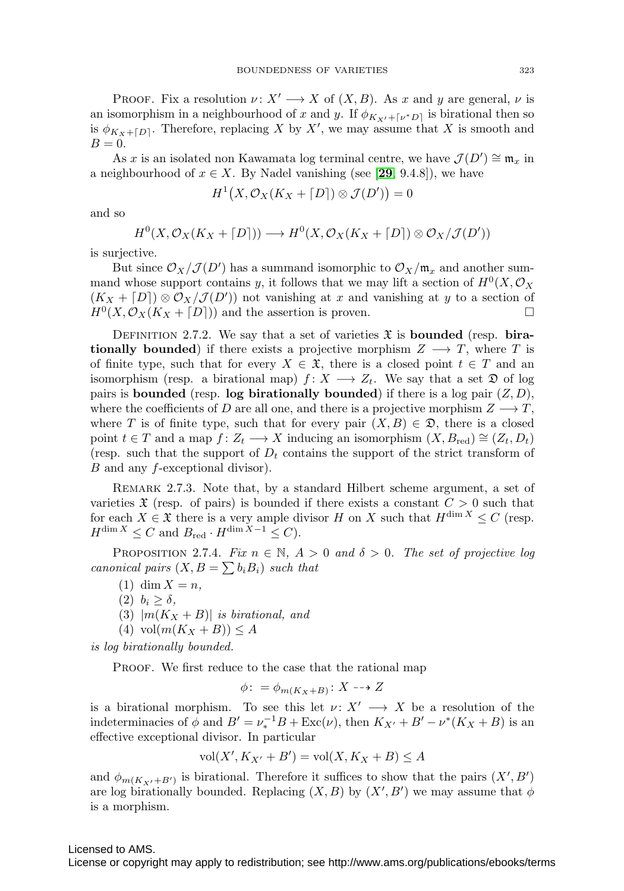PROOF. Fix a resolution  $\nu: X' \longrightarrow X$  of  $(X, B)$ . As x and y are general,  $\nu$  is an isomorphism in a neighbourhood of x and y. If  $\phi_{K_{X'} + \lceil \nu^* D \rceil}$  is birational then so is  $\phi_{K_X+[D]}$ . Therefore, replacing X by X', we may assume that X is smooth and  $B=0.$ 

As x is an isolated non Kawamata log terminal centre, we have  $\mathcal{J}(D') \cong \mathfrak{m}_x$  in a neighbourhood of  $x \in X$ . By Nadel vanishing (see [[29](#page-38-18), 9.4.8]), we have

$$
H^1(X, \mathcal{O}_X(K_X + \lceil D \rceil) \otimes \mathcal{J}(D')) = 0
$$

and so

$$
H^{0}(X, \mathcal{O}_{X}(K_{X} + \lceil D \rceil)) \longrightarrow H^{0}(X, \mathcal{O}_{X}(K_{X} + \lceil D \rceil) \otimes \mathcal{O}_{X}/\mathcal{J}(D'))
$$

is surjective.

But since  $\mathcal{O}_X/\mathcal{J}(D')$  has a summand isomorphic to  $\mathcal{O}_X/\mathfrak{m}_x$  and another summand whose support contains y, it follows that we may lift a section of  $H^0(X, \mathcal{O}_X)$  $(K_X + [D]) \otimes \mathcal{O}_X/\mathcal{J}(D'))$  not vanishing at x and vanishing at y to a section of  $H^0(X, \mathcal{O}_X(K_X + [D]))$  and the assertion is proven.

<span id="page-14-0"></span>DEFINITION 2.7.2. We say that a set of varieties  $\mathfrak{X}$  is **bounded** (resp. **birationally bounded**) if there exists a projective morphism  $Z \rightarrow T$ , where T is of finite type, such that for every  $X \in \mathfrak{X}$ , there is a closed point  $t \in T$  and an isomorphism (resp. a birational map)  $f: X \longrightarrow Z_t$ . We say that a set  $\mathfrak D$  of log pairs is **bounded** (resp. **log birationally bounded**) if there is a log pair  $(Z, D)$ , where the coefficients of D are all one, and there is a projective morphism  $Z \longrightarrow T$ , where T is of finite type, such that for every pair  $(X, B) \in \mathcal{D}$ , there is a closed point  $t \in T$  and a map  $f: Z_t \longrightarrow X$  inducing an isomorphism  $(X, B_{red}) \cong (Z_t, D_t)$ (resp. such that the support of  $D_t$  contains the support of the strict transform of B and any f-exceptional divisor).

Remark 2.7.3. Note that, by a standard Hilbert scheme argument, a set of varieties  $\mathfrak X$  (resp. of pairs) is bounded if there exists a constant  $C > 0$  such that for each  $X \in \mathfrak{X}$  there is a very ample divisor H on X such that  $H^{\dim X} \leq C$  (resp.  $H^{\dim X} \leq C$  and  $B_{\text{red}} \cdot H^{\dim X-1} \leq C$ .

<span id="page-14-1"></span>PROPOSITION 2.7.4. Fix  $n \in \mathbb{N}$ ,  $A > 0$  and  $\delta > 0$ . The set of projective log canonical pairs  $(X, B = \sum b_i B_i)$  such that

- (1) dim  $X = n$ ,
- (2)  $b_i \geq \delta$ ,
- (3)  $|m(K_X + B)|$  is birational, and
- $(4) \text{vol}(m(K_X + B)) \leq A$

is log birationally bounded.

PROOF. We first reduce to the case that the rational map

$$
\phi: = \phi_{m(K_X+B)}: X \dashrightarrow Z
$$

is a birational morphism. To see this let  $\nu: X' \longrightarrow X$  be a resolution of the indeterminacies of  $\phi$  and  $B' = \nu_*^{-1}B + \text{Exc}(\nu)$ , then  $K_{X'} + B' - \nu^*(K_X + B)$  is an effective exceptional divisor. In particular

$$
vol(X', K_{X'} + B') = vol(X, K_X + B) \le A
$$

and  $\phi_{m(K_{X'}+B')}$  is birational. Therefore it suffices to show that the pairs  $(X', B')$ are log birationally bounded. Replacing  $(X, B)$  by  $(X', B')$  we may assume that  $\phi$ is a morphism.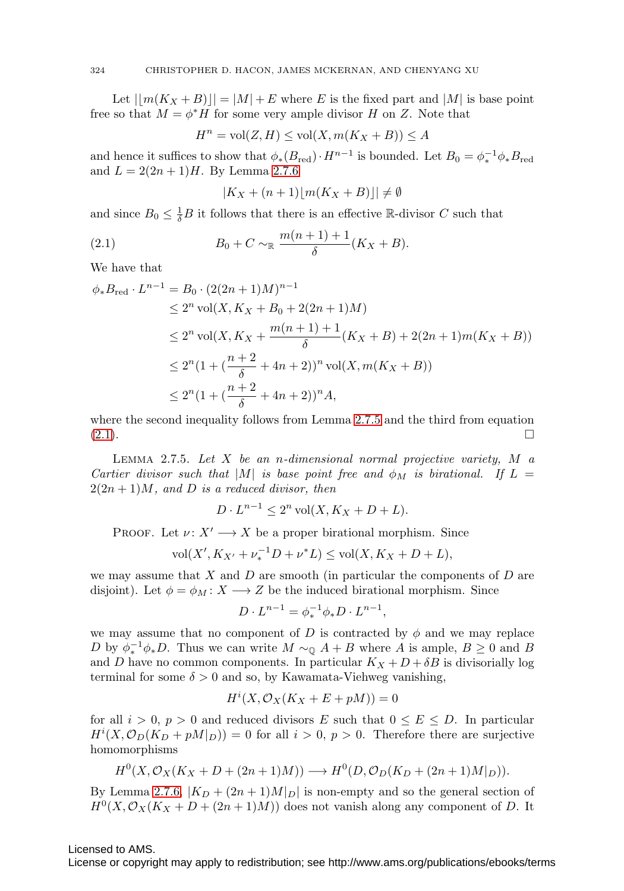Let  $||m(K_X + B)|| = |M| + E$  where E is the fixed part and  $|M|$  is base point free so that  $M = \phi^* H$  for some very ample divisor H on Z. Note that

$$
H^n = \text{vol}(Z, H) \le \text{vol}(X, m(K_X + B)) \le A
$$

and hence it suffices to show that  $\phi_*(B_{\text{red}}) \cdot H^{n-1}$  is bounded. Let  $B_0 = \phi_*^{-1} \phi_* B_{\text{red}}$ and  $L = 2(2n + 1)H$ . By Lemma [2.7.6](#page-16-0)

$$
|K_X + (n+1)|m(K_X + B)| \neq \emptyset
$$

and since  $B_0 \leq \frac{1}{\delta}B$  it follows that there is an effective R-divisor C such that

<span id="page-15-1"></span>(2.1) 
$$
B_0 + C \sim_{\mathbb{R}} \frac{m(n+1)+1}{\delta} (K_X + B).
$$

We have that

$$
\phi_* B_{\text{red}} \cdot L^{n-1} = B_0 \cdot (2(2n+1)M)^{n-1}
$$
  
\n
$$
\leq 2^n \operatorname{vol}(X, K_X + B_0 + 2(2n+1)M)
$$
  
\n
$$
\leq 2^n \operatorname{vol}(X, K_X + \frac{m(n+1)+1}{\delta}(K_X + B) + 2(2n+1)m(K_X + B))
$$
  
\n
$$
\leq 2^n (1 + (\frac{n+2}{\delta} + 4n + 2))^n \operatorname{vol}(X, m(K_X + B))
$$
  
\n
$$
\leq 2^n (1 + (\frac{n+2}{\delta} + 4n + 2))^n A,
$$

where the second inequality follows from Lemma [2.7.5](#page-15-0) and the third from equation  $(2.1).$  $(2.1).$ 

<span id="page-15-0"></span>LEMMA 2.7.5. Let  $X$  be an n-dimensional normal projective variety,  $M$  a Cartier divisor such that |M| is base point free and  $\phi_M$  is birational. If  $L =$  $2(2n+1)M$ , and D is a reduced divisor, then

$$
D \cdot L^{n-1} \le 2^n \operatorname{vol}(X, K_X + D + L).
$$

PROOF. Let  $\nu: X' \longrightarrow X$  be a proper birational morphism. Since

$$
\text{vol}(X', K_{X'} + \nu_*^{-1}D + \nu^*L) \le \text{vol}(X, K_X + D + L),
$$

we may assume that  $X$  and  $D$  are smooth (in particular the components of  $D$  are disjoint). Let  $\phi = \phi_M : X \longrightarrow Z$  be the induced birational morphism. Since

$$
D \cdot L^{n-1} = \phi_*^{-1} \phi_* D \cdot L^{n-1},
$$

we may assume that no component of D is contracted by  $\phi$  and we may replace D by  $\phi_*^{-1} \phi_* D$ . Thus we can write  $M \sim_{\mathbb{Q}} A + B$  where A is ample,  $B \geq 0$  and B and D have no common components. In particular  $K_X + D + \delta B$  is divisorially log terminal for some  $\delta > 0$  and so, by Kawamata-Viehweg vanishing,

$$
H^i(X, \mathcal{O}_X(K_X + E + pM)) = 0
$$

for all  $i > 0$ ,  $p > 0$  and reduced divisors E such that  $0 \le E \le D$ . In particular  $H^{i}(X, \mathcal{O}_D(K_D + pM|_D)) = 0$  for all  $i > 0$ ,  $p > 0$ . Therefore there are surjective homomorphisms

$$
H^{0}(X, \mathcal{O}_{X}(K_{X}+D+(2n+1)M)) \longrightarrow H^{0}(D, \mathcal{O}_{D}(K_{D}+(2n+1)M|_{D})).
$$

By Lemma [2.7.6,](#page-16-0)  $|K_D + (2n + 1)M_D|$  is non-empty and so the general section of  $H^0(X, \mathcal{O}_X(K_X + D + (2n+1)M))$  does not vanish along any component of D. It

Licensed to AMS.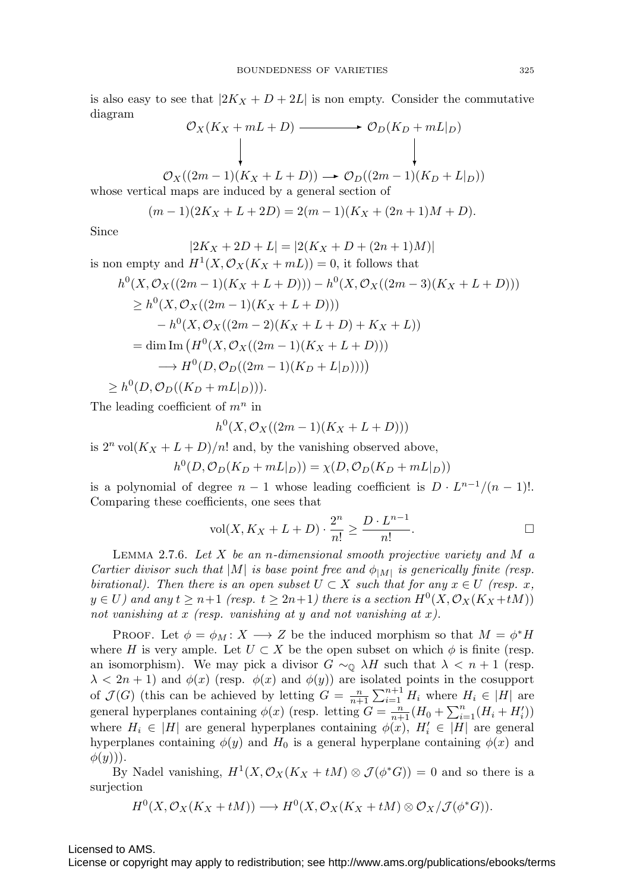is also easy to see that  $|2K_X + D + 2L|$  is non empty. Consider the commutative diagram

$$
\mathcal{O}_X(K_X + mL + D) \longrightarrow \mathcal{O}_D(K_D + mL|_D)
$$
\n
$$
\downarrow \qquad \qquad \downarrow
$$
\n
$$
\mathcal{O}_X((2m-1)(K_X + L + D)) \longrightarrow \mathcal{O}_D((2m-1)(K_D + L|_D))
$$

whose vertical maps are induced by a general section of

$$
(m-1)(2K_X + L + 2D) = 2(m-1)(K_X + (2n+1)M + D).
$$

Since

$$
|2K_X + 2D + L| = |2(K_X + D + (2n + 1)M)|
$$

is non empty and  $H^1(X, \mathcal{O}_X(K_X + mL)) = 0$ , it follows that

$$
h^{0}(X, \mathcal{O}_{X}((2m-1)(K_{X}+L+D))) - h^{0}(X, \mathcal{O}_{X}((2m-3)(K_{X}+L+D)))
$$
  
\n
$$
\geq h^{0}(X, \mathcal{O}_{X}((2m-1)(K_{X}+L+D)))
$$
  
\n
$$
-h^{0}(X, \mathcal{O}_{X}((2m-2)(K_{X}+L+D)+K_{X}+L))
$$
  
\n
$$
= \dim \text{Im} (H^{0}(X, \mathcal{O}_{X}((2m-1)(K_{X}+L+D)))
$$
  
\n
$$
\longrightarrow H^{0}(D, \mathcal{O}_{D}((2m-1)(K_{D}+L|_{D}))))
$$
  
\n
$$
\geq h^{0}(D, \mathcal{O}_{D}((K_{D}+mL|_{D}))).
$$

The leading coefficient of  $m^n$  in

$$
h^0(X, \mathcal{O}_X((2m-1)(K_X+L+D)))
$$

is  $2^n \text{vol}(K_X + L + D)/n!$  and, by the vanishing observed above,

$$
h^0(D, \mathcal{O}_D(K_D + mL|_D)) = \chi(D, \mathcal{O}_D(K_D + mL|_D))
$$

is a polynomial of degree  $n-1$  whose leading coefficient is  $D \cdot L^{n-1}/(n-1)!$ . Comparing these coefficients, one sees that

$$
\text{vol}(X, K_X + L + D) \cdot \frac{2^n}{n!} \ge \frac{D \cdot L^{n-1}}{n!}.
$$

<span id="page-16-0"></span>LEMMA 2.7.6. Let  $X$  be an n-dimensional smooth projective variety and  $M$  a Cartier divisor such that  $|M|$  is base point free and  $\phi_{|M|}$  is generically finite (resp. birational). Then there is an open subset  $U \subset X$  such that for any  $x \in U$  (resp. x,  $y \in U$ ) and any  $t \geq n+1$  (resp.  $t \geq 2n+1$ ) there is a section  $H^0(X, \mathcal{O}_X(K_X + tM))$ not vanishing at x (resp. vanishing at y and not vanishing at x).

PROOF. Let  $\phi = \phi_M : X \longrightarrow Z$  be the induced morphism so that  $M = \phi^* H$ where H is very ample. Let  $U \subset X$  be the open subset on which  $\phi$  is finite (resp. an isomorphism). We may pick a divisor  $G \sim_{\mathbb{Q}} \lambda H$  such that  $\lambda < n + 1$  (resp.  $\lambda < 2n + 1$ ) and  $\phi(x)$  (resp.  $\phi(x)$  and  $\phi(y)$ ) are isolated points in the cosupport of  $\mathcal{J}(G)$  (this can be achieved by letting  $G = \frac{n}{n+1} \sum_{i=1}^{n+1} H_i$  where  $H_i \in |H|$  are general hyperplanes containing  $\phi(x)$  (resp. letting  $G = \frac{n}{n+1}(H_0 + \sum_{i=1}^n (H_i + H'_i))$ where  $H_i \in |H|$  are general hyperplanes containing  $\phi(x)$ ,  $H'_i \in |H|$  are general hyperplanes containing  $\phi(y)$  and  $H_0$  is a general hyperplane containing  $\phi(x)$  and  $\phi(y))$ ).

By Nadel vanishing,  $H^1(X, \mathcal{O}_X(K_X + tM) \otimes \mathcal{J}(\phi^*G)) = 0$  and so there is a surjection

$$
H^0(X, \mathcal{O}_X(K_X + tM)) \longrightarrow H^0(X, \mathcal{O}_X(K_X + tM) \otimes \mathcal{O}_X/\mathcal{J}(\phi^*G)).
$$

Licensed to AMS.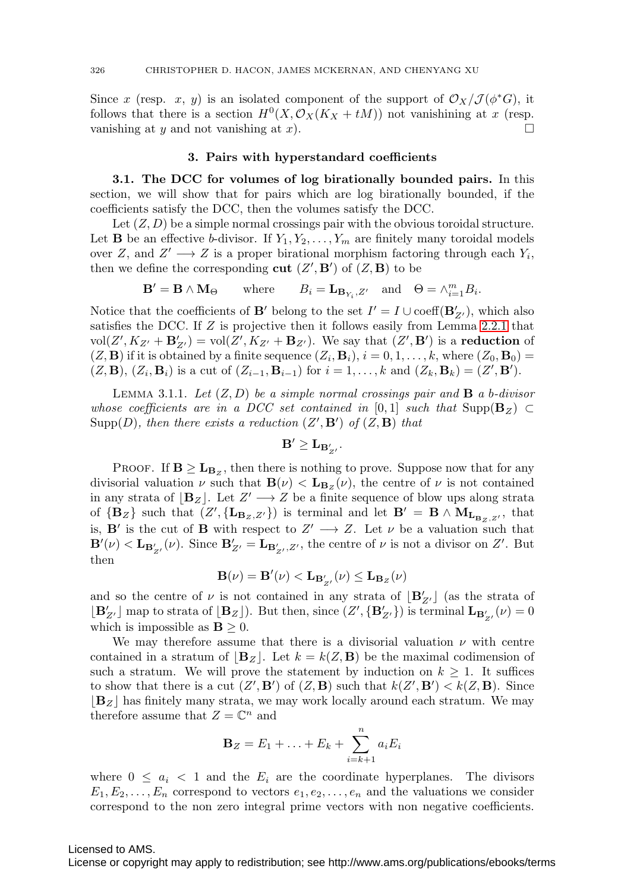Since x (resp. x, y) is an isolated component of the support of  $\mathcal{O}_X/\mathcal{J}(\phi^*G)$ , it follows that there is a section  $H^0(X, \mathcal{O}_X(K_X + tM))$  not vanishining at x (resp. vanishing at y and not vanishing at x).  $\square$ 

#### **3. Pairs with hyperstandard coefficients**

**3.1. The DCC for volumes of log birationally bounded pairs.** In this section, we will show that for pairs which are log birationally bounded, if the coefficients satisfy the DCC, then the volumes satisfy the DCC.

Let  $(Z, D)$  be a simple normal crossings pair with the obvious toroidal structure. Let **B** be an effective b-divisor. If  $Y_1, Y_2, \ldots, Y_m$  are finitely many toroidal models over Z, and  $Z' \longrightarrow Z$  is a proper birational morphism factoring through each  $Y_i$ , then we define the corresponding **cut**  $(Z', \mathbf{B}')$  of  $(Z, \mathbf{B})$  to be

$$
\mathbf{B}' = \mathbf{B} \wedge \mathbf{M}_{\Theta} \qquad \text{where} \qquad B_i = \mathbf{L}_{\mathbf{B}_{Y_i}, Z'} \quad \text{and} \quad \Theta = \wedge_{i=1}^m B_i.
$$

Notice that the coefficients of **B**' belong to the set  $I' = I \cup \text{coeff}(\mathbf{B}_{Z'}')$ , which also satisfies the DCC. If Z is projective then it follows easily from Lemma [2.2.1](#page-10-0) that  $vol(Z', K_{Z'} + \mathbf{B}_{Z'}') = vol(Z', K_{Z'} + \mathbf{B}_{Z'})$ . We say that  $(Z', \mathbf{B}')$  is a **reduction** of  $(Z, \mathbf{B})$  if it is obtained by a finite sequence  $(Z_i, \mathbf{B}_i)$ ,  $i = 0, 1, \ldots, k$ , where  $(Z_0, \mathbf{B}_0)$  =  $(Z, \mathbf{B})$ ,  $(Z_i, \mathbf{B}_i)$  is a cut of  $(Z_{i-1}, \mathbf{B}_{i-1})$  for  $i = 1, ..., k$  and  $(Z_k, \mathbf{B}_k) = (Z', \mathbf{B}')$ .

<span id="page-17-0"></span>LEMMA 3.1.1. Let  $(Z, D)$  be a simple normal crossings pair and **B** a b-divisor whose coefficients are in a DCC set contained in [0,1] such that  $\text{Supp}(\mathbf{B}_Z) \subset$  $\text{Supp}(D)$ , then there exists a reduction  $(Z', \mathbf{B}')$  of  $(Z, \mathbf{B})$  that

$$
\mathbf{B}' \geq \mathbf{L}_{\mathbf{B}'_{Z'}}.
$$

**PROOF.** If  $\mathbf{B} \geq \mathbf{L}_{\mathbf{B}_z}$ , then there is nothing to prove. Suppose now that for any divisorial valuation  $\nu$  such that  $\mathbf{B}(\nu) < \mathbf{L}_{\mathbf{B}_Z}(\nu)$ , the centre of  $\nu$  is not contained in any strata of  $[\mathbf{B}_Z]$ . Let  $Z' \longrightarrow Z$  be a finite sequence of blow ups along strata of  ${\bf \{B_Z\}}$  such that  $(Z', {\bf \{L_{B_Z, Z'}\})$  is terminal and let  $B' = B \wedge M_{L_{B_Z, Z'}},$  that is, **B'** is the cut of **B** with respect to  $Z' \longrightarrow Z$ . Let  $\nu$  be a valuation such that  $\mathbf{B}'(\nu) < \mathbf{L}_{\mathbf{B}'_{Z'}}(\nu)$ . Since  $\mathbf{B}'_{Z'} = \mathbf{L}_{\mathbf{B}'_{Z'}}, Z'$ , the centre of  $\nu$  is not a divisor on  $Z'$ . But then

$$
\mathbf{B}(\nu)=\mathbf{B}'(\nu)<\mathbf{L}_{\mathbf{B}'_{Z'}}(\nu)\leq\mathbf{L}_{\mathbf{B}_Z}(\nu)
$$

and so the centre of  $\nu$  is not contained in any strata of  $[\mathbf{B}'_{Z'}]$  (as the strata of  $[\mathbf{B}_{Z'}']$  map to strata of  $[\mathbf{B}_Z]$ ). But then, since  $(Z', {\mathbf{B}_{Z'}'})$  is terminal  $\mathbf{L}_{\mathbf{B}_{Z'}'}(\nu) = 0$ which is impossible as  $\mathbf{B} \geq 0$ .

We may therefore assume that there is a divisorial valuation  $\nu$  with centre contained in a stratum of  $|\mathbf{B}_Z|$ . Let  $k = k(Z, \mathbf{B})$  be the maximal codimension of such a stratum. We will prove the statement by induction on  $k \geq 1$ . It suffices to show that there is a cut  $(Z', \mathbf{B}')$  of  $(Z, \mathbf{B})$  such that  $k(Z', \mathbf{B}') < k(Z, \mathbf{B})$ . Since  $|\mathbf{B}_Z|$  has finitely many strata, we may work locally around each stratum. We may therefore assume that  $Z = \mathbb{C}^n$  and

$$
\mathbf{B}_Z = E_1 + \ldots + E_k + \sum_{i=k+1}^n a_i E_i
$$

where  $0 \leq a_i < 1$  and the  $E_i$  are the coordinate hyperplanes. The divisors  $E_1, E_2, \ldots, E_n$  correspond to vectors  $e_1, e_2, \ldots, e_n$  and the valuations we consider correspond to the non zero integral prime vectors with non negative coefficients.

#### Licensed to AMS.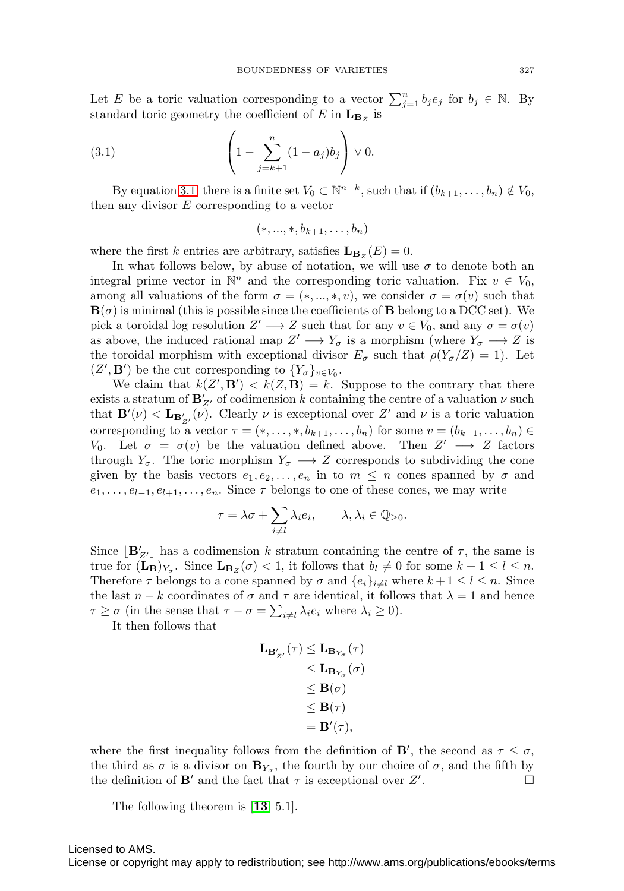Let E be a toric valuation corresponding to a vector  $\sum_{j=1}^{n} b_j e_j$  for  $b_j \in \mathbb{N}$ . By standard toric geometry the coefficient of  $E$  in  $\mathbf{L}_{\mathbf{B}_Z}$  is

(3.1) 
$$
\left(1 - \sum_{j=k+1}^{n} (1 - a_j) b_j\right) \vee 0.
$$

By equation [3.1,](#page-18-0) there is a finite set  $V_0 \subset \mathbb{N}^{n-k}$ , such that if  $(b_{k+1}, \ldots, b_n) \notin V_0$ , then any divisor  $E$  corresponding to a vector

<span id="page-18-0"></span>
$$
(*, ..., *, b_{k+1}, \ldots, b_n)
$$

where the first k entries are arbitrary, satisfies  $\mathbf{L}_{\mathbf{B}_{z}}(E) = 0$ .

In what follows below, by abuse of notation, we will use  $\sigma$  to denote both an integral prime vector in  $\mathbb{N}^n$  and the corresponding toric valuation. Fix  $v \in V_0$ , among all valuations of the form  $\sigma = (*, ..., *, v)$ , we consider  $\sigma = \sigma(v)$  such that  $\mathbf{B}(\sigma)$  is minimal (this is possible since the coefficients of **B** belong to a DCC set). We pick a toroidal log resolution  $Z' \longrightarrow Z$  such that for any  $v \in V_0$ , and any  $\sigma = \sigma(v)$ as above, the induced rational map  $Z' \longrightarrow Y_{\sigma}$  is a morphism (where  $Y_{\sigma} \longrightarrow Z$  is the toroidal morphism with exceptional divisor  $E_{\sigma}$  such that  $\rho(Y_{\sigma}/Z) = 1$ ). Let  $(Z', \mathbf{B}')$  be the cut corresponding to  $\{Y_{\sigma}\}_{v \in V_0}$ .

We claim that  $k(Z', \mathbf{B}') < k(Z, \mathbf{B}) = k$ . Suppose to the contrary that there exists a stratum of  $\mathbf{B}_{Z'}'$  of codimension k containing the centre of a valuation  $\nu$  such that  $\mathbf{B}'(\nu) < \mathbf{L}_{\mathbf{B}'_{Z'}}(\nu)$ . Clearly  $\nu$  is exceptional over Z' and  $\nu$  is a toric valuation corresponding to a vector  $\tau = (*,\ldots,*,b_{k+1},\ldots,b_n)$  for some  $v = (b_{k+1},\ldots,b_n)$ V<sub>0</sub>. Let  $\sigma = \sigma(v)$  be the valuation defined above. Then  $Z' \longrightarrow Z$  factors through  $Y_{\sigma}$ . The toric morphism  $Y_{\sigma} \longrightarrow Z$  corresponds to subdividing the cone given by the basis vectors  $e_1, e_2, \ldots, e_n$  in to  $m \leq n$  cones spanned by  $\sigma$  and  $e_1, \ldots, e_{l-1}, e_{l+1}, \ldots, e_n$ . Since  $\tau$  belongs to one of these cones, we may write

$$
\tau = \lambda \sigma + \sum_{i \neq l} \lambda_i e_i, \qquad \lambda, \lambda_i \in \mathbb{Q}_{\geq 0}.
$$

Since  $[\mathbf{B}'_{Z'}]$  has a codimension k stratum containing the centre of  $\tau$ , the same is true for  $(\mathbf{L}_{\mathbf{B}})_{Y_{\sigma}}$ . Since  $\mathbf{L}_{\mathbf{B}_{Z}}(\sigma) < 1$ , it follows that  $b_{l} \neq 0$  for some  $k + 1 \leq l \leq n$ . Therefore  $\tau$  belongs to a cone spanned by  $\sigma$  and  $\{e_i\}_{i\neq l}$  where  $k+1 \leq l \leq n$ . Since the last  $n - k$  coordinates of  $\sigma$  and  $\tau$  are identical, it follows that  $\lambda = 1$  and hence  $\tau \geq \sigma$  (in the sense that  $\tau - \sigma = \sum_{i \neq l} \lambda_i e_i$  where  $\lambda_i \geq 0$ ).

It then follows that

$$
\begin{aligned} \mathbf{L}_{\mathbf{B}_{Z'}'}(\tau) &\leq \mathbf{L}_{\mathbf{B}_{Y_\sigma}}(\tau) \\ &\leq \mathbf{L}_{\mathbf{B}_{Y_\sigma}}(\sigma) \\ &\leq \mathbf{B}(\sigma) \\ &\leq \mathbf{B}(\tau) \\ &= \mathbf{B}'(\tau), \end{aligned}
$$

where the first inequality follows from the definition of **B**', the second as  $\tau \leq \sigma$ , the third as  $\sigma$  is a divisor on  $\mathbf{B}_{Y_{\sigma}}$ , the fourth by our choice of  $\sigma$ , and the fifth by the definition of **B'** and the fact that  $\tau$  is exceptional over  $Z'$ . . — Первый профессиональный профессиональный профессиональный профессиональный профессиональный профессио<br>В профессиональный профессиональный профессиональный профессиональный профессиональный профессиональный профес

The following theorem is [**[13](#page-38-15)**, 5.1].

Licensed to AMS.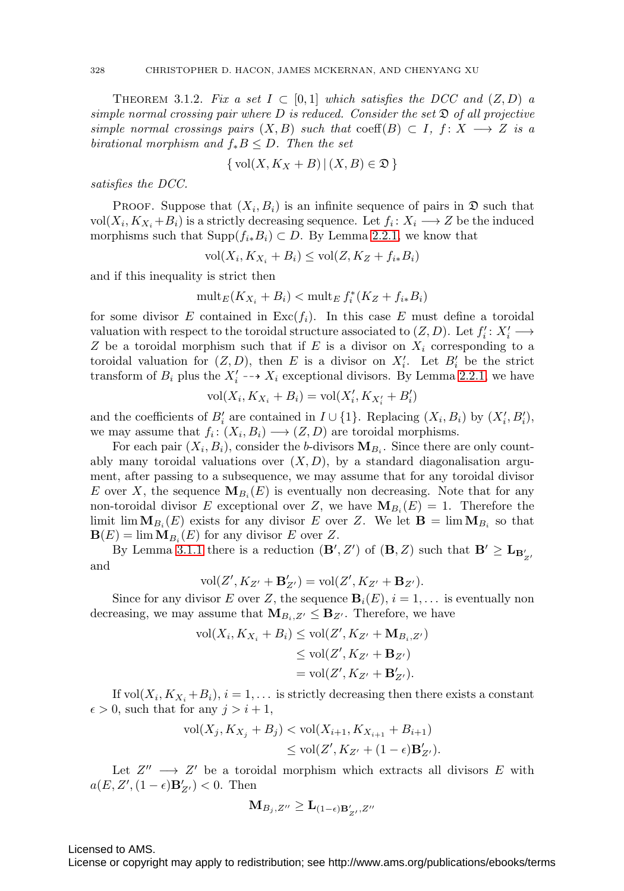<span id="page-19-0"></span>THEOREM 3.1.2. Fix a set  $I \subset [0,1]$  which satisfies the DCC and  $(Z, D)$  a simple normal crossing pair where  $D$  is reduced. Consider the set  $\mathfrak D$  of all projective simple normal crossings pairs  $(X, B)$  such that coeff $(B) \subset I$ ,  $f: X \longrightarrow Z$  is a birational morphism and  $f_*B \leq D$ . Then the set

$$
\{ vol(X, K_X + B) | (X, B) \in \mathfrak{D} \}
$$

satisfies the DCC.

**PROOF.** Suppose that  $(X_i, B_i)$  is an infinite sequence of pairs in  $\mathfrak{D}$  such that vol $(X_i, K_{X_i} + B_i)$  is a strictly decreasing sequence. Let  $f_i : X_i \longrightarrow Z$  be the induced morphisms such that  $\text{Supp}(f_{i*}B_i) \subset D$ . By Lemma [2.2.1,](#page-10-0) we know that

$$
\text{vol}(X_i, K_{X_i} + B_i) \le \text{vol}(Z, K_Z + f_{i*}B_i)
$$

and if this inequality is strict then

$$
\operatorname{mult}_E(K_{X_i} + B_i) < \operatorname{mult}_E f_i^*(K_Z + f_{i*}B_i)
$$

for some divisor E contained in  $\text{Exc}(f_i)$ . In this case E must define a toroidal valuation with respect to the toroidal structure associated to  $(Z, D)$ . Let  $f_i' : X_i' \longrightarrow$ Z be a toroidal morphism such that if E is a divisor on  $X_i$  corresponding to a toroidal valuation for  $(Z, D)$ , then E is a divisor on  $X_i'$ . Let  $B_i'$  be the strict transform of  $B_i$  plus the  $X'_i \dashrightarrow X_i$  exceptional divisors. By Lemma [2.2.1,](#page-10-0) we have

$$
\mathrm{vol}(X_i,K_{X_i}+B_i)=\mathrm{vol}(X'_i,K_{X'_i}+B'_i)
$$

and the coefficients of  $B_i'$  are contained in  $I \cup \{1\}$ . Replacing  $(X_i, B_i)$  by  $(X_i', B_i')$ , we may assume that  $f_i : (X_i, B_i) \longrightarrow (Z, D)$  are toroidal morphisms.

For each pair  $(X_i, B_i)$ , consider the b-divisors  $\mathbf{M}_{B_i}$ . Since there are only countably many toroidal valuations over  $(X, D)$ , by a standard diagonalisation argument, after passing to a subsequence, we may assume that for any toroidal divisor E over X, the sequence  $\mathbf{M}_{B_i}(E)$  is eventually non decreasing. Note that for any non-toroidal divisor E exceptional over Z, we have  $\mathbf{M}_{B_i}(E) = 1$ . Therefore the limit  $\lim_{B_i}(E)$  exists for any divisor E over Z. We let  $\mathbf{B} = \lim_{B_i} \mathbf{M}_{B_i}$  so that  $\mathbf{B}(E) = \lim \mathbf{M}_{B_i}(E)$  for any divisor E over Z.

By Lemma [3.1.1](#page-17-0) there is a reduction  $(\mathbf{B}', Z')$  of  $(\mathbf{B}, Z)$  such that  $\mathbf{B}' \ge \mathbf{L}_{\mathbf{B}'_{Z'}}$ and

$$
\text{vol}(Z', K_{Z'} + \mathbf{B}_{Z'}') = \text{vol}(Z', K_{Z'} + \mathbf{B}_{Z'}).
$$

Since for any divisor E over Z, the sequence  $\mathbf{B}_i(E)$ ,  $i = 1, \ldots$  is eventually non decreasing, we may assume that  $M_{B_i, Z'} \leq B_{Z'}$ . Therefore, we have

$$
\text{vol}(X_i, K_{X_i} + B_i) \le \text{vol}(Z', K_{Z'} + \mathbf{M}_{B_i, Z'})
$$
  
\n
$$
\le \text{vol}(Z', K_{Z'} + \mathbf{B}_{Z'})
$$
  
\n
$$
= \text{vol}(Z', K_{Z'} + \mathbf{B}_{Z'}').
$$

If vol $(X_i, K_{X_i} + B_i), i = 1, \ldots$  is strictly decreasing then there exists a constant  $\epsilon > 0$ , such that for any  $j > i + 1$ ,

$$
\text{vol}(X_j, K_{X_j} + B_j) < \text{vol}(X_{i+1}, K_{X_{i+1}} + B_{i+1}) \\
 \leq \text{vol}(Z', K_{Z'} + (1 - \epsilon) \mathbf{B}'_{Z'}).
$$

Let  $Z'' \longrightarrow Z'$  be a toroidal morphism which extracts all divisors E with  $a(E, Z', (1 - \epsilon) \mathbf{B}'_{Z'}) < 0$ . Then

$$
\mathbf{M}_{B_j,Z''}\geq \mathbf{L}_{(1-\epsilon)\mathbf{B}'_{Z'},Z''}
$$

Licensed to AMS.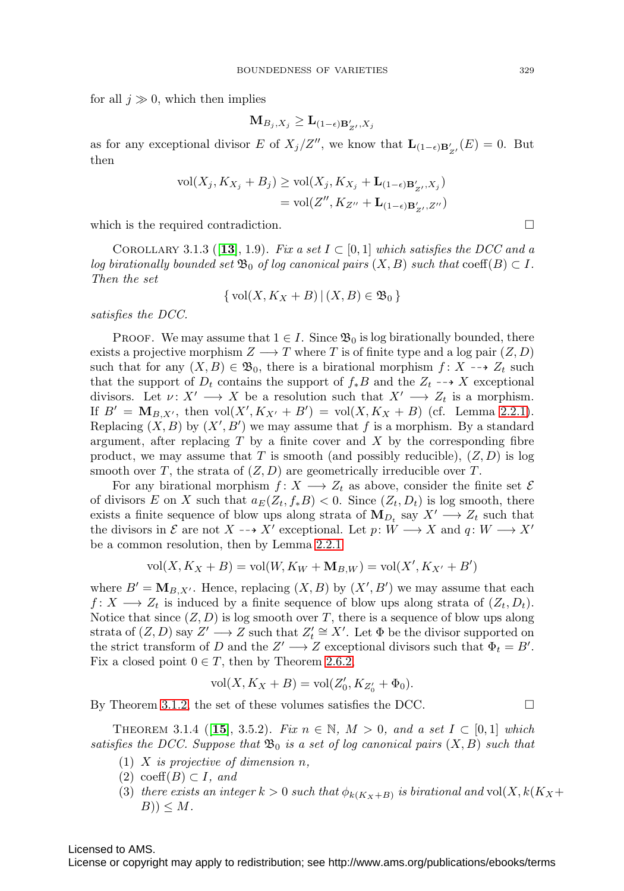for all  $j \gg 0$ , which then implies

$$
\mathbf{M}_{B_j,X_j} \geq \mathbf{L}_{(1-\epsilon)\mathbf{B}_{Z'}',X_j}
$$

as for any exceptional divisor E of  $X_j/Z''$ , we know that  $\mathbf{L}_{(1-\epsilon)\mathbf{B}'_{Z'}}(E) = 0$ . But then

$$
\text{vol}(X_j, K_{X_j} + B_j) \ge \text{vol}(X_j, K_{X_j} + \mathbf{L}_{(1-\epsilon)\mathbf{B}'_{Z'}, X_j})
$$

$$
= \text{vol}(Z'', K_{Z''} + \mathbf{L}_{(1-\epsilon)\mathbf{B}'_{Z'}, Z''})
$$

which is the required contradiction.

<span id="page-20-0"></span>COROLLARY 3.1.3 ([[13](#page-38-15)], 1.9). Fix a set  $I \subset [0,1]$  which satisfies the DCC and a log birationally bounded set  $\mathfrak{B}_0$  of log canonical pairs  $(X, B)$  such that  $\mathrm{coeff}(B) \subset I$ . Then the set

$$
\{\text{vol}(X, K_X + B) \,|\, (X, B) \in \mathfrak{B}_0\}
$$

satisfies the DCC.

**PROOF.** We may assume that  $1 \in I$ . Since  $\mathfrak{B}_0$  is log birationally bounded, there exists a projective morphism  $Z \longrightarrow T$  where T is of finite type and a log pair  $(Z, D)$ such that for any  $(X, B) \in \mathfrak{B}_0$ , there is a birational morphism  $f: X \dashrightarrow Z_t$  such that the support of  $D_t$  contains the support of  $f_*B$  and the  $Z_t \dashrightarrow X$  exceptional divisors. Let  $\nu: X' \longrightarrow X$  be a resolution such that  $X' \longrightarrow Z_t$  is a morphism. If  $B' = M_{B,X'}$ , then  $vol(X', K_{X'} + B') = vol(X, K_X + B)$  (cf. Lemma [2.2.1\)](#page-10-0). Replacing  $(X, B)$  by  $(X', B')$  we may assume that f is a morphism. By a standard argument, after replacing  $T$  by a finite cover and  $X$  by the corresponding fibre product, we may assume that T is smooth (and possibly reducible),  $(Z, D)$  is log smooth over T, the strata of  $(Z, D)$  are geometrically irreducible over T.

For any birational morphism  $f: X \longrightarrow Z_t$  as above, consider the finite set  $\mathcal E$ of divisors E on X such that  $a_E(Z_t, f_*B) < 0$ . Since  $(Z_t, D_t)$  is log smooth, there exists a finite sequence of blow ups along strata of  $M_{D_t}$  say  $X' \longrightarrow Z_t$  such that the divisors in  $\mathcal E$  are not  $X \dashrightarrow X'$  exceptional. Let  $p: W \longrightarrow X$  and  $q: W \longrightarrow X'$ be a common resolution, then by Lemma [2.2.1](#page-10-0)

$$
vol(X, K_X + B) = vol(W, K_W + M_{B,W}) = vol(X', K_{X'} + B')
$$

where  $B' = M_{B,X'}$ . Hence, replacing  $(X, B)$  by  $(X', B')$  we may assume that each  $f: X \longrightarrow Z_t$  is induced by a finite sequence of blow ups along strata of  $(Z_t, D_t)$ . Notice that since  $(Z, D)$  is log smooth over T, there is a sequence of blow ups along strata of  $(Z, D)$  say  $Z' \longrightarrow Z$  such that  $Z'_t \cong X'$ . Let  $\Phi$  be the divisor supported on the strict transform of D and the  $Z' \longrightarrow Z$  exceptional divisors such that  $\Phi_t = B'$ . Fix a closed point  $0 \in T$ , then by Theorem [2.6.2,](#page-13-0)

$$
vol(X, K_X + B) = vol(Z'_0, K_{Z'_0} + \Phi_0).
$$

By Theorem [3.1.2,](#page-19-0) the set of these volumes satisfies the DCC.  $\Box$ 

<span id="page-20-1"></span>THEOREM 3.1.4 ([**[15](#page-38-9)**], 3.5.2). Fix  $n \in \mathbb{N}$ ,  $M > 0$ , and a set  $I \subset [0,1]$  which satisfies the DCC. Suppose that  $\mathfrak{B}_0$  is a set of log canonical pairs  $(X, B)$  such that

- (1) X is projective of dimension  $n$ ,
- $(2) \ \mathrm{coeff}(B) \subset I$ , and
- (3) there exists an integer  $k > 0$  such that  $\phi_{k(K_X+B)}$  is birational and vol $(X, k(K_X+B))$  $B)) \leq M$ .

Licensed to AMS.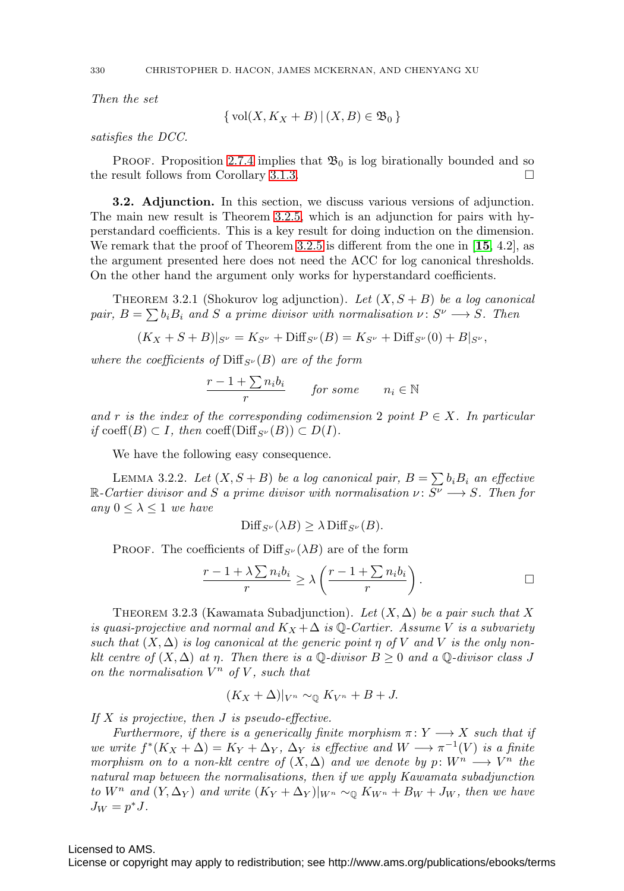Then the set

$$
\{\text{vol}(X, K_X + B) \,|\, (X, B) \in \mathfrak{B}_0\}
$$

satisfies the DCC.

**PROOF.** Proposition [2.7.4](#page-14-1) implies that  $\mathfrak{B}_0$  is log birationally bounded and so the result follows from Corollary [3.1.3.](#page-20-0)

**3.2. Adjunction.** In this section, we discuss various versions of adjunction. The main new result is Theorem [3.2.5,](#page-22-0) which is an adjunction for pairs with hyperstandard coefficients. This is a key result for doing induction on the dimension. We remark that the proof of Theorem [3.2.5](#page-22-0) is different from the one in [**[15](#page-38-9)**, 4.2], as the argument presented here does not need the ACC for log canonical thresholds. On the other hand the argument only works for hyperstandard coefficients.

<span id="page-21-0"></span>THEOREM 3.2.1 (Shokurov log adjunction). Let  $(X, S + B)$  be a log canonical pair,  $B = \sum b_i B_i$  and S a prime divisor with normalisation  $\nu : S^{\nu} \longrightarrow S$ . Then

$$
(K_X + S + B)|_{S^{\nu}} = K_{S^{\nu}} + \text{Diff}_{S^{\nu}}(B) = K_{S^{\nu}} + \text{Diff}_{S^{\nu}}(0) + B|_{S^{\nu}},
$$

where the coefficients of  $\text{Diff}_{S^{\nu}}(B)$  are of the form

$$
\frac{r-1+\sum n_i b_i}{r} \qquad \text{for some} \qquad n_i \in \mathbb{N}
$$

and r is the index of the corresponding codimension 2 point  $P \in X$ . In particular if coeff(B)  $\subset I$ , then coeff(Diff<sub>S<sup>v</sub>(B)</sup>)  $\subset D(I)$ .</sub>

We have the following easy consequence.

<span id="page-21-1"></span>LEMMA 3.2.2. Let  $(X, S + B)$  be a log canonical pair,  $B = \sum b_i B_i$  an effective R-Cartier divisor and S a prime divisor with normalisation  $\nu: S^{\nu} \longrightarrow S$ . Then for any  $0 \leq \lambda \leq 1$  we have

$$
\text{Diff}_{S^{\nu}}(\lambda B) \geq \lambda \text{Diff}_{S^{\nu}}(B).
$$

PROOF. The coefficients of  $\text{Diff}_{S^{\nu}}(\lambda B)$  are of the form

$$
\frac{r-1+\lambda\sum n_ib_i}{r} \ge \lambda\left(\frac{r-1+\sum n_ib_i}{r}\right).
$$

THEOREM 3.2.3 (Kawamata Subadjunction). Let  $(X, \Delta)$  be a pair such that X is quasi-projective and normal and  $K_X + \Delta$  is Q-Cartier. Assume V is a subvariety such that  $(X, \Delta)$  is log canonical at the generic point  $\eta$  of V and V is the only nonklt centre of  $(X, \Delta)$  at  $\eta$ . Then there is a Q-divisor  $B \geq 0$  and a Q-divisor class J on the normalisation  $V^n$  of V, such that

$$
(K_X+\Delta)|_{V^n}\sim_{\mathbb{Q}} K_{V^n}+B+J.
$$

If  $X$  is projective, then  $J$  is pseudo-effective.

Furthermore, if there is a generically finite morphism  $\pi: Y \longrightarrow X$  such that if we write  $f^*(K_X + \Delta) = K_Y + \Delta_Y$ ,  $\Delta_Y$  is effective and  $W \longrightarrow \pi^{-1}(V)$  is a finite morphism on to a non-klt centre of  $(X, \Delta)$  and we denote by p:  $W^n \longrightarrow V^n$  the natural map between the normalisations, then if we apply Kawamata subadjunction to  $W^n$  and  $(Y, \Delta_Y)$  and write  $(K_Y + \Delta_Y)|_{W^n} \sim_{\mathbb{Q}} K_{W^n} + B_W + J_W$ , then we have  $J_W = p^*J$ .

### Licensed to AMS.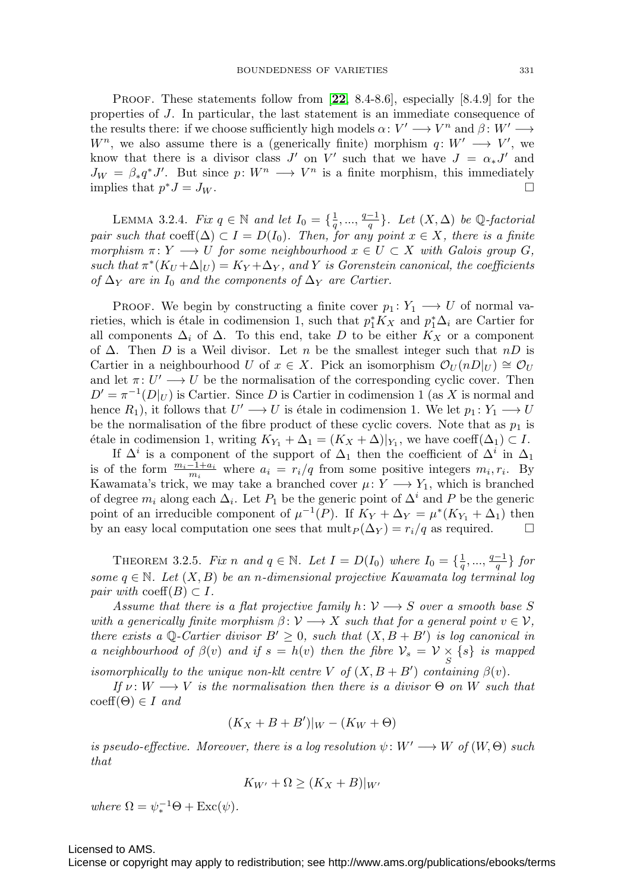Proof. These statements follow from [**[22](#page-38-21)**, 8.4-8.6], especially [8.4.9] for the properties of J. In particular, the last statement is an immediate consequence of the results there: if we choose sufficiently high models  $\alpha: V' \longrightarrow V^n$  and  $\beta: W' \longrightarrow$ W<sup>n</sup>, we also assume there is a (generically finite) morphism  $q: W' \longrightarrow V'$ , we know that there is a divisor class J' on V' such that we have  $J = \alpha_* J'$  and  $J_W = \beta_* q^* J'$ . But since  $p: W^n \longrightarrow V^n$  is a finite morphism, this immediately implies that  $p^*J = J_W$ .

<span id="page-22-1"></span>LEMMA 3.2.4. Fix  $q \in \mathbb{N}$  and let  $I_0 = \{\frac{1}{q}, ..., \frac{q-1}{q}\}$ . Let  $(X, \Delta)$  be  $\mathbb{Q}$ -factorial pair such that  $\mathrm{coeff}(\Delta) \subset I = D(I_0)$ . Then, for any point  $x \in X$ , there is a finite morphism  $\pi: Y \longrightarrow U$  for some neighbourhood  $x \in U \subset X$  with Galois group G, such that  $\pi^*(K_U + \Delta|_U) = K_Y + \Delta_Y$ , and Y is Gorenstein canonical, the coefficients of  $\Delta_Y$  are in  $I_0$  and the components of  $\Delta_Y$  are Cartier.

PROOF. We begin by constructing a finite cover  $p_1: Y_1 \longrightarrow U$  of normal varieties, which is étale in codimension 1, such that  $p_1^*K_X$  and  $p_1^*\Delta_i$  are Cartier for all components  $\Delta_i$  of  $\Delta$ . To this end, take D to be either  $K_X$  or a component of  $\Delta$ . Then D is a Weil divisor. Let n be the smallest integer such that nD is Cartier in a neighbourhood U of  $x \in X$ . Pick an isomorphism  $\mathcal{O}_U(nD|_U) \cong \mathcal{O}_U$ and let  $\pi: U' \longrightarrow U$  be the normalisation of the corresponding cyclic cover. Then  $D' = \pi^{-1}(D|_U)$  is Cartier. Since D is Cartier in codimension 1 (as X is normal and hence  $R_1$ ), it follows that  $U' \longrightarrow U$  is étale in codimension 1. We let  $p_1: Y_1 \longrightarrow U$ be the normalisation of the fibre product of these cyclic covers. Note that as  $p_1$  is étale in codimension 1, writing  $K_{Y_1} + \Delta_1 = (K_X + \Delta)|_{Y_1}$ , we have coeff $(\Delta_1) \subset I$ .

If  $\Delta^i$  is a component of the support of  $\Delta_1$  then the coefficient of  $\Delta^i$  in  $\Delta_1$ is of the form  $\frac{m_i-1+a_i}{m_i}$  where  $a_i = r_i/q$  from some positive integers  $m_i, r_i$ . By Kawamata's trick, we may take a branched cover  $\mu: Y \longrightarrow Y_1$ , which is branched of degree  $m_i$  along each  $\Delta_i$ . Let  $P_1$  be the generic point of  $\Delta^i$  and P be the generic point of an irreducible component of  $\mu^{-1}(P)$ . If  $K_Y + \Delta_Y = \mu^*(K_{Y_1} + \Delta_1)$  then by an easy local computation one sees that  $\text{mult}_P(\Delta_Y) = r_i/q$  as required.  $\square$ 

<span id="page-22-0"></span>THEOREM 3.2.5. Fix n and  $q \in \mathbb{N}$ . Let  $I = D(I_0)$  where  $I_0 = \{\frac{1}{q}, ..., \frac{q-1}{q}\}$  for some  $q \in \mathbb{N}$ . Let  $(X, B)$  be an n-dimensional projective Kawamata log terminal log pair with coeff $(B) \subset I$ .

Assume that there is a flat projective family  $h: V \longrightarrow S$  over a smooth base S with a generically finite morphism  $\beta: \mathcal{V} \longrightarrow X$  such that for a general point  $v \in \mathcal{V}$ , there exists a Q-Cartier divisor  $B' \geq 0$ , such that  $(X, B + B')$  is log canonical in a neighbourhood of  $\beta(v)$  and if  $s = h(v)$  then the fibre  $\mathcal{V}_s = \mathcal{V} \times \{s\}$  is mapped isomorphically to the unique non-klt centre V of  $(X, B + B')$  containing  $\beta(v)$ .

If  $\nu: W \longrightarrow V$  is the normalisation then there is a divisor  $\Theta$  on W such that  $\mathrm{coeff}(\Theta) \in I$  and

$$
(K_X + B + B')|_W - (K_W + \Theta)
$$

is pseudo-effective. Moreover, there is a log resolution  $\psi: W' \longrightarrow W$  of  $(W, \Theta)$  such that

$$
K_{W'} + \Omega \ge (K_X + B)|_{W'}
$$

where  $\Omega = \psi_*^{-1} \Theta + \text{Exc}(\psi)$ .

Licensed to AMS.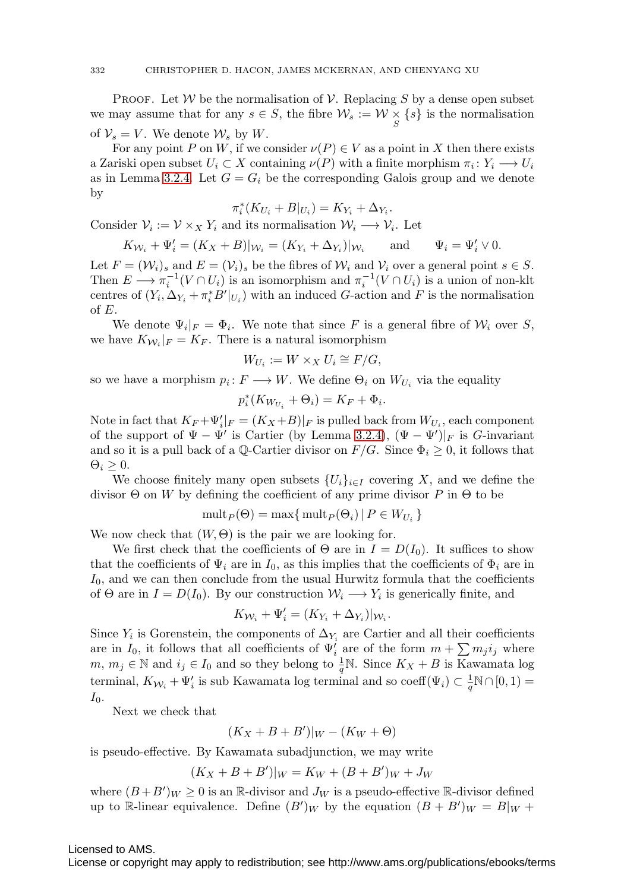**PROOF.** Let W be the normalisation of V. Replacing S by a dense open subset we may assume that for any  $s \in S$ , the fibre  $\mathcal{W}_s := \mathcal{W} \times \{s\}$  is the normalisation of  $\mathcal{V}_s = V$ . We denote  $\mathcal{W}_s$  by W.

For any point P on W, if we consider  $\nu(P) \in V$  as a point in X then there exists a Zariski open subset  $U_i \subset X$  containing  $\nu(P)$  with a finite morphism  $\pi_i : Y_i \longrightarrow U_i$ as in Lemma [3.2.4.](#page-22-1) Let  $G = G_i$  be the corresponding Galois group and we denote by

$$
\pi_i^*(K_{U_i} + B|_{U_i}) = K_{Y_i} + \Delta_{Y_i}.
$$

Consider  $\mathcal{V}_i := \mathcal{V} \times_X Y_i$  and its normalisation  $\mathcal{W}_i \longrightarrow \mathcal{V}_i$ . Let

$$
K_{\mathcal{W}_i} + \Psi'_i = (K_X + B)|_{\mathcal{W}_i} = (K_{Y_i} + \Delta_{Y_i})|_{\mathcal{W}_i} \quad \text{and} \quad \Psi_i = \Psi'_i \vee 0.
$$

Let  $F = (\mathcal{W}_i)_s$  and  $E = (\mathcal{V}_i)_s$  be the fibres of  $\mathcal{W}_i$  and  $\mathcal{V}_i$  over a general point  $s \in S$ . Then  $E \longrightarrow \pi_i^{-1}(V \cap U_i)$  is an isomorphism and  $\pi_i^{-1}(V \cap U_i)$  is a union of non-klt centres of  $(Y_i, \Delta_{Y_i} + \pi_i^* B'|_{U_i})$  with an induced G-action and F is the normalisation of E.

We denote  $\Psi_i|_F = \Phi_i$ . We note that since F is a general fibre of  $W_i$  over S, we have  $K_{\mathcal{W}_i}|_F = K_F$ . There is a natural isomorphism

$$
W_{U_i} := W \times_X U_i \cong F/G,
$$

so we have a morphism  $p_i : F \longrightarrow W$ . We define  $\Theta_i$  on  $W_{U_i}$  via the equality

$$
p_i^*(K_{W_{U_i}} + \Theta_i) = K_F + \Phi_i.
$$

Note in fact that  $K_F + \Psi_i'|_F = (K_X + B)|_F$  is pulled back from  $W_{U_i}$ , each component of the support of  $\Psi - \Psi'$  is Cartier (by Lemma [3.2.4\)](#page-22-1),  $(\Psi - \Psi')|_F$  is G-invariant and so it is a pull back of a Q-Cartier divisor on  $F/G$ . Since  $\Phi_i \geq 0$ , it follows that  $\Theta_i \geq 0$ .

We choose finitely many open subsets  $\{U_i\}_{i\in I}$  covering X, and we define the divisor Θ on W by defining the coefficient of any prime divisor P in Θ to be

$$
\operatorname{mult}_P(\Theta) = \max\{\operatorname{mult}_P(\Theta_i) \,|\, P \in W_{U_i}\}
$$

We now check that  $(W, \Theta)$  is the pair we are looking for.

We first check that the coefficients of  $\Theta$  are in  $I = D(I_0)$ . It suffices to show that the coefficients of  $\Psi_i$  are in  $I_0$ , as this implies that the coefficients of  $\Phi_i$  are in  $I_0$ , and we can then conclude from the usual Hurwitz formula that the coefficients of  $\Theta$  are in  $I = D(I_0)$ . By our construction  $W_i \longrightarrow Y_i$  is generically finite, and

$$
K_{\mathcal{W}_i} + \Psi'_i = (K_{Y_i} + \Delta_{Y_i})|_{\mathcal{W}_i}.
$$

Since  $Y_i$  is Gorenstein, the components of  $\Delta_{Y_i}$  are Cartier and all their coefficients are in  $I_0$ , it follows that all coefficients of  $\Psi'_i$  are of the form  $m + \sum m_j i_j$  where  $m, m_j \in \mathbb{N}$  and  $i_j \in I_0$  and so they belong to  $\frac{1}{q}\mathbb{N}$ . Since  $K_X + B$  is Kawamata log terminal,  $K_{\mathcal{W}_i} + \Psi'_i$  is sub Kawamata log terminal and so  $\mathrm{coeff}(\Psi_i) \subset \frac{1}{q} \mathbb{N} \cap [0, 1) =$  $I_0$ .

Next we check that

$$
(K_X + B + B')|_W - (K_W + \Theta)
$$

is pseudo-effective. By Kawamata subadjunction, we may write

$$
(K_X + B + B')|_W = K_W + (B + B')_W + J_W
$$

where  $(B+B')_W \geq 0$  is an R-divisor and  $J_W$  is a pseudo-effective R-divisor defined up to R-linear equivalence. Define  $(B')_W$  by the equation  $(B + B')_W = B|_W +$ 

#### Licensed to AMS.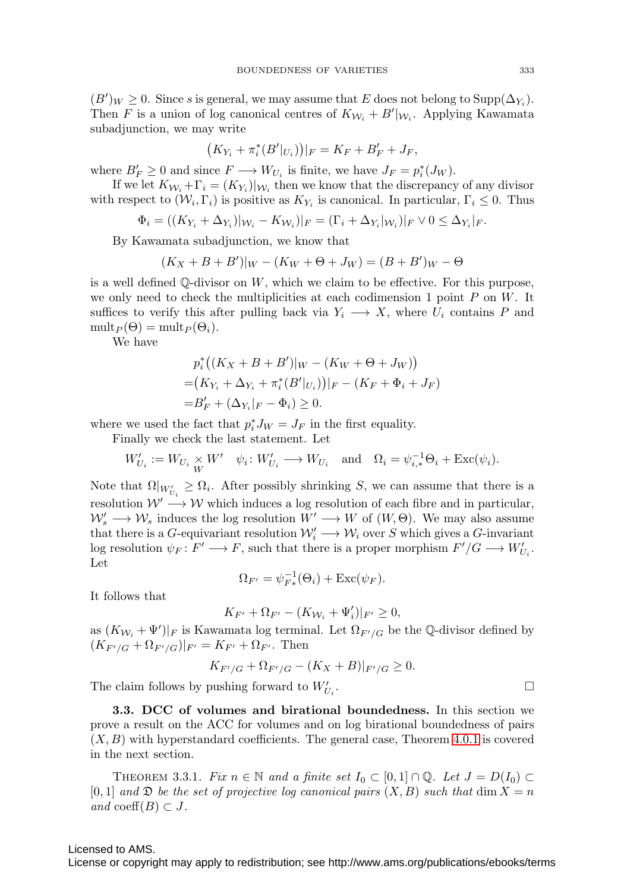$(B')_W \geq 0$ . Since s is general, we may assume that E does not belong to  $\text{Supp}(\Delta_{Y_i})$ . Then F is a union of log canonical centres of  $K_{\mathcal{W}_i} + B' |_{\mathcal{W}_i}$ . Applying Kawamata subadjunction, we may write

$$
(K_{Y_i} + \pi_i^*(B'|_{U_i}))|_F = K_F + B'_F + J_F,
$$

where  $B'_F \geq 0$  and since  $F \longrightarrow W_{U_i}$  is finite, we have  $J_F = p_i^*(J_W)$ .

If we let  $K_{\mathcal{W}_i} + \Gamma_i = (K_{Y_i})|_{\mathcal{W}_i}$  then we know that the discrepancy of any divisor with respect to  $(\mathcal{W}_i, \Gamma_i)$  is positive as  $K_{Y_i}$  is canonical. In particular,  $\Gamma_i \leq 0$ . Thus

$$
\Phi_i = \left( (K_{Y_i} + \Delta_{Y_i})|_{\mathcal{W}_i} - K_{\mathcal{W}_i} \right)|_F = \left( \Gamma_i + \Delta_{Y_i}|_{\mathcal{W}_i} \right)|_F \vee 0 \le \Delta_{Y_i}|_F.
$$

By Kawamata subadjunction, we know that

$$
(K_X + B + B')|_W - (K_W + \Theta + J_W) = (B + B')_W - \Theta
$$

is a well defined  $\mathbb Q$ -divisor on  $W$ , which we claim to be effective. For this purpose, we only need to check the multiplicities at each codimension 1 point  $P$  on  $W$ . It suffices to verify this after pulling back via  $Y_i \longrightarrow X$ , where  $U_i$  contains P and  $\text{mult}_P(\Theta) = \text{mult}_P(\Theta_i).$ 

We have

$$
p_i^*\big((K_X + B + B')|_W - (K_W + \Theta + J_W)\big) \\
= (K_{Y_i} + \Delta_{Y_i} + \pi_i^*(B'|_{U_i}))|_F - (K_F + \Phi_i + J_F) \\
= B'_F + (\Delta_{Y_i}|_F - \Phi_i) \ge 0.
$$

where we used the fact that  $p_i^* J_W = J_F$  in the first equality.

Finally we check the last statement. Let

$$
W'_{U_i} := W_{U_i} \underset{W}{\times} W' \quad \psi_i \colon W'_{U_i} \longrightarrow W_{U_i} \quad \text{and} \quad \Omega_i = \psi_{i,*}^{-1} \Theta_i + \text{Exc}(\psi_i).
$$

Note that  $\Omega|_{W'_{U_i}} \geq \Omega_i$ . After possibly shrinking S, we can assume that there is a resolution  $W' \longrightarrow W$  which induces a log resolution of each fibre and in particular,  $W'_s \longrightarrow W_s$  induces the log resolution  $W' \longrightarrow W$  of  $(W, \Theta)$ . We may also assume that there is a G-equivariant resolution  $\mathcal{W}'_i \longrightarrow \mathcal{W}_i$  over S which gives a G-invariant log resolution  $\psi_F \colon F' \longrightarrow F$ , such that there is a proper morphism  $F'/G \longrightarrow W'_{U_i}$ . Let

$$
\Omega_{F'} = \psi_{F*}^{-1}(\Theta_i) + \text{Exc}(\psi_F).
$$

It follows that

$$
K_{F'} + \Omega_{F'} - (K_{\mathcal{W}_i} + \Psi'_i)|_{F'} \ge 0,
$$

as  $(K_{\mathcal{W}_i} + \Psi')|_F$  is Kawamata log terminal. Let  $\Omega_{F'/G}$  be the Q-divisor defined by  $(K_{F'/G} + \Omega_{F'/G})|_{F'} = K_{F'} + \Omega_{F'}$ . Then

$$
K_{F'/G} + \Omega_{F'/G} - (K_X + B)|_{F'/G} \ge 0.
$$

The claim follows by pushing forward to  $W^\prime_{U_i}$ .

**3.3. DCC of volumes and birational boundedness.** In this section we prove a result on the ACC for volumes and on log birational boundedness of pairs  $(X, B)$  with hyperstandard coefficients. The general case, Theorem [4.0.1](#page-26-0) is covered in the next section.

<span id="page-24-0"></span>THEOREM 3.3.1. Fix  $n \in \mathbb{N}$  and a finite set  $I_0 \subset [0,1] \cap \mathbb{Q}$ . Let  $J = D(I_0) \subset$  $[0,1]$  and  $\mathfrak{D}$  be the set of projective log canonical pairs  $(X, B)$  such that dim  $X = n$ and coeff $(B) \subset J$ .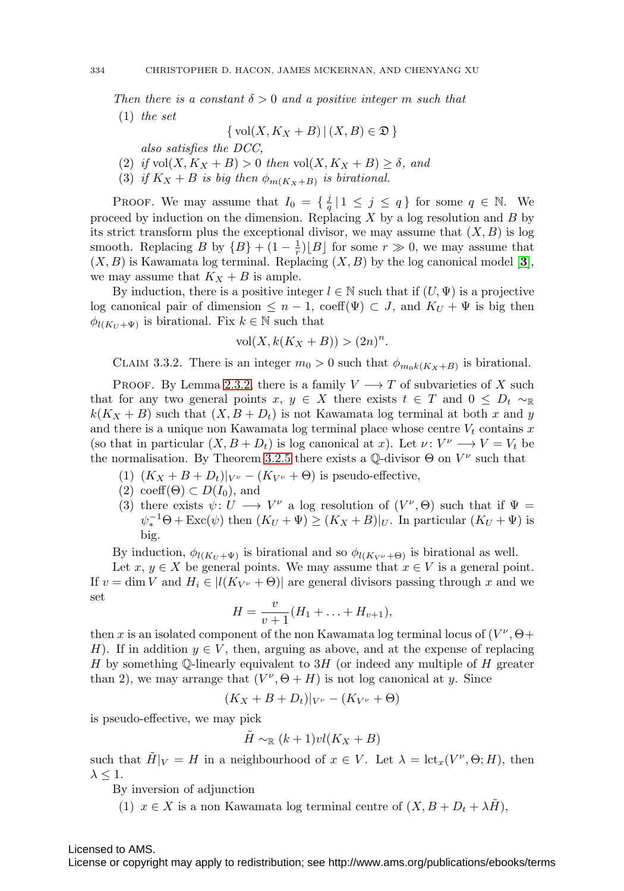Then there is a constant  $\delta > 0$  and a positive integer m such that

(1) the set

$$
\{ vol(X, K_X + B) | (X, B) \in \mathfrak{D} \}
$$

also satisfies the DCC,

- (2) if  $vol(X, K_X + B) > 0$  then  $vol(X, K_X + B) \ge \delta$ , and
- (3) if  $K_X + B$  is big then  $\phi_{m(K_X + B)}$  is birational.

PROOF. We may assume that  $I_0 = \{\frac{j}{q} | 1 \leq j \leq q\}$  for some  $q \in \mathbb{N}$ . We proceed by induction on the dimension. Replacing  $X$  by a log resolution and  $B$  by its strict transform plus the exceptional divisor, we may assume that  $(X, B)$  is log smooth. Replacing B by  ${B + (1 - \frac{1}{r})[B]}$  for some  $r \gg 0$ , we may assume that  $(X, B)$  is Kawamata log terminal. Replacing  $(X, B)$  by the log canonical model [[3](#page-37-6)], we may assume that  $K_X + B$  is ample.

By induction, there is a positive integer  $l \in \mathbb{N}$  such that if  $(U, \Psi)$  is a projective log canonical pair of dimension  $\leq n-1$ , coeff $(\Psi) \subset J$ , and  $K_U + \Psi$  is big then  $\phi_{l(K_U + \Psi)}$  is birational. Fix  $k \in \mathbb{N}$  such that

$$
vol(X, k(K_X + B)) > (2n)^n.
$$

CLAIM 3.3.2. There is an integer  $m_0 > 0$  such that  $\phi_{m_0k(K_X+B)}$  is birational.

<span id="page-25-0"></span>PROOF. By Lemma [2.3.2,](#page-11-1) there is a family  $V \longrightarrow T$  of subvarieties of X such that for any two general points x,  $y \in X$  there exists  $t \in T$  and  $0 \leq D_t \sim \mathbb{R}$  $k(K_X + B)$  such that  $(X, B + D_t)$  is not Kawamata log terminal at both x and y and there is a unique non Kawamata log terminal place whose centre  $V_t$  contains x (so that in particular  $(X, B + D_t)$  is log canonical at x). Let  $\nu: V^{\nu} \longrightarrow V = V_t$  be the normalisation. By Theorem [3.2.5](#page-22-0) there exists a  $\mathbb{Q}\text{-divisor}\Theta$  on  $V^{\nu}$  such that

- (1)  $(K_X + B + D_t)|_{V^{\nu}} (K_{V^{\nu}} + \Theta)$  is pseudo-effective,
- $(2) \ \mathrm{coeff}(\Theta) \subset D(I_0),$  and
- (3) there exists  $\psi: U \longrightarrow V^{\nu}$  a log resolution of  $(V^{\nu}, \Theta)$  such that if  $\Psi =$  $\psi_*^{-1} \Theta + \text{Exc}(\psi)$  then  $(K_U + \Psi) \ge (K_X + B)|_U$ . In particular  $(K_U + \Psi)$  is big.

By induction,  $\phi_{l(K_U + \Psi)}$  is birational and so  $\phi_{l(K_V \nu + \Theta)}$  is birational as well.

Let  $x, y \in X$  be general points. We may assume that  $x \in V$  is a general point. If  $v = \dim V$  and  $H_i \in |l(K_{V^{\nu}} + \Theta)|$  are general divisors passing through x and we set

$$
H = \frac{v}{v+1}(H_1 + \ldots + H_{v+1}),
$$

then x is an isolated component of the non Kawamata log terminal locus of  $(V^{\nu}, \Theta +$ H). If in addition  $y \in V$ , then, arguing as above, and at the expense of replacing H by something  $\mathbb{Q}$ -linearly equivalent to 3H (or indeed any multiple of H greater than 2), we may arrange that  $(V^{\nu}, \Theta + H)$  is not log canonical at y. Since

$$
(K_X+B+D_t)|_{V^{\nu}}-(K_{V^{\nu}}+\Theta)
$$

is pseudo-effective, we may pick

$$
\tilde{H} \sim_{\mathbb{R}} (k+1)v l(K_X + B)
$$

such that  $\tilde{H}|_V = H$  in a neighbourhood of  $x \in V$ . Let  $\lambda = \text{lct}_x(V^\nu, \Theta; H)$ , then  $\lambda \leq 1$ .

By inversion of adjunction

(1)  $x \in X$  is a non Kawamata log terminal centre of  $(X, B + D_t + \lambda \tilde{H})$ ,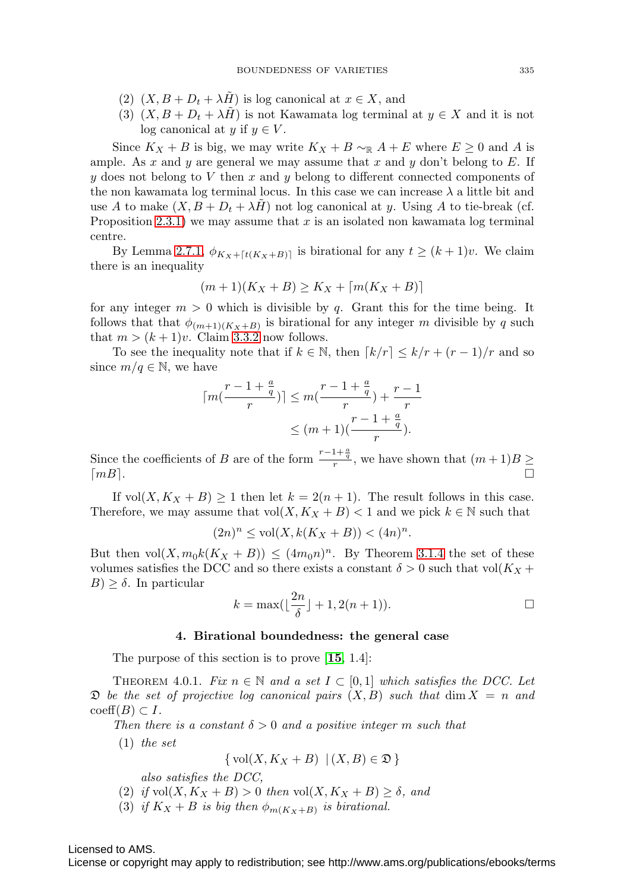- (2)  $(X, B + D_t + \lambda \tilde{H})$  is log canonical at  $x \in X$ , and
- (3)  $(X, B + D_t + \lambda \tilde{H})$  is not Kawamata log terminal at  $y \in X$  and it is not log canonical at y if  $y \in V$ .

Since  $K_X + B$  is big, we may write  $K_X + B \sim_{\mathbb{R}} A + E$  where  $E \geq 0$  and A is ample. As x and y are general we may assume that x and y don't belong to  $E$ . If y does not belong to V then x and y belong to different connected components of the non kawamata log terminal locus. In this case we can increase  $\lambda$  a little bit and use A to make  $(X, B + D_t + \lambda H)$  not log canonical at y. Using A to tie-break (cf. Proposition [2.3.1\)](#page-11-0) we may assume that x is an isolated non kawamata log terminal centre.

By Lemma [2.7.1,](#page-13-1)  $\phi_{K_X + [t(K_X + B)]}$  is birational for any  $t \ge (k+1)v$ . We claim there is an inequality

$$
(m+1)(K_X+B)\geq K_X+\lceil m(K_X+B)\rceil
$$

for any integer  $m > 0$  which is divisible by q. Grant this for the time being. It follows that that  $\phi_{(m+1)(K_X+B)}$  is birational for any integer m divisible by q such that  $m > (k+1)v$ . Claim [3.3.2](#page-25-0) now follows.

To see the inequality note that if  $k \in \mathbb{N}$ , then  $\lceil k/r \rceil \leq k/r + (r-1)/r$  and so since  $m/q \in \mathbb{N}$ , we have

$$
\lceil m(\frac{r-1+\frac{a}{q}}{r}) \rceil \le m(\frac{r-1+\frac{a}{q}}{r}) + \frac{r-1}{r}
$$
  

$$
\le (m+1)(\frac{r-1+\frac{a}{q}}{r}).
$$

Since the coefficients of B are of the form  $\frac{r-1+\frac{a}{q}}{r}$ , we have shown that  $(m+1)B \geq$  $\lceil mB \rceil$ .

If vol $(X, K_X + B) \ge 1$  then let  $k = 2(n + 1)$ . The result follows in this case. Therefore, we may assume that  $vol(X, K_X + B) < 1$  and we pick  $k \in \mathbb{N}$  such that

$$
(2n)^n \le \text{vol}(X, k(K_X + B)) < (4n)^n.
$$

But then  $vol(X, m_0k(K_X + B)) \leq (4m_0n)^n$ . By Theorem [3.1.4](#page-20-1) the set of these volumes satisfies the DCC and so there exists a constant  $\delta > 0$  such that vol $(K_X +$  $B$ )  $\geq \delta$ . In particular

$$
k = \max\left(\left\lfloor \frac{2n}{\delta} \right\rfloor + 1, 2(n+1)\right).
$$

#### **4. Birational boundedness: the general case**

The purpose of this section is to prove [**[15](#page-38-9)**, 1.4]:

<span id="page-26-0"></span>THEOREM 4.0.1. Fix  $n \in \mathbb{N}$  and a set  $I \subset [0,1]$  which satisfies the DCC. Let  $\mathfrak D$  be the set of projective log canonical pairs  $(X, B)$  such that dim  $X = n$  and  $\mathrm{coeff}(B) \subset I$ .

Then there is a constant  $\delta > 0$  and a positive integer m such that

 $(1)$  the set

$$
\{ vol(X, K_X + B) \mid (X, B) \in \mathfrak{D} \}
$$

also satisfies the DCC,

- (2) if  $vol(X, K_X + B) > 0$  then  $vol(X, K_X + B) \ge \delta$ , and
- (3) if  $K_X + B$  is big then  $\phi_{m(K_X + B)}$  is birational.

Licensed to AMS.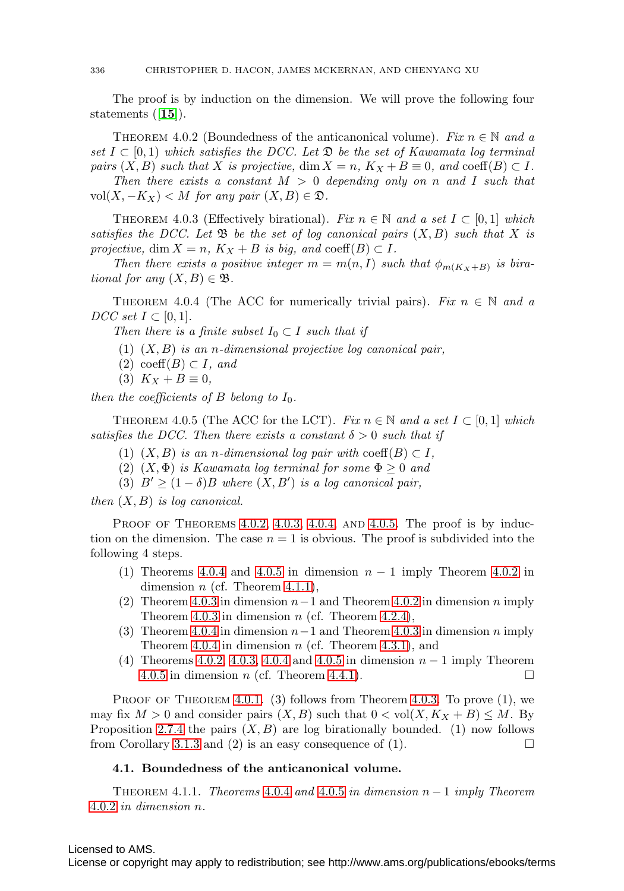The proof is by induction on the dimension. We will prove the following four statements ([**[15](#page-38-9)**]).

<span id="page-27-0"></span>THEOREM 4.0.2 (Boundedness of the anticanonical volume). Fix  $n \in \mathbb{N}$  and a set  $I \subset [0,1)$  which satisfies the DCC. Let  $\mathfrak{D}$  be the set of Kawamata log terminal pairs  $(X, B)$  such that X is projective, dim  $X = n$ ,  $K_X + B \equiv 0$ , and coeff $(B) \subset I$ .

Then there exists a constant  $M > 0$  depending only on n and I such that vol $(X, -K_X)$  < M for any pair  $(X, B) \in \mathfrak{D}$ .

<span id="page-27-1"></span>THEOREM 4.0.3 (Effectively birational). Fix  $n \in \mathbb{N}$  and a set  $I \subset [0,1]$  which satisfies the DCC. Let  $\mathfrak{B}$  be the set of log canonical pairs  $(X, B)$  such that X is projective, dim  $X = n$ ,  $K_X + B$  is big, and coeff(B)  $\subset I$ .

Then there exists a positive integer  $m = m(n, I)$  such that  $\phi_{m(K_X+B)}$  is birational for any  $(X, B) \in \mathfrak{B}$ .

<span id="page-27-2"></span>THEOREM 4.0.4 (The ACC for numerically trivial pairs). Fix  $n \in \mathbb{N}$  and a  $DCC$  set  $I \subset [0,1].$ 

Then there is a finite subset  $I_0 \subset I$  such that if

- $(1)$   $(X, B)$  is an n-dimensional projective log canonical pair,
- $(2) \ \mathrm{coeff}(B) \subset I$ , and
- (3)  $K_X + B \equiv 0$ ,

then the coefficients of B belong to  $I_0$ .

<span id="page-27-3"></span>THEOREM 4.0.5 (The ACC for the LCT). Fix  $n \in \mathbb{N}$  and a set  $I \subset [0,1]$  which satisfies the DCC. Then there exists a constant  $\delta > 0$  such that if

- (1)  $(X, B)$  is an n-dimensional log pair with coeff $(B) \subset I$ ,
- (2)  $(X, \Phi)$  is Kawamata log terminal for some  $\Phi \geq 0$  and
- (3)  $B' \geq (1 \delta)B$  where  $(X, B')$  is a log canonical pair,

then  $(X, B)$  is log canonical.

PROOF OF THEOREMS  $4.0.2$ ,  $4.0.3$ ,  $4.0.4$ , AND  $4.0.5$ . The proof is by induction on the dimension. The case  $n = 1$  is obvious. The proof is subdivided into the following 4 steps.

- (1) Theorems [4.0.4](#page-27-2) and [4.0.5](#page-27-3) in dimension  $n-1$  imply Theorem [4.0.2](#page-27-0) in dimension  $n$  (cf. Theorem [4.1.1\)](#page-27-4),
- (2) Theorem [4.0.3](#page-27-1) in dimension  $n-1$  and Theorem [4.0.2](#page-27-0) in dimension n imply Theorem [4.0.3](#page-27-1) in dimension  $n$  (cf. Theorem [4.2.4\)](#page-31-0),
- (3) Theorem [4.0.4](#page-27-2) in dimension  $n-1$  and Theorem [4.0.3](#page-27-1) in dimension n imply Theorem [4.0.4](#page-27-2) in dimension  $n$  (cf. Theorem [4.3.1\)](#page-31-1), and
- (4) Theorems [4.0.2,](#page-27-0) [4.0.3,](#page-27-1) [4.0.4](#page-27-2) and [4.0.5](#page-27-3) in dimension  $n-1$  imply Theorem [4.0.5](#page-27-3) in dimension *n* (cf. Theorem [4.4.1\)](#page-32-0).

PROOF OF THEOREM [4.0.1](#page-26-0). (3) follows from Theorem [4.0.3.](#page-27-1) To prove  $(1)$ , we may fix  $M > 0$  and consider pairs  $(X, B)$  such that  $0 < \text{vol}(X, K_X + B) \leq M$ . By Proposition [2.7.4](#page-14-1) the pairs  $(X, B)$  are log birationally bounded. (1) now follows from Corollary [3.1.3](#page-20-0) and (2) is an easy consequence of (1).  $\Box$ 

# **4.1. Boundedness of the anticanonical volume.**

<span id="page-27-4"></span>THEOREM 4.1.1. Theorems [4.0.4](#page-27-2) and [4.0.5](#page-27-3) in dimension  $n-1$  imply Theorem [4.0.2](#page-27-0) in dimension n.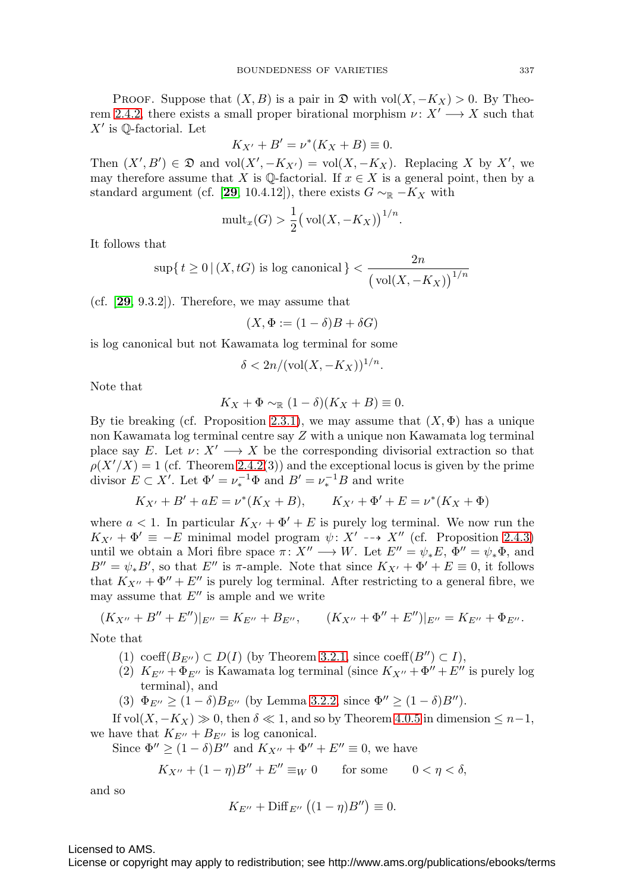PROOF. Suppose that  $(X, B)$  is a pair in  $\mathfrak{D}$  with vol $(X, -K_X) > 0$ . By Theo-rem [2.4.2,](#page-12-0) there exists a small proper birational morphism  $\nu: X' \longrightarrow X$  such that  $X'$  is  $\mathbb{Q}$ -factorial. Let

$$
K_{X'} + B' = \nu^*(K_X + B) \equiv 0.
$$

Then  $(X', B') \in \mathfrak{D}$  and vol $(X', -K_{X'})$  = vol $(X, -K_X)$ . Replacing X by X', we may therefore assume that X is  $\mathbb Q$ -factorial. If  $x \in X$  is a general point, then by a standard argument (cf. [[29](#page-38-18), 10.4.12]), there exists  $G \sim_{\mathbb{R}} -K_X$  with

$$
\text{mult}_x(G) > \frac{1}{2} \big( \text{vol}(X, -K_X) \big)^{1/n}.
$$

It follows that

$$
\sup\{\,t\geq 0\,|\,(X,tG)\text{ is log canonical}\,\}<\frac{2n}{\big(\operatorname{vol}(X,-K_X)\big)^{1/n}}
$$

(cf. [**[29](#page-38-18)**, 9.3.2]). Therefore, we may assume that

$$
(X, \Phi := (1 - \delta)B + \delta G)
$$

is log canonical but not Kawamata log terminal for some

$$
\delta < 2n/(\text{vol}(X, -K_X))^{1/n}.
$$

Note that

$$
K_X + \Phi \sim_{\mathbb{R}} (1 - \delta)(K_X + B) \equiv 0.
$$

By tie breaking (cf. Proposition [2.3.1\)](#page-11-0), we may assume that  $(X, \Phi)$  has a unique non Kawamata log terminal centre say Z with a unique non Kawamata log terminal place say E. Let  $\nu: X' \longrightarrow X$  be the corresponding divisorial extraction so that  $\rho(X'/X) = 1$  (cf. Theorem [2.4.2\(](#page-12-0)3)) and the exceptional locus is given by the prime divisor  $E \subset X'$ . Let  $\Phi' = \nu_*^{-1} \Phi$  and  $B' = \nu_*^{-1} B$  and write

$$
K_{X'} + B' + aE = \nu^* (K_X + B), \qquad K_{X'} + \Phi' + E = \nu^* (K_X + \Phi)
$$

where  $a < 1$ . In particular  $K_{X'} + \Phi' + E$  is purely log terminal. We now run the  $K_{X'} + \Phi' \equiv -E$  minimal model program  $\psi: X' \dashrightarrow X''$  (cf. Proposition [2.4.3\)](#page-12-1) until we obtain a Mori fibre space  $\pi: X'' \longrightarrow W$ . Let  $E'' = \psi_* E$ ,  $\Phi'' = \psi_* \Phi$ , and  $B'' = \psi_* B'$ , so that E'' is  $\pi$ -ample. Note that since  $K_{X'} + \Phi' + E \equiv 0$ , it follows that  $K_{X''} + \Phi'' + E''$  is purely log terminal. After restricting to a general fibre, we may assume that  $E''$  is ample and we write

$$
(K_{X''} + B'' + E'')|_{E''} = K_{E''} + B_{E''}, \qquad (K_{X''} + \Phi'' + E'')|_{E''} = K_{E''} + \Phi_{E''}.
$$

Note that

- (1) coeff $(B_{E''}) \subset D(I)$  (by Theorem [3.2.1,](#page-21-0) since coeff $(B'') \subset I$ ),
- (2)  $K_{E''} + \Phi_{E''}$  is Kawamata log terminal (since  $K_{X''} + \Phi'' + E''$  is purely log terminal), and
- (3)  $\Phi_{E''} \ge (1 \delta) B_{E''}$  (by Lemma [3.2.2,](#page-21-1) since  $\Phi'' \ge (1 \delta) B''$ ).

If vol $(X, -K_X) \gg 0$ , then  $\delta \ll 1$ , and so by Theorem [4.0.5](#page-27-3) in dimension  $\leq n-1$ , we have that  $K_{E''} + B_{E''}$  is log canonical.

Since  $\Phi'' \ge (1 - \delta)B''$  and  $K_{X''} + \Phi'' + E'' \equiv 0$ , we have

$$
K_{X''} + (1 - \eta)B'' + E'' \equiv_W 0 \qquad \text{for some} \qquad 0 < \eta < \delta,
$$

and so

$$
K_{E''} + \mathrm{Diff}_{E''}\left((1-\eta)B''\right) \equiv 0.
$$

Licensed to AMS.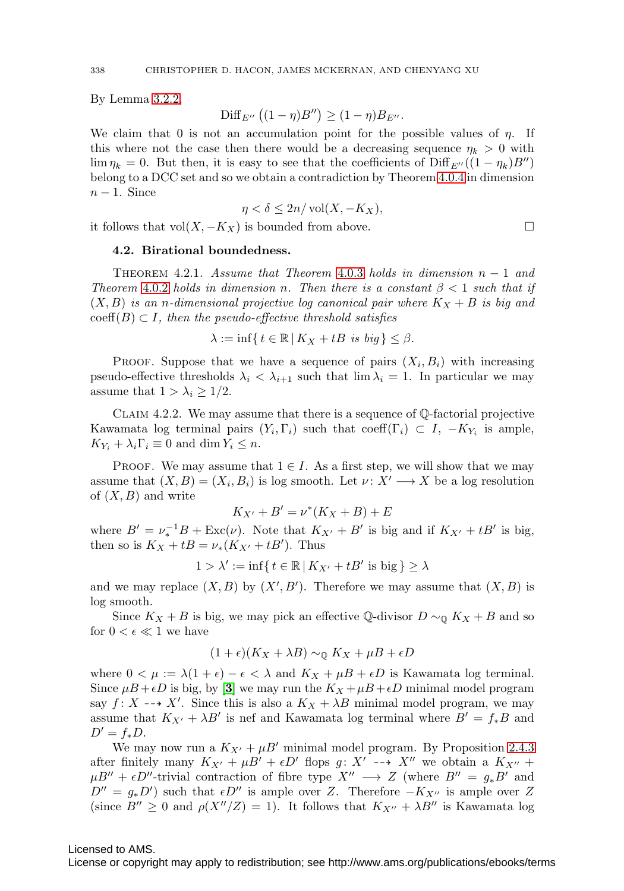By Lemma [3.2.2,](#page-21-1)

$$
\mathrm{Diff}_{E''}\left((1-\eta)B''\right) \geq (1-\eta)B_{E''}.
$$

We claim that 0 is not an accumulation point for the possible values of  $\eta$ . If this where not the case then there would be a decreasing sequence  $\eta_k > 0$  with  $\lim \eta_k = 0$ . But then, it is easy to see that the coefficients of  $\text{Diff}_{E''}((1 - \eta_k)B'')$ belong to a DCC set and so we obtain a contradiction by Theorem [4.0.4](#page-27-2) in dimension  $n-1$ . Since

$$
\eta < \delta \le 2n/\operatorname{vol}(X, -K_X),
$$

it follows that vol( $X, -K_X$ ) is bounded from above.  $□$ 

### **4.2. Birational boundedness.**

<span id="page-29-0"></span>THEOREM 4.2.1. Assume that Theorem [4.0.3](#page-27-1) holds in dimension  $n-1$  and Theorem [4.0.2](#page-27-0) holds in dimension n. Then there is a constant  $\beta < 1$  such that if  $(X, B)$  is an n-dimensional projective log canonical pair where  $K_X + B$  is big and  $\mathrm{coeff}(B) \subset I$ , then the pseudo-effective threshold satisfies

$$
\lambda := \inf \{ t \in \mathbb{R} \, | \, K_X + tB \text{ is big} \} \le \beta.
$$

PROOF. Suppose that we have a sequence of pairs  $(X_i, B_i)$  with increasing pseudo-effective thresholds  $\lambda_i < \lambda_{i+1}$  such that  $\lim \lambda_i = 1$ . In particular we may assume that  $1 > \lambda_i \geq 1/2$ .

CLAIM 4.2.2. We may assume that there is a sequence of  $\mathbb Q$ -factorial projective Kawamata log terminal pairs  $(Y_i, \Gamma_i)$  such that coeff( $\Gamma_i$ )  $\subset I$ ,  $-K_{Y_i}$  is ample,  $K_{Y_i} + \lambda_i \Gamma_i \equiv 0$  and dim  $Y_i \leq n$ .

PROOF. We may assume that  $1 \in I$ . As a first step, we will show that we may assume that  $(X, B) = (X_i, B_i)$  is log smooth. Let  $\nu : X' \longrightarrow X$  be a log resolution of  $(X, B)$  and write

$$
K_{X'} + B' = \nu^*(K_X + B) + E
$$

where  $B' = \nu_*^{-1}B + \text{Exc}(\nu)$ . Note that  $K_{X'} + B'$  is big and if  $K_{X'} + tB'$  is big, then so is  $K_X + tB = \nu_*(K_{X'} + tB')$ . Thus

 $1 > \lambda' := \inf\{t \in \mathbb{R} \mid K_{X'} + tB' \text{ is big}\} \ge \lambda$ 

and we may replace  $(X, B)$  by  $(X', B')$ . Therefore we may assume that  $(X, B)$  is log smooth.

Since  $K_X + B$  is big, we may pick an effective Q-divisor  $D \sim_{\mathbb{Q}} K_X + B$  and so for  $0 < \epsilon \ll 1$  we have

$$
(1+\epsilon)(K_X + \lambda B) \sim_{\mathbb{Q}} K_X + \mu B + \epsilon D
$$

where  $0 < \mu := \lambda(1 + \epsilon) - \epsilon < \lambda$  and  $K_X + \mu B + \epsilon D$  is Kawamata log terminal. Since  $\mu B + \epsilon D$  is big, by [[3](#page-37-6)] we may run the  $K_X + \mu B + \epsilon D$  minimal model program say  $f: X \dashrightarrow X'$ . Since this is also a  $K_X + \lambda B$  minimal model program, we may assume that  $K_{X'} + \lambda B'$  is nef and Kawamata log terminal where  $B' = f_*B$  and  $D' = f_*D.$ 

We may now run a  $K_{X'} + \mu B'$  minimal model program. By Proposition [2.4.3](#page-12-1) after finitely many  $K_{X'} + \mu B' + \epsilon D'$  flops  $g: X' \dashrightarrow X''$  we obtain a  $K_{X''}$  +  $\mu B'' + \epsilon D''$ -trivial contraction of fibre type  $X'' \longrightarrow Z$  (where  $B'' = g_* B'$  and  $D'' = g_* D'$  such that  $\epsilon D''$  is ample over Z. Therefore  $-K_{X''}$  is ample over Z (since  $B'' \geq 0$  and  $\rho(X''/Z) = 1$ ). It follows that  $K_{X''} + \lambda B''$  is Kawamata log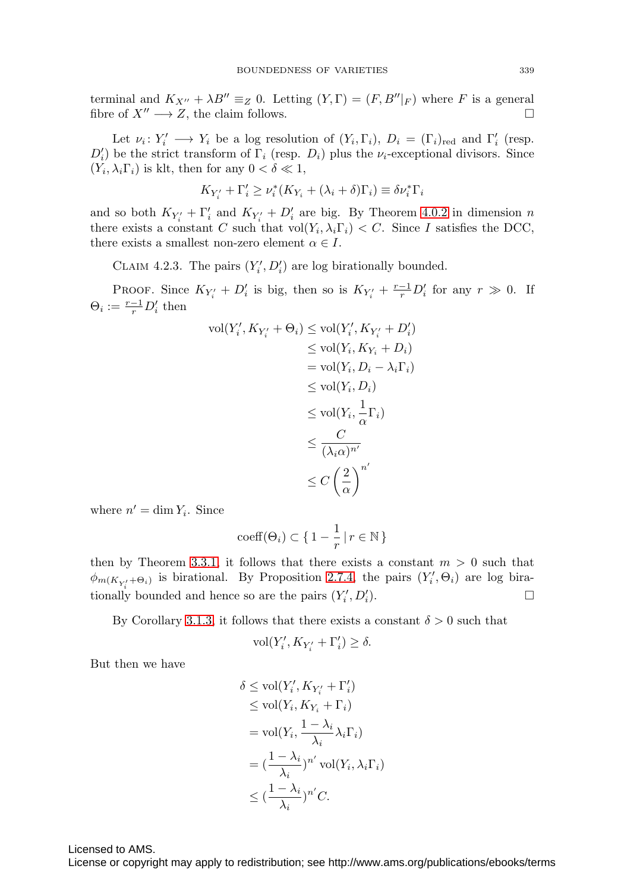terminal and  $K_{X''} + \lambda B'' \equiv_Z 0$ . Letting  $(Y, \Gamma) = (F, B''|_F)$  where F is a general fibre of  $X'' \longrightarrow Z$ , the claim follows.

Let  $\nu_i: Y'_i \longrightarrow Y_i$  be a log resolution of  $(Y_i, \Gamma_i)$ ,  $D_i = (\Gamma_i)_{\text{red}}$  and  $\Gamma'_i$  (resp.  $D'_{i}$ ) be the strict transform of  $\Gamma_{i}$  (resp.  $D_{i}$ ) plus the  $\nu_{i}$ -exceptional divisors. Since  $(Y_i, \lambda_i \Gamma_i)$  is klt, then for any  $0 < \delta \ll 1$ ,

$$
K_{Y'_i} + \Gamma'_i \ge \nu_i^*(K_{Y_i} + (\lambda_i + \delta)\Gamma_i) \equiv \delta\nu_i^*\Gamma_i
$$

and so both  $K_{Y_i'} + \Gamma_i'$  and  $K_{Y_i'} + D_i'$  are big. By Theorem [4.0.2](#page-27-0) in dimension n there exists a constant C such that  $\text{vol}(Y_i, \lambda_i \Gamma_i) < C$ . Since I satisfies the DCC, there exists a smallest non-zero element  $\alpha \in I$ .

CLAIM 4.2.3. The pairs  $(Y'_i, D'_i)$  are log birationally bounded.

PROOF. Since  $K_{Y_i'} + D_i'$  is big, then so is  $K_{Y_i'} + \frac{r-1}{r}D_i'$  for any  $r \gg 0$ . If  $\Theta_i := \frac{r-1}{r} D'_i$  then

$$
\text{vol}(Y'_i, K_{Y'_i} + \Theta_i) \le \text{vol}(Y'_i, K_{Y'_i} + D'_i)
$$
  
\n
$$
\le \text{vol}(Y_i, K_{Y_i} + D_i)
$$
  
\n
$$
= \text{vol}(Y_i, D_i - \lambda_i \Gamma_i)
$$
  
\n
$$
\le \text{vol}(Y_i, D_i)
$$
  
\n
$$
\le \text{vol}(Y_i, \frac{1}{\alpha} \Gamma_i)
$$
  
\n
$$
\le \frac{C}{(\lambda_i \alpha)^{n'}}
$$
  
\n
$$
\le C\left(\frac{2}{\alpha}\right)^{n'}
$$

where  $n' = \dim Y_i$ . Since

$$
\mathrm{coeff}(\Theta_i) \subset \{ 1 - \frac{1}{r} \, | \, r \in \mathbb{N} \, \}
$$

then by Theorem [3.3.1,](#page-24-0) it follows that there exists a constant  $m > 0$  such that  $\phi_{m(K_{Y'_i} + \Theta_i)}$  is birational. By Proposition [2.7.4,](#page-14-1) the pairs  $(Y'_i, \Theta_i)$  are log birationally bounded and hence so are the pairs  $(Y'_i, D'_i)$  $\binom{7}{i}$ .

By Corollary [3.1.3,](#page-20-0) it follows that there exists a constant  $\delta > 0$  such that

$$
\text{vol}(Y'_i,K_{Y'_i}+\Gamma'_i)\geq \delta.
$$

But then we have

$$
\delta \leq \text{vol}(Y'_i, K_{Y'_i} + \Gamma'_i)
$$
  
\n
$$
\leq \text{vol}(Y_i, K_{Y_i} + \Gamma_i)
$$
  
\n
$$
= \text{vol}(Y_i, \frac{1 - \lambda_i}{\lambda_i} \lambda_i \Gamma_i)
$$
  
\n
$$
= (\frac{1 - \lambda_i}{\lambda_i})^{n'} \text{vol}(Y_i, \lambda_i \Gamma_i)
$$
  
\n
$$
\leq (\frac{1 - \lambda_i}{\lambda_i})^{n'} C.
$$

Licensed to AMS.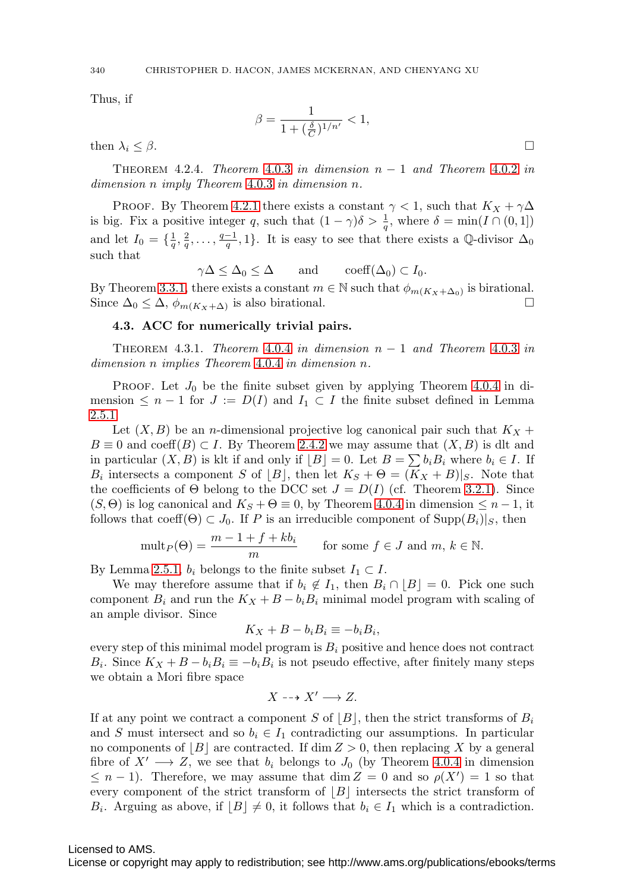Thus, if

$$
\beta = \frac{1}{1 + (\frac{\delta}{C})^{1/n'}} < 1,
$$

then  $\lambda_i \leq \beta$ .

<span id="page-31-0"></span>THEOREM 4.2.4. Theorem [4.0.3](#page-27-1) in dimension  $n-1$  and Theorem [4.0.2](#page-27-0) in dimension n imply Theorem [4.0.3](#page-27-1) in dimension n.

PROOF. By Theorem [4.2.1](#page-29-0) there exists a constant  $\gamma < 1$ , such that  $K_X + \gamma \Delta$ is big. Fix a positive integer q, such that  $(1 - \gamma)\delta > \frac{1}{q}$ , where  $\delta = \min(I \cap (0, 1])$ and let  $I_0 = \{\frac{1}{q}, \frac{2}{q}, \ldots, \frac{q-1}{q}, 1\}$ . It is easy to see that there exists a Q-divisor  $\Delta_0$ such that

$$
\gamma \Delta \leq \Delta_0 \leq \Delta \quad \text{and} \quad \text{coeff}(\Delta_0) \subset I_0.
$$

By Theorem [3.3.1,](#page-24-0) there exists a constant  $m \in \mathbb{N}$  such that  $\phi_{m(K_X+\Delta_0)}$  is birational. Since  $\Delta_0 \leq \Delta$ ,  $\phi_{m(K_X+\Delta)}$  is also birational.

# **4.3. ACC for numerically trivial pairs.**

<span id="page-31-1"></span>THEOREM 4.3.1. Theorem [4.0.4](#page-27-2) in dimension  $n-1$  and Theorem [4.0.3](#page-27-1) in dimension n implies Theorem [4.0.4](#page-27-2) in dimension n.

**PROOF.** Let  $J_0$  be the finite subset given by applying Theorem [4.0.4](#page-27-2) in dimension  $\leq n-1$  for  $J := D(I)$  and  $I_1 \subset I$  the finite subset defined in Lemma [2.5.1.](#page-13-2)

Let  $(X, B)$  be an *n*-dimensional projective log canonical pair such that  $K_X +$  $B \equiv 0$  and coeff $(B) \subset I$ . By Theorem [2.4.2](#page-12-0) we may assume that  $(X, B)$  is dlt and in particular  $(X, B)$  is klt if and only if  $[B] = 0$ . Let  $B = \sum b_i B_i$  where  $b_i \in I$ . If  $B_i$  intersects a component S of  $[B]$ , then let  $K_S + \Theta = (K_X + B)|_S$ . Note that the coefficients of  $\Theta$  belong to the DCC set  $J = D(I)$  (cf. Theorem [3.2.1\)](#page-21-0). Since  $(S, \Theta)$  is log canonical and  $K_S + \Theta \equiv 0$ , by Theorem [4.0.4](#page-27-2) in dimension  $\leq n-1$ , it follows that coeff( $\Theta$ )  $\subset J_0$ . If P is an irreducible component of  $\text{Supp}(B_i)|_S$ , then

$$
\text{mult}_P(\Theta) = \frac{m-1+f+kb_i}{m} \quad \text{for some } f \in J \text{ and } m, k \in \mathbb{N}.
$$

By Lemma [2.5.1,](#page-13-2)  $b_i$  belongs to the finite subset  $I_1 \subset I$ .

We may therefore assume that if  $b_i \notin I_1$ , then  $B_i \cap [B] = 0$ . Pick one such component  $B_i$  and run the  $K_X + B - b_i B_i$  minimal model program with scaling of an ample divisor. Since

$$
K_X + B - b_i B_i \equiv -b_i B_i,
$$

every step of this minimal model program is  $B_i$  positive and hence does not contract  $B_i$ . Since  $K_X + B - b_i B_i \equiv -b_i B_i$  is not pseudo effective, after finitely many steps we obtain a Mori fibre space

$$
X \dashrightarrow X' \longrightarrow Z.
$$

If at any point we contract a component S of  $|B|$ , then the strict transforms of  $B_i$ and S must intersect and so  $b_i \in I_1$  contradicting our assumptions. In particular no components of  $\lfloor B \rfloor$  are contracted. If  $\dim Z > 0$ , then replacing X by a general fibre of  $X' \longrightarrow Z$ , we see that  $b_i$  belongs to  $J_0$  (by Theorem [4.0.4](#page-27-2) in dimension  $\leq n-1$ ). Therefore, we may assume that dim  $Z = 0$  and so  $\rho(X') = 1$  so that every component of the strict transform of  $|B|$  intersects the strict transform of  $B_i$ . Arguing as above, if  $|B| \neq 0$ , it follows that  $b_i \in I_1$  which is a contradiction.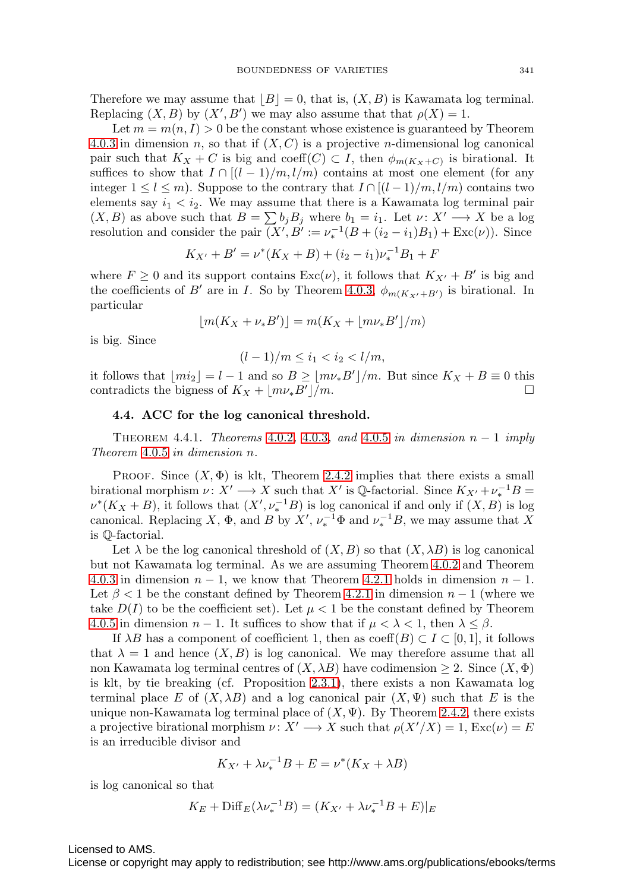Therefore we may assume that  $|B| = 0$ , that is,  $(X, B)$  is Kawamata log terminal. Replacing  $(X, B)$  by  $(X', B')$  we may also assume that that  $\rho(X) = 1$ .

Let  $m = m(n, I) > 0$  be the constant whose existence is guaranteed by Theorem [4.0.3](#page-27-1) in dimension n, so that if  $(X, C)$  is a projective n-dimensional log canonical pair such that  $K_X + C$  is big and coeff $(C) \subset I$ , then  $\phi_{m(K_X+C)}$  is birational. It suffices to show that  $I \cap [(l-1)/m, l/m)$  contains at most one element (for any integer  $1 \leq l \leq m$ ). Suppose to the contrary that  $I \cap [(l-1)/m, l/m)$  contains two elements say  $i_1 < i_2$ . We may assume that there is a Kawamata log terminal pair  $(X, B)$  as above such that  $B = \sum b_j B_j$  where  $b_1 = i_1$ . Let  $\nu: X' \longrightarrow X$  be a log resolution and consider the pair  $(X', B' := \nu_*^{-1}(B + (i_2 - i_1)B_1) + \text{Exc}(\nu)$ . Since

$$
K_{X'} + B' = \nu^*(K_X + B) + (i_2 - i_1)\nu_*^{-1}B_1 + F
$$

where  $F \geq 0$  and its support contains  $\text{Exc}(v)$ , it follows that  $K_{X'} + B'$  is big and the coefficients of B' are in I. So by Theorem [4.0.3,](#page-27-1)  $\phi_{m(K_{X'}+B')}$  is birational. In particular

$$
\lfloor m(K_X + \nu_* B') \rfloor = m(K_X + \lfloor m\nu_* B' \rfloor/m)
$$

is big. Since

$$
(l-1)/m \le i_1 < i_2 < l/m,
$$

it follows that  $\lfloor mi_2 \rfloor = l - 1$  and so  $B \geq \lfloor mv_*B' \rfloor/m$ . But since  $K_X + B \equiv 0$  this contradicts the bigness of  $K_X + \lfloor m\nu_* B'\rfloor/m$ .

#### **4.4. ACC for the log canonical threshold.**

<span id="page-32-0"></span>THEOREM 4.4.1. Theorems [4.0.2](#page-27-0), [4.0.3](#page-27-1), and [4.0.5](#page-27-3) in dimension  $n-1$  imply Theorem [4.0.5](#page-27-3) in dimension n.

PROOF. Since  $(X, \Phi)$  is klt, Theorem [2.4.2](#page-12-0) implies that there exists a small birational morphism  $\nu: X' \longrightarrow X$  such that X' is Q-factorial. Since  $K_{X'} + \nu_*^{-1}B =$  $\nu^*(K_X + B)$ , it follows that  $(X', \nu_*^{-1}B)$  is log canonical if and only if  $(X, B)$  is log canonical. Replacing X,  $\Phi$ , and B by  $X'$ ,  $\nu_*^{-1}\Phi$  and  $\nu_*^{-1}B$ , we may assume that X is Q-factorial.

Let  $\lambda$  be the log canonical threshold of  $(X, B)$  so that  $(X, \lambda B)$  is log canonical but not Kawamata log terminal. As we are assuming Theorem [4.0.2](#page-27-0) and Theorem [4.0.3](#page-27-1) in dimension  $n-1$ , we know that Theorem [4.2.1](#page-29-0) holds in dimension  $n-1$ . Let  $\beta$  < 1 be the constant defined by Theorem [4.2.1](#page-29-0) in dimension  $n-1$  (where we take  $D(I)$  to be the coefficient set). Let  $\mu < 1$  be the constant defined by Theorem [4.0.5](#page-27-3) in dimension  $n-1$ . It suffices to show that if  $\mu < \lambda < 1$ , then  $\lambda \leq \beta$ .

If  $\lambda B$  has a component of coefficient 1, then as coeff $(B) \subset I \subset [0,1]$ , it follows that  $\lambda = 1$  and hence  $(X, B)$  is log canonical. We may therefore assume that all non Kawamata log terminal centres of  $(X, \lambda B)$  have codimension  $\geq 2$ . Since  $(X, \Phi)$ is klt, by tie breaking (cf. Proposition [2.3.1\)](#page-11-0), there exists a non Kawamata log terminal place E of  $(X, \lambda B)$  and a log canonical pair  $(X, \Psi)$  such that E is the unique non-Kawamata log terminal place of  $(X, \Psi)$ . By Theorem [2.4.2,](#page-12-0) there exists a projective birational morphism  $\nu: X' \longrightarrow X$  such that  $\rho(X'/X) = 1$ ,  $\text{Exc}(\nu) = E$ is an irreducible divisor and

$$
K_{X'} + \lambda \nu_*^{-1} B + E = \nu^* (K_X + \lambda B)
$$

is log canonical so that

$$
K_E + \text{Diff}_E(\lambda \nu_*^{-1}B) = (K_{X'} + \lambda \nu_*^{-1}B + E)|_E
$$

Licensed to AMS.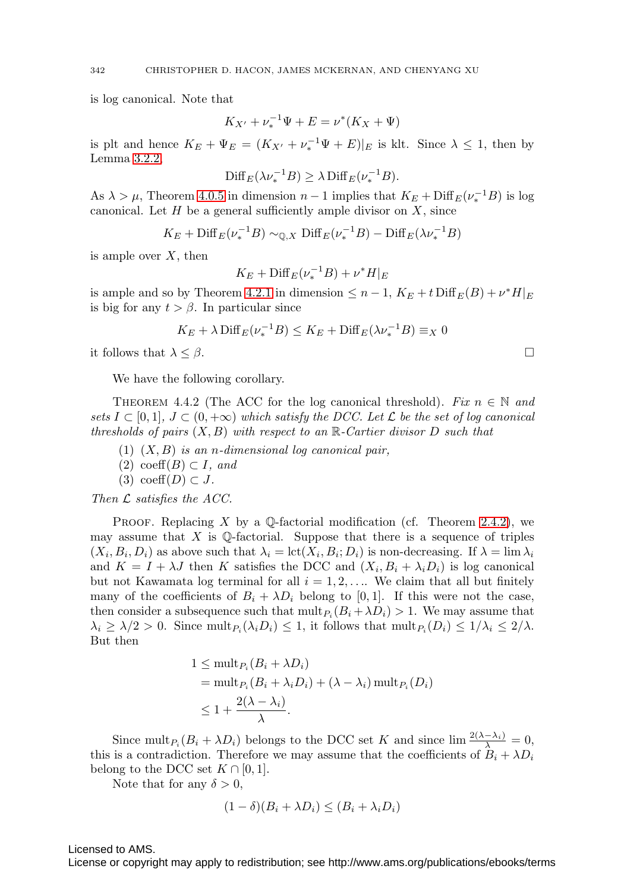is log canonical. Note that

$$
K_{X'} + \nu_*^{-1} \Psi + E = \nu^* (K_X + \Psi)
$$

is plt and hence  $K_E + \Psi_E = (K_{X'} + \nu_*^{-1} \Psi + E)|_E$  is klt. Since  $\lambda \leq 1$ , then by Lemma [3.2.2,](#page-21-1)

$$
\mathrm{Diff}_E(\lambda \nu_*^{-1}B) \ge \lambda \, \mathrm{Diff}_E(\nu_*^{-1}B).
$$

As  $\lambda > \mu$ , Theorem [4.0.5](#page-27-3) in dimension  $n - 1$  implies that  $K_E + \text{Diff}_E(\nu_*^{-1}B)$  is log canonical. Let  $H$  be a general sufficiently ample divisor on  $X$ , since

$$
K_E
$$
 + Diff<sub>E</sub> $(\nu_*^{-1}B) \sim_{\mathbb{Q},X} \text{Diff}_E(\nu_*^{-1}B) - \text{Diff}_E(\lambda \nu_*^{-1}B)$ 

is ample over  $X$ , then

$$
K_E + \mathrm{Diff}_E(\nu_*^{-1}B) + \nu^*H|_E
$$

is ample and so by Theorem [4.2.1](#page-29-0) in dimension  $\leq n-1$ ,  $K_E + t \text{Diff}_E(B) + v^*H|_E$ is big for any  $t > \beta$ . In particular since

$$
K_E + \lambda \operatorname{Diff}_E(\nu_*^{-1}B) \le K_E + \operatorname{Diff}_E(\lambda \nu_*^{-1}B) \equiv_X 0
$$

it follows that  $\lambda \leq \beta$ .

We have the following corollary.

THEOREM 4.4.2 (The ACC for the log canonical threshold). Fix  $n \in \mathbb{N}$  and sets  $I \subset [0,1], J \subset (0,+\infty)$  which satisfy the DCC. Let  $\mathcal L$  be the set of log canonical thresholds of pairs  $(X, B)$  with respect to an  $\mathbb{R}$ -Cartier divisor D such that

- (1)  $(X, B)$  is an n-dimensional log canonical pair,
- $(2) \ \mathrm{coeff}(B) \subset I$ , and
- (3) coeff $(D) \subset J$ .

Then  $\mathcal L$  satisfies the ACC.

PROOF. Replacing X by a Q-factorial modification (cf. Theorem [2.4.2\)](#page-12-0), we may assume that  $X$  is Q-factorial. Suppose that there is a sequence of triples  $(X_i, B_i, D_i)$  as above such that  $\lambda_i = \text{lct}(X_i, B_i; D_i)$  is non-decreasing. If  $\lambda = \lim \lambda_i$ and  $K = I + \lambda J$  then K satisfies the DCC and  $(X_i, B_i + \lambda_i D_i)$  is log canonical but not Kawamata log terminal for all  $i = 1, 2, \ldots$  We claim that all but finitely many of the coefficients of  $B_i + \lambda D_i$  belong to [0, 1]. If this were not the case, then consider a subsequence such that  $\text{mult}_{P_i} (B_i + \lambda D_i) > 1$ . We may assume that  $\lambda_i \geq \lambda/2 > 0$ . Since mult $P_i(\lambda_i D_i) \leq 1$ , it follows that mult $P_i(D_i) \leq 1/\lambda_i \leq 2/\lambda$ . But then

$$
1 \le \text{mult}_{P_i}(B_i + \lambda D_i)
$$
  
=  $\text{mult}_{P_i}(B_i + \lambda_i D_i) + (\lambda - \lambda_i) \text{ mult}_{P_i}(D_i)$   
 $\le 1 + \frac{2(\lambda - \lambda_i)}{\lambda}.$ 

Since mult<sub>Pi</sub>  $(B_i + \lambda D_i)$  belongs to the DCC set K and since  $\lim \frac{2(\lambda - \lambda_i)}{\lambda} = 0$ , this is a contradiction. Therefore we may assume that the coefficients of  $B_i + \lambda D_i$ belong to the DCC set  $K \cap [0,1]$ .

Note that for any  $\delta > 0$ ,

$$
(1 - \delta)(B_i + \lambda D_i) \le (B_i + \lambda_i D_i)
$$

Licensed to AMS.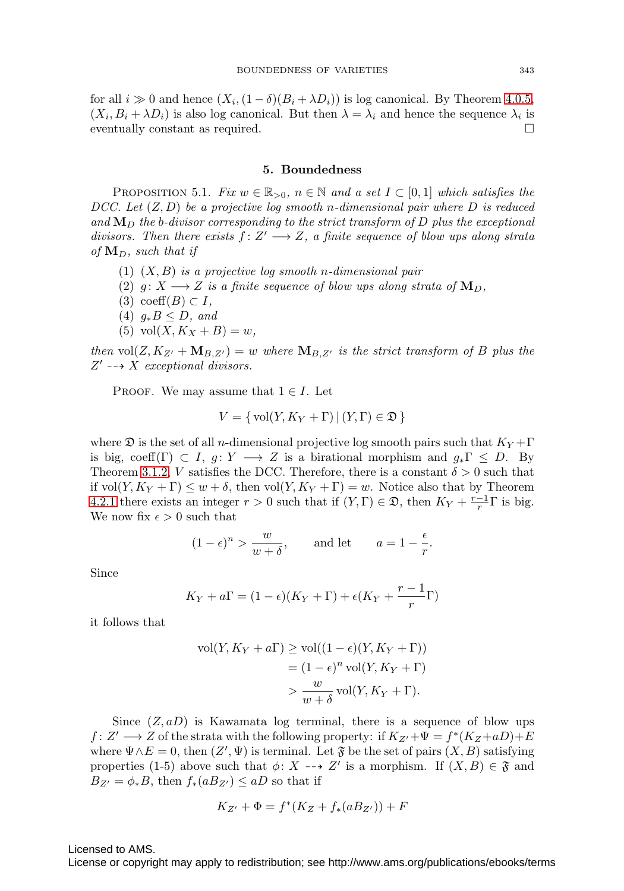for all  $i \gg 0$  and hence  $(X_i,(1-\delta)(B_i+\lambda D_i))$  is log canonical. By Theorem [4.0.5,](#page-27-3)  $(X_i, B_i + \lambda D_i)$  is also log canonical. But then  $\lambda = \lambda_i$  and hence the sequence  $\lambda_i$  is eventually constant as required.

### **5. Boundedness**

<span id="page-34-0"></span>PROPOSITION 5.1. Fix  $w \in \mathbb{R}_{>0}$ ,  $n \in \mathbb{N}$  and a set  $I \subset [0,1]$  which satisfies the DCC. Let  $(Z, D)$  be a projective log smooth n-dimensional pair where D is reduced and  **the b-divisor corresponding to the strict transform of D plus the exceptional** divisors. Then there exists  $f: Z' \longrightarrow Z$ , a finite sequence of blow ups along strata of  $M_D$ , such that if

- (1)  $(X, B)$  is a projective log smooth n-dimensional pair
- (2)  $g: X \longrightarrow Z$  is a finite sequence of blow ups along strata of  $\mathbf{M}_D$ ,
- (3) coeff $(B) \subset I$ ,
- (4)  $g_*B \leq D$ , and
- (5) vol $(X, K_X + B) = w$ ,

then  $vol(Z, K_{Z'} + M_{B,Z'}) = w$  where  $M_{B,Z'}$  is the strict transform of B plus the  $Z' \dashrightarrow X$  exceptional divisors.

PROOF. We may assume that  $1 \in I$ . Let

$$
V = \{ vol(Y, K_Y + \Gamma) | (Y, \Gamma) \in \mathfrak{D} \}
$$

where  $\mathfrak D$  is the set of all n-dimensional projective log smooth pairs such that  $K_Y + \Gamma$ is big, coeff(Γ)  $\subset I$ ,  $g: Y \longrightarrow Z$  is a birational morphism and  $g_*\Gamma \leq D$ . By Theorem [3.1.2,](#page-19-0) V satisfies the DCC. Therefore, there is a constant  $\delta > 0$  such that if  $vol(Y, K_Y + \Gamma) \leq w + \delta$ , then  $vol(Y, K_Y + \Gamma) = w$ . Notice also that by Theorem [4.2.1](#page-29-0) there exists an integer  $r > 0$  such that if  $(Y, \Gamma) \in \mathfrak{D}$ , then  $K_Y + \frac{r-1}{r} \Gamma$  is big. We now fix  $\epsilon > 0$  such that

$$
(1 - \epsilon)^n > \frac{w}{w + \delta}
$$
, and let  $a = 1 - \frac{\epsilon}{r}$ .

Since

$$
K_Y + a\Gamma = (1 - \epsilon)(K_Y + \Gamma) + \epsilon(K_Y + \frac{r-1}{r}\Gamma)
$$

it follows that

$$
\text{vol}(Y, K_Y + a\Gamma) \ge \text{vol}((1 - \epsilon)(Y, K_Y + \Gamma))
$$

$$
= (1 - \epsilon)^n \text{vol}(Y, K_Y + \Gamma)
$$

$$
> \frac{w}{w + \delta} \text{vol}(Y, K_Y + \Gamma).
$$

Since  $(Z, aD)$  is Kawamata log terminal, there is a sequence of blow ups  $f: Z' \longrightarrow Z$  of the strata with the following property: if  $K_{Z'} + \Psi = f^*(K_Z + aD) + E$ where  $\Psi \wedge E = 0$ , then  $(Z', \Psi)$  is terminal. Let  $\mathfrak F$  be the set of pairs  $(X, B)$  satisfying properties (1-5) above such that  $\phi: X \dashrightarrow Z'$  is a morphism. If  $(X, B) \in \mathfrak{F}$  and  $B_{Z'} = \phi_* B$ , then  $f_*(aB_{Z'}) \le aD$  so that if

$$
K_{Z'} + \Phi = f^*(K_Z + f_*(aB_{Z'})) + F
$$

Licensed to AMS.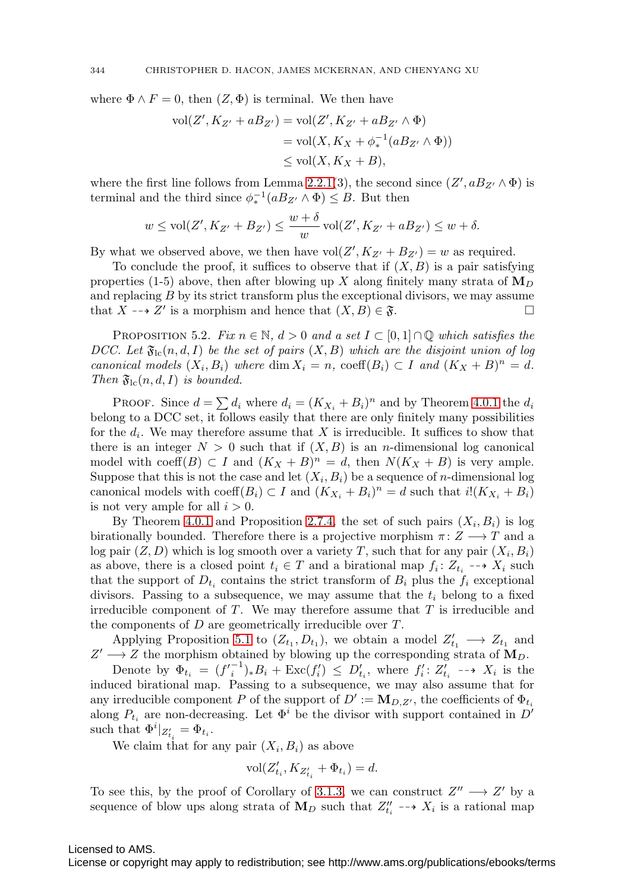where  $\Phi \wedge F = 0$ , then  $(Z, \Phi)$  is terminal. We then have

$$
\text{vol}(Z', K_{Z'} + aB_{Z'}) = \text{vol}(Z', K_{Z'} + aB_{Z'} \wedge \Phi)
$$
  

$$
= \text{vol}(X, K_X + \phi_*^{-1}(aB_{Z'} \wedge \Phi))
$$
  

$$
\leq \text{vol}(X, K_X + B),
$$

where the first line follows from Lemma [2.2.1\(](#page-10-0)3), the second since  $(Z', aB_{Z'} \wedge \Phi)$  is terminal and the third since  $\phi_*^{-1}(aB_{Z'} \wedge \Phi) \leq B$ . But then

$$
w \le \text{vol}(Z', K_{Z'} + B_{Z'}) \le \frac{w + \delta}{w} \text{vol}(Z', K_{Z'} + aB_{Z'}) \le w + \delta.
$$

By what we observed above, we then have  $vol(Z', K_{Z'} + B_{Z'}) = w$  as required.

To conclude the proof, it suffices to observe that if  $(X, B)$  is a pair satisfying properties (1-5) above, then after blowing up X along finitely many strata of  $\mathbf{M}_D$ and replacing B by its strict transform plus the exceptional divisors, we may assume that  $X \dashrightarrow Z'$  is a morphism and hence that  $(X, B) \in \mathfrak{F}$ .

<span id="page-35-0"></span>PROPOSITION 5.2. Fix  $n \in \mathbb{N}$ ,  $d > 0$  and a set  $I \subset [0,1] \cap \mathbb{Q}$  which satisfies the DCC. Let  $\mathfrak{F}_{\rm lc}(n,d,I)$  be the set of pairs  $(X, B)$  which are the disjoint union of log canonical models  $(X_i, B_i)$  where  $\dim X_i = n$ ,  $\operatorname{coeff}(B_i) \subset I$  and  $(K_X + B)^n = d$ . Then  $\mathfrak{F}_{\scriptstyle{\text{lc}}}(n,d,I)$  is bounded.

PROOF. Since  $d = \sum d_i$  where  $d_i = (K_{X_i} + B_i)^n$  and by Theorem [4.0.1](#page-26-0) the  $d_i$ belong to a DCC set, it follows easily that there are only finitely many possibilities for the  $d_i$ . We may therefore assume that X is irreducible. It suffices to show that there is an integer  $N > 0$  such that if  $(X, B)$  is an *n*-dimensional log canonical model with coeff(B)  $\subset I$  and  $(K_X + B)^n = d$ , then  $N(K_X + B)$  is very ample. Suppose that this is not the case and let  $(X_i, B_i)$  be a sequence of *n*-dimensional log canonical models with coeff $(B_i) \subset I$  and  $(K_{X_i} + B_i)^n = d$  such that  $i!(K_{X_i} + B_i)$ is not very ample for all  $i > 0$ .

By Theorem [4.0.1](#page-26-0) and Proposition [2.7.4,](#page-14-1) the set of such pairs  $(X_i, B_i)$  is log birationally bounded. Therefore there is a projective morphism  $\pi: Z \longrightarrow T$  and a log pair  $(Z, D)$  which is log smooth over a variety T, such that for any pair  $(X_i, B_i)$ as above, there is a closed point  $t_i \in T$  and a birational map  $f_i: Z_{t_i} \dashrightarrow X_i$  such that the support of  $D_{t_i}$  contains the strict transform of  $B_i$  plus the  $f_i$  exceptional divisors. Passing to a subsequence, we may assume that the  $t_i$  belong to a fixed irreducible component of  $T$ . We may therefore assume that  $T$  is irreducible and the components of  $D$  are geometrically irreducible over  $T$ .

Applying Proposition [5.1](#page-34-0) to  $(Z_{t_1}, D_{t_1})$ , we obtain a model  $Z'_{t_1} \longrightarrow Z_{t_1}$  and  $Z' \longrightarrow Z$  the morphism obtained by blowing up the corresponding strata of  $M_D$ .

Denote by  $\Phi_{t_i} = (f_i'^{-1})_* B_i + \text{Exc}(f_i') \leq D'_{t_i}$ , where  $f_i' : Z'_{t_i} \dashrightarrow X_i$  is the induced birational map. Passing to a subsequence, we may also assume that for any irreducible component P of the support of  $D' := \mathbf{M}_{D,Z'}$ , the coefficients of  $\Phi_{t_i}$ along  $P_{t_i}$  are non-decreasing. Let  $\Phi^i$  be the divisor with support contained in D' such that  $\Phi^i|_{Z'_{t_i}} = \Phi_{t_i}$ .

We claim that for any pair  $(X_i, B_i)$  as above

$$
\text{vol}(Z_{t_i}',K_{Z_{t_i}'}+\Phi_{t_i})=d.
$$

To see this, by the proof of Corollary of [3.1.3,](#page-20-0) we can construct  $Z'' \longrightarrow Z'$  by a sequence of blow ups along strata of  $M_D$  such that  $Z''_{t_i} \dashrightarrow X_i$  is a rational map

Licensed to AMS.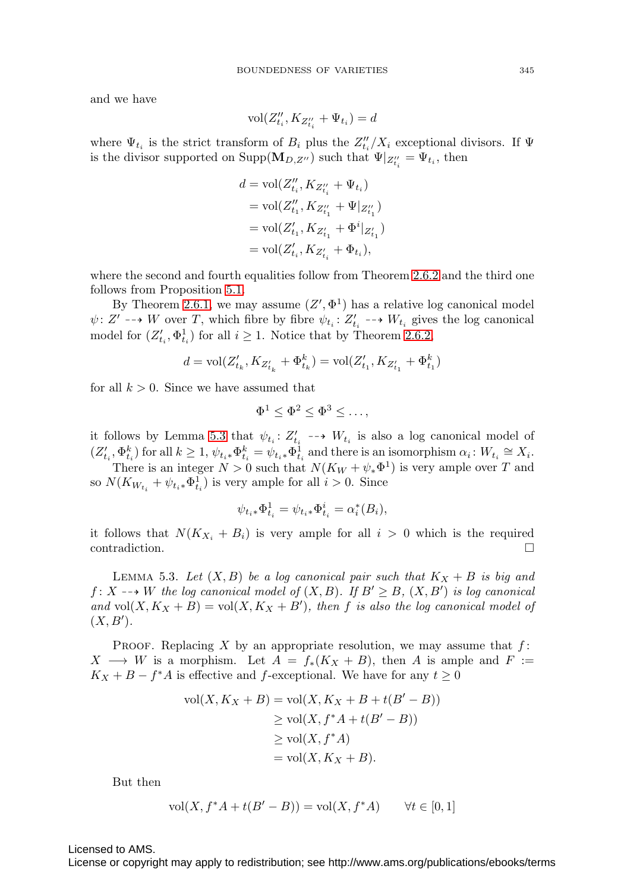and we have

$$
\text{vol}(Z''_{t_i},K_{Z''_{t_i}}+\Psi_{t_i})=d
$$

where  $\Psi_{t_i}$  is the strict transform of  $B_i$  plus the  $Z''_{t_i}/X_i$  exceptional divisors. If  $\Psi$ is the divisor supported on  $\text{Supp}(\mathbf{M}_{D,Z^{\prime\prime}})$  such that  $\Psi|_{Z_{t_i}^{\prime\prime}} = \Psi_{t_i}$ , then

$$
\begin{aligned} d &= \text{vol}(Z''_{t_i}, K_{Z''_{t_i}} + \Psi_{t_i}) \\ &= \text{vol}(Z''_{t_1}, K_{Z''_{t_1}} + \Psi|_{Z''_{t_1}}) \\ &= \text{vol}(Z'_{t_1}, K_{Z'_{t_1}} + \Phi^i|_{Z'_{t_1}}) \\ &= \text{vol}(Z'_{t_i}, K_{Z'_{t_i}} + \Phi_{t_i}), \end{aligned}
$$

where the second and fourth equalities follow from Theorem [2.6.2](#page-13-0) and the third one follows from Proposition [5.1.](#page-34-0)

By Theorem [2.6.1,](#page-13-3) we may assume  $(Z', \Phi^1)$  has a relative log canonical model  $\psi: Z' \dashrightarrow W$  over T, which fibre by fibre  $\psi_{t_i}: Z'_{t_i} \dashrightarrow W_{t_i}$  gives the log canonical model for  $(Z'_{t_i}, \Phi^1_{t_i})$  for all  $i \geq 1$ . Notice that by Theorem [2.6.2,](#page-13-0)

$$
d = \text{vol} (Z'_{t_k}, K_{Z'_{t_k}} + \Phi^k_{t_k}) = \text{vol} (Z'_{t_1}, K_{Z'_{t_1}} + \Phi^k_{t_1})
$$

for all  $k > 0$ . Since we have assumed that

$$
\Phi^1 \leq \Phi^2 \leq \Phi^3 \leq \ldots,
$$

it follows by Lemma [5.3](#page-36-0) that  $\psi_{t_i}: Z_{t_i} \dashrightarrow W_{t_i}$  is also a log canonical model of  $(Z'_{t_i}, \Phi^k_{t_i})$  for all  $k \geq 1$ ,  $\psi_{t_i} * \Phi^k_{t_i} = \psi_{t_i} * \Phi^{\hat{1}}_{t_i}$  and there is an isomorphism  $\alpha_i : W_{t_i} \cong X_i$ .

There is an integer  $N > 0$  such that  $N(K_W + \psi_* \Phi^1)$  is very ample over T and so  $N(K_{W_{t_i}} + \psi_{t_i \ast} \Phi_{t_i}^1)$  is very ample for all  $i > 0$ . Since

$$
\psi_{t_i *} \Phi_{t_i}^1 = \psi_{t_i *} \Phi_{t_i}^i = \alpha_i^* (B_i),
$$

it follows that  $N(K_{X_i} + B_i)$  is very ample for all  $i > 0$  which is the required contradiction.

<span id="page-36-0"></span>LEMMA 5.3. Let  $(X, B)$  be a log canonical pair such that  $K_X + B$  is big and  $f: X \dashrightarrow W$  the log canonical model of  $(X, B)$ . If  $B' \geq B$ ,  $(X, B')$  is log canonical and vol $(X, K_X + B) = vol(X, K_X + B')$ , then f is also the log canonical model of  $(X, B')$ .

PROOF. Replacing X by an appropriate resolution, we may assume that  $f$ :  $X \longrightarrow W$  is a morphism. Let  $A = f_*(K_X + B)$ , then A is ample and F :=  $K_X + B - f^*A$  is effective and f-exceptional. We have for any  $t \geq 0$ 

$$
\text{vol}(X, K_X + B) = \text{vol}(X, K_X + B + t(B' - B))
$$
  
\n
$$
\geq \text{vol}(X, f^*A + t(B' - B))
$$
  
\n
$$
\geq \text{vol}(X, f^*A)
$$
  
\n
$$
= \text{vol}(X, K_X + B).
$$

But then

$$
vol(X, f^*A + t(B' - B)) = vol(X, f^*A)
$$
  $\forall t \in [0, 1]$ 

Licensed to AMS.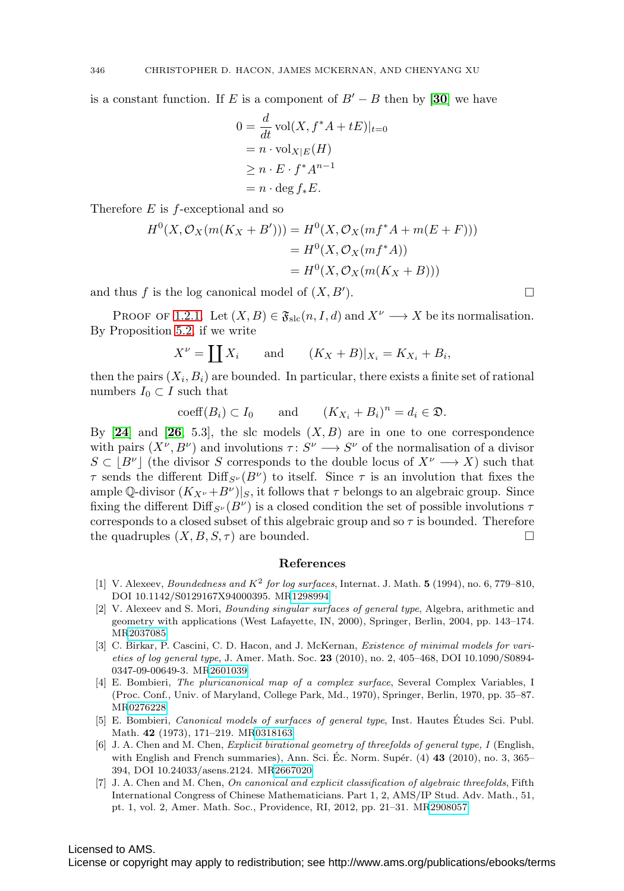is a constant function. If E is a component of  $B' - B$  then by [[30](#page-39-2)] we have

$$
0 = \frac{d}{dt} \operatorname{vol}(X, f^*A + tE)|_{t=0}
$$
  
=  $n \cdot \operatorname{vol}_{X|E}(H)$   
 $\ge n \cdot E \cdot f^*A^{n-1}$   
=  $n \cdot \deg f_*E$ .

Therefore  $E$  is  $f$ -exceptional and so

$$
H^{0}(X, \mathcal{O}_{X}(m(K_{X} + B'))) = H^{0}(X, \mathcal{O}_{X}(mf^{*}A + m(E + F)))
$$
  
= 
$$
H^{0}(X, \mathcal{O}_{X}(mf^{*}A))
$$
  
= 
$$
H^{0}(X, \mathcal{O}_{X}(m(K_{X} + B)))
$$

and thus f is the log canonical model of  $(X, B')$ . ).  $\qquad \qquad \Box$ 

PROOF OF [1.2.1](#page-3-0). Let  $(X, B) \in \mathfrak{F}_{\text{slc}}(n, I, d)$  and  $X^{\nu} \longrightarrow X$  be its normalisation. By Proposition [5.2,](#page-35-0) if we write

$$
X^{\nu} = \coprod X_i \quad \text{and} \quad (K_X + B)|_{X_i} = K_{X_i} + B_i,
$$

then the pairs  $(X_i, B_i)$  are bounded. In particular, there exists a finite set of rational numbers  $I_0 \subset I$  such that

$$
\mathrm{coeff}(B_i) \subset I_0 \quad \text{and} \quad (K_{X_i} + B_i)^n = d_i \in \mathfrak{D}.
$$

By  $[24]$  $[24]$  $[24]$  and  $[26, 5.3]$  $[26, 5.3]$  $[26, 5.3]$ , the slc models  $(X, B)$  are in one to one correspondence with pairs  $(X^{\nu}, B^{\nu})$  and involutions  $\tau: S^{\nu} \longrightarrow S^{\nu}$  of the normalisation of a divisor  $S \subset |B^{\nu}|$  (the divisor S corresponds to the double locus of  $X^{\nu} \longrightarrow X$ ) such that  $\tau$  sends the different Diff<sub>S<sup>v</sub></sup>(B<sup>v</sup>) to itself. Since  $\tau$  is an involution that fixes the</sub> ample Q-divisor  $(K_{X^{\nu}}+B^{\nu})|_S$ , it follows that  $\tau$  belongs to an algebraic group. Since fixing the different  $\text{Diff}_{S^{\nu}}(B^{\nu})$  is a closed condition the set of possible involutions  $\tau$ corresponds to a closed subset of this algebraic group and so  $\tau$  is bounded. Therefore the quadruples  $(X, B, S, \tau)$  are bounded.

#### **References**

- <span id="page-37-0"></span>[1] V. Alexeev, Boundedness and K<sup>2</sup> for log surfaces, Internat. J. Math. **5** (1994), no. 6, 779–810, DOI 10.1142/S0129167X94000395. M[R1298994](http://www.ams.org/mathscinet-getitem?mr=1298994)
- <span id="page-37-1"></span>[2] V. Alexeev and S. Mori, Bounding singular surfaces of general type, Algebra, arithmetic and geometry with applications (West Lafayette, IN, 2000), Springer, Berlin, 2004, pp. 143–174. M[R2037085](http://www.ams.org/mathscinet-getitem?mr=2037085)
- <span id="page-37-6"></span>[3] C. Birkar, P. Cascini, C. D. Hacon, and J. McKernan, *Existence of minimal models for vari*eties of log general type, J. Amer. Math. Soc. **23** (2010), no. 2, 405–468, DOI 10.1090/S0894- 0347-09-00649-3. M[R2601039](http://www.ams.org/mathscinet-getitem?mr=2601039)
- <span id="page-37-2"></span>[4] E. Bombieri, The pluricanonical map of a complex surface, Several Complex Variables, I (Proc. Conf., Univ. of Maryland, College Park, Md., 1970), Springer, Berlin, 1970, pp. 35–87. M[R0276228](http://www.ams.org/mathscinet-getitem?mr=0276228)
- <span id="page-37-3"></span>[5] E. Bombieri, Canonical models of surfaces of general type, Inst. Hautes Etudes Sci. Publ. ´ Math. **42** (1973), 171–219. M[R0318163](http://www.ams.org/mathscinet-getitem?mr=0318163)
- <span id="page-37-4"></span>[6] J. A. Chen and M. Chen, *Explicit birational geometry of threefolds of general type*, *I* (English, with English and French summaries), Ann. Sci. Ec. Norm. Supér.  $(4)$  43  $(2010)$ , no. 3, 365– 394, DOI 10.24033/asens.2124. M[R2667020](http://www.ams.org/mathscinet-getitem?mr=2667020)
- <span id="page-37-5"></span>[7] J. A. Chen and M. Chen, On canonical and explicit classification of algebraic threefolds, Fifth International Congress of Chinese Mathematicians. Part 1, 2, AMS/IP Stud. Adv. Math., 51, pt. 1, vol. 2, Amer. Math. Soc., Providence, RI, 2012, pp. 21–31. M[R2908057](http://www.ams.org/mathscinet-getitem?mr=2908057)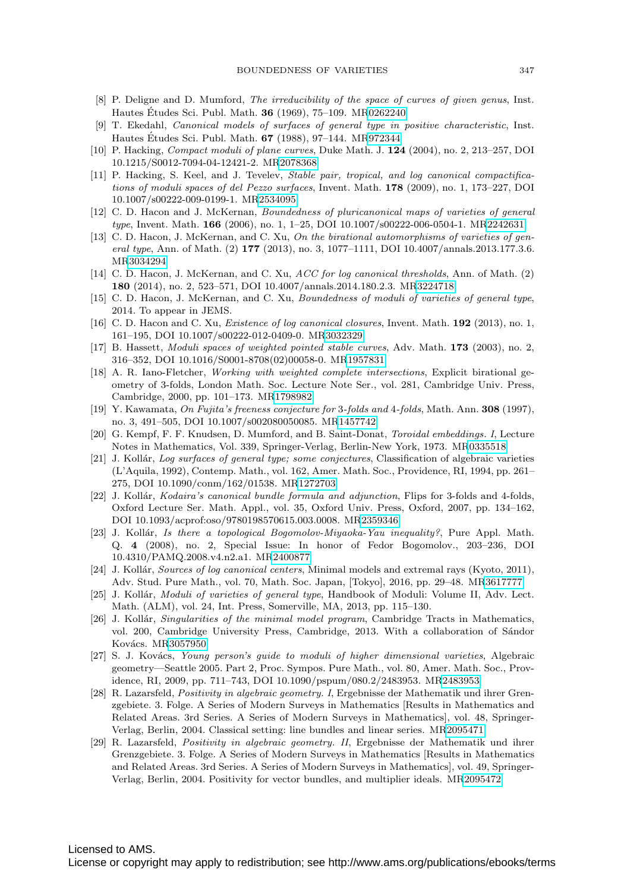- <span id="page-38-3"></span>[8] P. Deligne and D. Mumford, *The irreducibility of the space of curves of given genus*, Inst. Hautes Études Sci. Publ. Math. **36** (1969), 75–109. M[R0262240](http://www.ams.org/mathscinet-getitem?mr=0262240)
- <span id="page-38-11"></span>[9] T. Ekedahl, Canonical models of surfaces of general type in positive characteristic, Inst. Hautes Études Sci. Publ. Math. **67** (1988), 97–144. M[R972344](http://www.ams.org/mathscinet-getitem?mr=972344)
- <span id="page-38-7"></span>[10] P. Hacking, Compact moduli of plane curves, Duke Math. J. **124** (2004), no. 2, 213–257, DOI 10.1215/S0012-7094-04-12421-2. M[R2078368](http://www.ams.org/mathscinet-getitem?mr=2078368)
- <span id="page-38-6"></span>[11] P. Hacking, S. Keel, and J. Tevelev, Stable pair, tropical, and log canonical compactifications of moduli spaces of del Pezzo surfaces, Invent. Math. **178** (2009), no. 1, 173–227, DOI 10.1007/s00222-009-0199-1. M[R2534095](http://www.ams.org/mathscinet-getitem?mr=2534095)
- <span id="page-38-13"></span>[12] C. D. Hacon and J. McKernan, Boundedness of pluricanonical maps of varieties of general type, Invent. Math. **166** (2006), no. 1, 1–25, DOI 10.1007/s00222-006-0504-1. M[R2242631](http://www.ams.org/mathscinet-getitem?mr=2242631)
- <span id="page-38-15"></span>[13] C. D. Hacon, J. McKernan, and C. Xu, On the birational automorphisms of varieties of general type, Ann. of Math. (2) **177** (2013), no. 3, 1077–1111, DOI 10.4007/annals.2013.177.3.6. M[R3034294](http://www.ams.org/mathscinet-getitem?mr=3034294)
- <span id="page-38-16"></span>[14] C. D. Hacon, J. McKernan, and C. Xu, ACC for log canonical thresholds, Ann. of Math. (2) **180** (2014), no. 2, 523–571, DOI 10.4007/annals.2014.180.2.3. M[R3224718](http://www.ams.org/mathscinet-getitem?mr=3224718)
- <span id="page-38-9"></span>[15] C. D. Hacon, J. McKernan, and C. Xu, Boundedness of moduli of varieties of general type, 2014. To appear in JEMS.
- <span id="page-38-4"></span>[16] C. D. Hacon and C. Xu, Existence of log canonical closures, Invent. Math. **192** (2013), no. 1, 161–195, DOI 10.1007/s00222-012-0409-0. M[R3032329](http://www.ams.org/mathscinet-getitem?mr=3032329)
- <span id="page-38-5"></span>[17] B. Hassett, Moduli spaces of weighted pointed stable curves, Adv. Math. **173** (2003), no. 2, 316–352, DOI 10.1016/S0001-8708(02)00058-0. M[R1957831](http://www.ams.org/mathscinet-getitem?mr=1957831)
- <span id="page-38-12"></span>[18] A. R. Iano-Fletcher, Working with weighted complete intersections, Explicit birational geometry of 3-folds, London Math. Soc. Lecture Note Ser., vol. 281, Cambridge Univ. Press, Cambridge, 2000, pp. 101–173. M[R1798982](http://www.ams.org/mathscinet-getitem?mr=1798982)
- <span id="page-38-20"></span>[19] Y. Kawamata, On Fujita's freeness conjecture for 3-folds and 4-folds, Math. Ann. **308** (1997), no. 3, 491–505, DOI 10.1007/s002080050085. M[R1457742](http://www.ams.org/mathscinet-getitem?mr=1457742)
- <span id="page-38-17"></span>[20] G. Kempf, F. F. Knudsen, D. Mumford, and B. Saint-Donat, Toroidal embeddings. I, Lecture Notes in Mathematics, Vol. 339, Springer-Verlag, Berlin-New York, 1973. M[R0335518](http://www.ams.org/mathscinet-getitem?mr=0335518)
- <span id="page-38-10"></span>[21] J. Kollár, Log surfaces of general type; some conjectures, Classification of algebraic varieties (L'Aquila, 1992), Contemp. Math., vol. 162, Amer. Math. Soc., Providence, RI, 1994, pp. 261– 275, DOI 10.1090/conm/162/01538. M[R1272703](http://www.ams.org/mathscinet-getitem?mr=1272703)
- <span id="page-38-21"></span>[22] J. Kollár, *Kodaira's canonical bundle formula and adjunction*, Flips for 3-folds and 4-folds, Oxford Lecture Ser. Math. Appl., vol. 35, Oxford Univ. Press, Oxford, 2007, pp. 134–162, DOI 10.1093/acprof:oso/9780198570615.003.0008. M[R2359346](http://www.ams.org/mathscinet-getitem?mr=2359346)
- <span id="page-38-14"></span>[23] J. Kollár, Is there a topological Bogomolov-Miyaoka-Yau inequality?, Pure Appl. Math. Q. **4** (2008), no. 2, Special Issue: In honor of Fedor Bogomolov., 203–236, DOI 10.4310/PAMQ.2008.v4.n2.a1. M[R2400877](http://www.ams.org/mathscinet-getitem?mr=2400877)
- <span id="page-38-8"></span>[24] J. Kollár, Sources of log canonical centers, Minimal models and extremal rays (Kyoto, 2011), Adv. Stud. Pure Math., vol. 70, Math. Soc. Japan, [Tokyo], 2016, pp. 29–48. M[R3617777](http://www.ams.org/mathscinet-getitem?mr=3617777)
- <span id="page-38-0"></span>[25] J. Kollár, Moduli of varieties of general type, Handbook of Moduli: Volume II, Adv. Lect. Math. (ALM), vol. 24, Int. Press, Somerville, MA, 2013, pp. 115–130.
- <span id="page-38-1"></span>[26] J. Kollár, Singularities of the minimal model program, Cambridge Tracts in Mathematics, vol. 200, Cambridge University Press, Cambridge, 2013. With a collaboration of Sándor Kovács. M[R3057950](http://www.ams.org/mathscinet-getitem?mr=3057950)
- <span id="page-38-2"></span>[27] S. J. Kovács, Young person's guide to moduli of higher dimensional varieties, Algebraic geometry—Seattle 2005. Part 2, Proc. Sympos. Pure Math., vol. 80, Amer. Math. Soc., Providence, RI, 2009, pp. 711–743, DOI 10.1090/pspum/080.2/2483953. M[R2483953](http://www.ams.org/mathscinet-getitem?mr=2483953)
- <span id="page-38-19"></span>[28] R. Lazarsfeld, Positivity in algebraic geometry. I, Ergebnisse der Mathematik und ihrer Grenzgebiete. 3. Folge. A Series of Modern Surveys in Mathematics [Results in Mathematics and Related Areas. 3rd Series. A Series of Modern Surveys in Mathematics], vol. 48, Springer-Verlag, Berlin, 2004. Classical setting: line bundles and linear series. M[R2095471](http://www.ams.org/mathscinet-getitem?mr=2095471)
- <span id="page-38-18"></span>[29] R. Lazarsfeld, Positivity in algebraic geometry. II, Ergebnisse der Mathematik und ihrer Grenzgebiete. 3. Folge. A Series of Modern Surveys in Mathematics [Results in Mathematics and Related Areas. 3rd Series. A Series of Modern Surveys in Mathematics], vol. 49, Springer-Verlag, Berlin, 2004. Positivity for vector bundles, and multiplier ideals. M[R2095472](http://www.ams.org/mathscinet-getitem?mr=2095472)